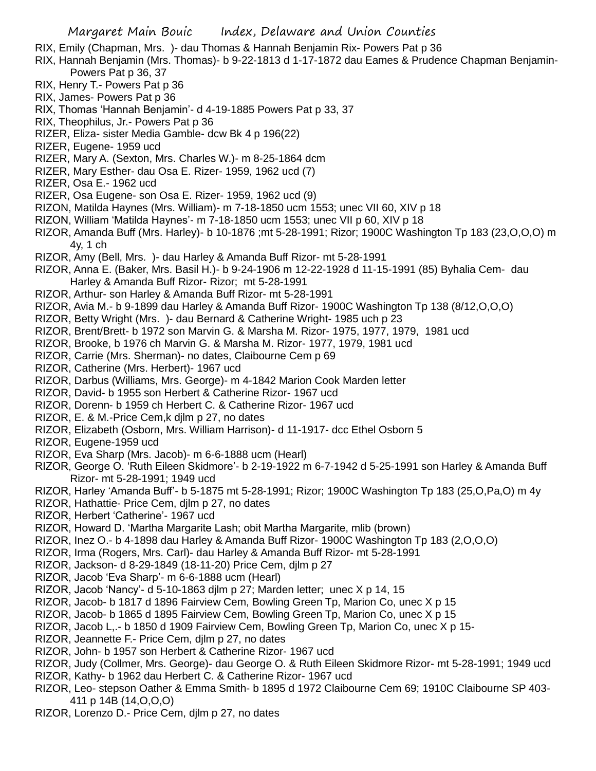- RIX, Emily (Chapman, Mrs. )- dau Thomas & Hannah Benjamin Rix- Powers Pat p 36
- RIX, Hannah Benjamin (Mrs. Thomas)- b 9-22-1813 d 1-17-1872 dau Eames & Prudence Chapman Benjamin-Powers Pat p 36, 37
- RIX, Henry T.- Powers Pat p 36
- RIX, James- Powers Pat p 36
- RIX, Thomas 'Hannah Benjamin'- d 4-19-1885 Powers Pat p 33, 37
- RIX, Theophilus, Jr.- Powers Pat p 36
- RIZER, Eliza- sister Media Gamble- dcw Bk 4 p 196(22)
- RIZER, Eugene- 1959 ucd
- RIZER, Mary A. (Sexton, Mrs. Charles W.)- m 8-25-1864 dcm
- RIZER, Mary Esther- dau Osa E. Rizer- 1959, 1962 ucd (7)
- RIZER, Osa E.- 1962 ucd
- RIZER, Osa Eugene- son Osa E. Rizer- 1959, 1962 ucd (9)
- RIZON, Matilda Haynes (Mrs. William)- m 7-18-1850 ucm 1553; unec VII 60, XIV p 18
- RIZON, William 'Matilda Haynes'- m 7-18-1850 ucm 1553; unec VII p 60, XIV p 18
- RIZOR, Amanda Buff (Mrs. Harley)- b 10-1876 ;mt 5-28-1991; Rizor; 1900C Washington Tp 183 (23,O,O,O) m 4y, 1 ch
- RIZOR, Amy (Bell, Mrs. )- dau Harley & Amanda Buff Rizor- mt 5-28-1991
- RIZOR, Anna E. (Baker, Mrs. Basil H.)- b 9-24-1906 m 12-22-1928 d 11-15-1991 (85) Byhalia Cem- dau Harley & Amanda Buff Rizor- Rizor; mt 5-28-1991
- RIZOR, Arthur- son Harley & Amanda Buff Rizor- mt 5-28-1991
- RIZOR, Avia M.- b 9-1899 dau Harley & Amanda Buff Rizor- 1900C Washington Tp 138 (8/12,O,O,O)
- RIZOR, Betty Wright (Mrs. )- dau Bernard & Catherine Wright- 1985 uch p 23
- RIZOR, Brent/Brett- b 1972 son Marvin G. & Marsha M. Rizor- 1975, 1977, 1979, 1981 ucd
- RIZOR, Brooke, b 1976 ch Marvin G. & Marsha M. Rizor- 1977, 1979, 1981 ucd
- RIZOR, Carrie (Mrs. Sherman)- no dates, Claibourne Cem p 69
- RIZOR, Catherine (Mrs. Herbert)- 1967 ucd
- RIZOR, Darbus (Williams, Mrs. George)- m 4-1842 Marion Cook Marden letter
- RIZOR, David- b 1955 son Herbert & Catherine Rizor- 1967 ucd
- RIZOR, Dorenn- b 1959 ch Herbert C. & Catherine Rizor- 1967 ucd
- RIZOR, E. & M.-Price Cem,k djlm p 27, no dates
- RIZOR, Elizabeth (Osborn, Mrs. William Harrison)- d 11-1917- dcc Ethel Osborn 5
- RIZOR, Eugene-1959 ucd
- RIZOR, Eva Sharp (Mrs. Jacob)- m 6-6-1888 ucm (Hearl)
- RIZOR, George O. 'Ruth Eileen Skidmore'- b 2-19-1922 m 6-7-1942 d 5-25-1991 son Harley & Amanda Buff Rizor- mt 5-28-1991; 1949 ucd
- RIZOR, Harley 'Amanda Buff'- b 5-1875 mt 5-28-1991; Rizor; 1900C Washington Tp 183 (25,O,Pa,O) m 4y
- RIZOR, Hathattie- Price Cem, djlm p 27, no dates
- RIZOR, Herbert 'Catherine'- 1967 ucd
- RIZOR, Howard D. 'Martha Margarite Lash; obit Martha Margarite, mlib (brown)
- RIZOR, Inez O.- b 4-1898 dau Harley & Amanda Buff Rizor- 1900C Washington Tp 183 (2,O,O,O)
- RIZOR, Irma (Rogers, Mrs. Carl)- dau Harley & Amanda Buff Rizor- mt 5-28-1991
- RIZOR, Jackson- d 8-29-1849 (18-11-20) Price Cem, djlm p 27
- RIZOR, Jacob 'Eva Sharp'- m 6-6-1888 ucm (Hearl)
- RIZOR, Jacob 'Nancy'- d 5-10-1863 djlm p 27; Marden letter; unec X p 14, 15
- RIZOR, Jacob- b 1817 d 1896 Fairview Cem, Bowling Green Tp, Marion Co, unec X p 15
- RIZOR, Jacob- b 1865 d 1895 Fairview Cem, Bowling Green Tp, Marion Co, unec X p 15
- RIZOR, Jacob L,.- b 1850 d 1909 Fairview Cem, Bowling Green Tp, Marion Co, unec X p 15-
- RIZOR, Jeannette F.- Price Cem, djlm p 27, no dates
- RIZOR, John- b 1957 son Herbert & Catherine Rizor- 1967 ucd
- RIZOR, Judy (Collmer, Mrs. George)- dau George O. & Ruth Eileen Skidmore Rizor- mt 5-28-1991; 1949 ucd RIZOR, Kathy- b 1962 dau Herbert C. & Catherine Rizor- 1967 ucd
- RIZOR, Leo- stepson Oather & Emma Smith- b 1895 d 1972 Claibourne Cem 69; 1910C Claibourne SP 403- 411 p 14B (14,O,O,O)
- RIZOR, Lorenzo D.- Price Cem, djlm p 27, no dates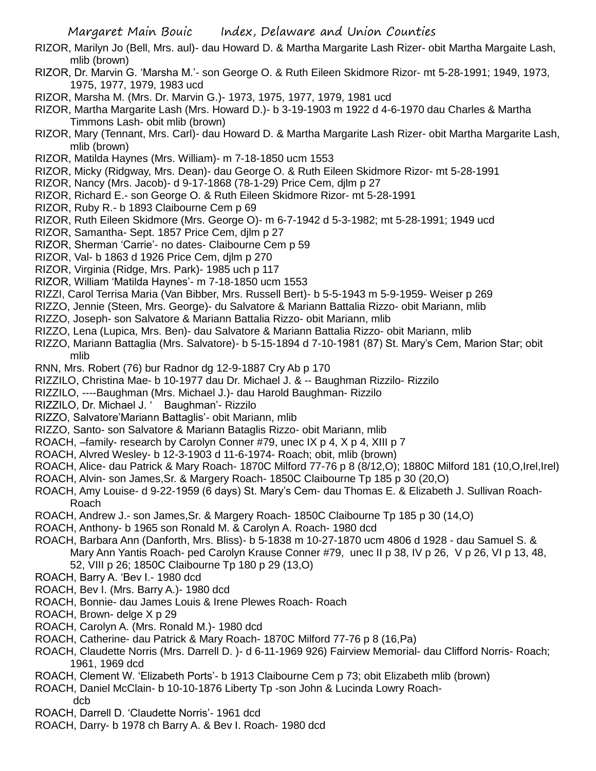- RIZOR, Marilyn Jo (Bell, Mrs. aul)- dau Howard D. & Martha Margarite Lash Rizer- obit Martha Margaite Lash, mlib (brown)
- RIZOR, Dr. Marvin G. 'Marsha M.'- son George O. & Ruth Eileen Skidmore Rizor- mt 5-28-1991; 1949, 1973, 1975, 1977, 1979, 1983 ucd
- RIZOR, Marsha M. (Mrs. Dr. Marvin G.)- 1973, 1975, 1977, 1979, 1981 ucd
- RIZOR, Martha Margarite Lash (Mrs. Howard D.)- b 3-19-1903 m 1922 d 4-6-1970 dau Charles & Martha Timmons Lash- obit mlib (brown)
- RIZOR, Mary (Tennant, Mrs. Carl)- dau Howard D. & Martha Margarite Lash Rizer- obit Martha Margarite Lash, mlib (brown)
- RIZOR, Matilda Haynes (Mrs. William)- m 7-18-1850 ucm 1553
- RIZOR, Micky (Ridgway, Mrs. Dean)- dau George O. & Ruth Eileen Skidmore Rizor- mt 5-28-1991
- RIZOR, Nancy (Mrs. Jacob)- d 9-17-1868 (78-1-29) Price Cem, djlm p 27
- RIZOR, Richard E.- son George O. & Ruth Eileen Skidmore Rizor- mt 5-28-1991
- RIZOR, Ruby R.- b 1893 Claibourne Cem p 69
- RIZOR, Ruth Eileen Skidmore (Mrs. George O)- m 6-7-1942 d 5-3-1982; mt 5-28-1991; 1949 ucd
- RIZOR, Samantha- Sept. 1857 Price Cem, djlm p 27
- RIZOR, Sherman 'Carrie'- no dates- Claibourne Cem p 59
- RIZOR, Val- b 1863 d 1926 Price Cem, djlm p 270
- RIZOR, Virginia (Ridge, Mrs. Park)- 1985 uch p 117
- RIZOR, William 'Matilda Haynes'- m 7-18-1850 ucm 1553
- RIZZI, Carol Terrisa Maria (Van Bibber, Mrs. Russell Bert)- b 5-5-1943 m 5-9-1959- Weiser p 269
- RIZZO, Jennie (Steen, Mrs. George)- du Salvatore & Mariann Battalia Rizzo- obit Mariann, mlib
- RIZZO, Joseph- son Salvatore & Mariann Battalia Rizzo- obit Mariann, mlib
- RIZZO, Lena (Lupica, Mrs. Ben)- dau Salvatore & Mariann Battalia Rizzo- obit Mariann, mlib
- RIZZO, Mariann Battaglia (Mrs. Salvatore)- b 5-15-1894 d 7-10-1981 (87) St. Mary's Cem, Marion Star; obit mlib
- RNN, Mrs. Robert (76) bur Radnor dg 12-9-1887 Cry Ab p 170
- RIZZILO, Christina Mae- b 10-1977 dau Dr. Michael J. & -- Baughman Rizzilo- Rizzilo
- RIZZILO, ----Baughman (Mrs. Michael J.)- dau Harold Baughman- Rizzilo
- RIZZILO, Dr. Michael J. ' Baughman'- Rizzilo
- RIZZO, Salvatore'Mariann Battaglis'- obit Mariann, mlib
- RIZZO, Santo- son Salvatore & Mariann Bataglis Rizzo- obit Mariann, mlib
- ROACH, –family- research by Carolyn Conner #79, unec IX p 4, X p 4, XIII p 7
- ROACH, Alvred Wesley- b 12-3-1903 d 11-6-1974- Roach; obit, mlib (brown)
- ROACH, Alice- dau Patrick & Mary Roach- 1870C Milford 77-76 p 8 (8/12,O); 1880C Milford 181 (10,O,Irel,Irel)
- ROACH, Alvin- son James,Sr. & Margery Roach- 1850C Claibourne Tp 185 p 30 (20,O)
- ROACH, Amy Louise- d 9-22-1959 (6 days) St. Mary's Cem- dau Thomas E. & Elizabeth J. Sullivan Roach-Roach
- ROACH, Andrew J.- son James,Sr. & Margery Roach- 1850C Claibourne Tp 185 p 30 (14,O)
- ROACH, Anthony- b 1965 son Ronald M. & Carolyn A. Roach- 1980 dcd
- ROACH, Barbara Ann (Danforth, Mrs. Bliss)- b 5-1838 m 10-27-1870 ucm 4806 d 1928 dau Samuel S. & Mary Ann Yantis Roach- ped Carolyn Krause Conner #79, unec II p 38, IV p 26, V p 26, VI p 13, 48, 52, VIII p 26; 1850C Claibourne Tp 180 p 29 (13,O)
- ROACH, Barry A. 'Bev I.- 1980 dcd
- ROACH, Bev I. (Mrs. Barry A.)- 1980 dcd
- ROACH, Bonnie- dau James Louis & Irene Plewes Roach- Roach
- ROACH, Brown- delge X p 29
- ROACH, Carolyn A. (Mrs. Ronald M.)- 1980 dcd
- ROACH, Catherine- dau Patrick & Mary Roach- 1870C Milford 77-76 p 8 (16,Pa)
- ROACH, Claudette Norris (Mrs. Darrell D. )- d 6-11-1969 926) Fairview Memorial- dau Clifford Norris- Roach; 1961, 1969 dcd
- ROACH, Clement W. 'Elizabeth Ports'- b 1913 Claibourne Cem p 73; obit Elizabeth mlib (brown)
- ROACH, Daniel McClain- b 10-10-1876 Liberty Tp -son John & Lucinda Lowry Roachdcb
- ROACH, Darrell D. 'Claudette Norris'- 1961 dcd
- ROACH, Darry- b 1978 ch Barry A. & Bev I. Roach- 1980 dcd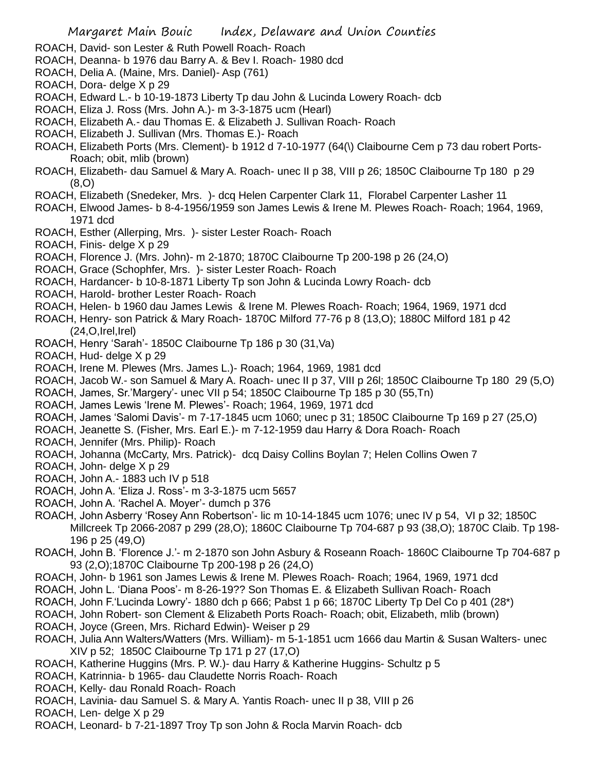- ROACH, David- son Lester & Ruth Powell Roach- Roach
- ROACH, Deanna- b 1976 dau Barry A. & Bev I. Roach- 1980 dcd
- ROACH, Delia A. (Maine, Mrs. Daniel)- Asp (761)
- ROACH, Dora- delge X p 29
- ROACH, Edward L.- b 10-19-1873 Liberty Tp dau John & Lucinda Lowery Roach- dcb
- ROACH, Eliza J. Ross (Mrs. John A.)- m 3-3-1875 ucm (Hearl)
- ROACH, Elizabeth A.- dau Thomas E. & Elizabeth J. Sullivan Roach- Roach
- ROACH, Elizabeth J. Sullivan (Mrs. Thomas E.)- Roach
- ROACH, Elizabeth Ports (Mrs. Clement)- b 1912 d 7-10-1977 (64(\) Claibourne Cem p 73 dau robert Ports-Roach; obit, mlib (brown)
- ROACH, Elizabeth- dau Samuel & Mary A. Roach- unec II p 38, VIII p 26; 1850C Claibourne Tp 180 p 29 (8,O)
- ROACH, Elizabeth (Snedeker, Mrs. )- dcq Helen Carpenter Clark 11, Florabel Carpenter Lasher 11
- ROACH, Elwood James- b 8-4-1956/1959 son James Lewis & Irene M. Plewes Roach- Roach; 1964, 1969, 1971 dcd
- ROACH, Esther (Allerping, Mrs. )- sister Lester Roach- Roach
- ROACH, Finis- delge X p 29
- ROACH, Florence J. (Mrs. John)- m 2-1870; 1870C Claibourne Tp 200-198 p 26 (24,O)
- ROACH, Grace (Schophfer, Mrs. )- sister Lester Roach- Roach
- ROACH, Hardancer- b 10-8-1871 Liberty Tp son John & Lucinda Lowry Roach- dcb
- ROACH, Harold- brother Lester Roach- Roach
- ROACH, Helen- b 1960 dau James Lewis & Irene M. Plewes Roach- Roach; 1964, 1969, 1971 dcd
- ROACH, Henry- son Patrick & Mary Roach- 1870C Milford 77-76 p 8 (13,O); 1880C Milford 181 p 42  $(24, O, Irel, Irel)$
- ROACH, Henry 'Sarah'- 1850C Claibourne Tp 186 p 30 (31,Va)
- ROACH, Hud- delge X p 29
- ROACH, Irene M. Plewes (Mrs. James L.)- Roach; 1964, 1969, 1981 dcd
- ROACH, Jacob W.- son Samuel & Mary A. Roach- unec II p 37, VIII p 26l; 1850C Claibourne Tp 180 29 (5,O)
- ROACH, James, Sr.'Margery'- unec VII p 54; 1850C Claibourne Tp 185 p 30 (55,Tn)
- ROACH, James Lewis 'Irene M. Plewes'- Roach; 1964, 1969, 1971 dcd
- ROACH, James 'Salomi Davis'- m 7-17-1845 ucm 1060; unec p 31; 1850C Claibourne Tp 169 p 27 (25,O)
- ROACH, Jeanette S. (Fisher, Mrs. Earl E.)- m 7-12-1959 dau Harry & Dora Roach- Roach
- ROACH, Jennifer (Mrs. Philip)- Roach
- ROACH, Johanna (McCarty, Mrs. Patrick)- dcq Daisy Collins Boylan 7; Helen Collins Owen 7
- ROACH, John- delge X p 29
- ROACH, John A.- 1883 uch IV p 518
- ROACH, John A. 'Eliza J. Ross'- m 3-3-1875 ucm 5657
- ROACH, John A. 'Rachel A. Moyer'- dumch p 376
- ROACH, John Asberry 'Rosey Ann Robertson'- lic m 10-14-1845 ucm 1076; unec IV p 54, VI p 32; 1850C Millcreek Tp 2066-2087 p 299 (28,O); 1860C Claibourne Tp 704-687 p 93 (38,O); 1870C Claib. Tp 198- 196 p 25 (49,O)
- ROACH, John B. 'Florence J.'- m 2-1870 son John Asbury & Roseann Roach- 1860C Claibourne Tp 704-687 p 93 (2,O);1870C Claibourne Tp 200-198 p 26 (24,O)
- ROACH, John- b 1961 son James Lewis & Irene M. Plewes Roach- Roach; 1964, 1969, 1971 dcd
- ROACH, John L. 'Diana Poos'- m 8-26-19?? Son Thomas E. & Elizabeth Sullivan Roach- Roach
- ROACH, John F.'Lucinda Lowry'- 1880 dch p 666; Pabst 1 p 66; 1870C Liberty Tp Del Co p 401 (28\*)
- ROACH, John Robert- son Clement & Elizabeth Ports Roach- Roach; obit, Elizabeth, mlib (brown) ROACH, Joyce (Green, Mrs. Richard Edwin)- Weiser p 29
- ROACH, Julia Ann Walters/Watters (Mrs. William)- m 5-1-1851 ucm 1666 dau Martin & Susan Walters- unec XIV p 52; 1850C Claibourne Tp 171 p 27 (17,O)
- ROACH, Katherine Huggins (Mrs. P. W.)- dau Harry & Katherine Huggins- Schultz p 5
- ROACH, Katrinnia- b 1965- dau Claudette Norris Roach- Roach
- ROACH, Kelly- dau Ronald Roach- Roach
- ROACH, Lavinia- dau Samuel S. & Mary A. Yantis Roach- unec II p 38, VIII p 26
- ROACH, Len- delge X p 29
- ROACH, Leonard- b 7-21-1897 Troy Tp son John & Rocla Marvin Roach- dcb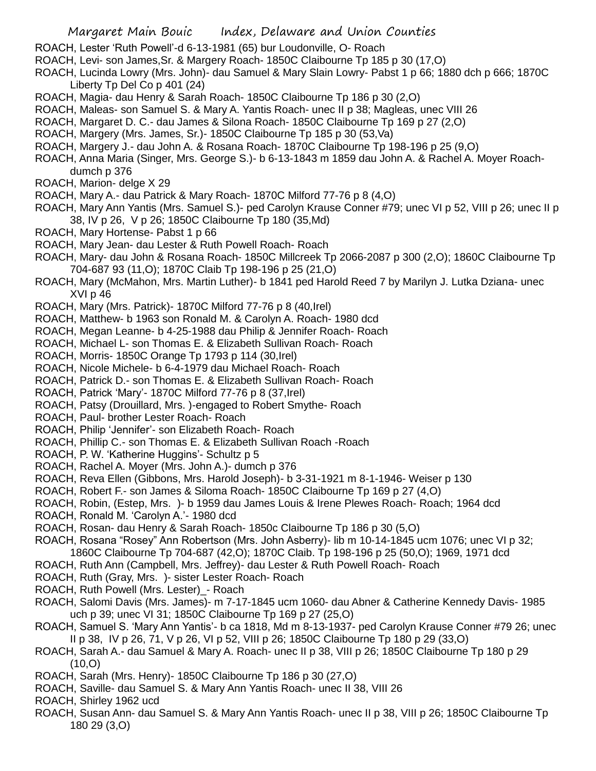- ROACH, Lester 'Ruth Powell'-d 6-13-1981 (65) bur Loudonville, O- Roach
- ROACH, Levi- son James,Sr. & Margery Roach- 1850C Claibourne Tp 185 p 30 (17,O)
- ROACH, Lucinda Lowry (Mrs. John)- dau Samuel & Mary Slain Lowry- Pabst 1 p 66; 1880 dch p 666; 1870C Liberty Tp Del Co p 401 (24)
- ROACH, Magia- dau Henry & Sarah Roach- 1850C Claibourne Tp 186 p 30 (2,O)
- ROACH, Maleas- son Samuel S. & Mary A. Yantis Roach- unec II p 38; Magleas, unec VIII 26
- ROACH, Margaret D. C.- dau James & Silona Roach- 1850C Claibourne Tp 169 p 27 (2,O)
- ROACH, Margery (Mrs. James, Sr.)- 1850C Claibourne Tp 185 p 30 (53,Va)
- ROACH, Margery J.- dau John A. & Rosana Roach- 1870C Claibourne Tp 198-196 p 25 (9,O)
- ROACH, Anna Maria (Singer, Mrs. George S.)- b 6-13-1843 m 1859 dau John A. & Rachel A. Moyer Roachdumch p 376
- ROACH, Marion- delge X 29
- ROACH, Mary A.- dau Patrick & Mary Roach- 1870C Milford 77-76 p 8 (4,O)
- ROACH, Mary Ann Yantis (Mrs. Samuel S.)- ped Carolyn Krause Conner #79; unec VI p 52, VIII p 26; unec II p 38, IV p 26, V p 26; 1850C Claibourne Tp 180 (35,Md)
- ROACH, Mary Hortense- Pabst 1 p 66
- ROACH, Mary Jean- dau Lester & Ruth Powell Roach- Roach
- ROACH, Mary- dau John & Rosana Roach- 1850C Millcreek Tp 2066-2087 p 300 (2,O); 1860C Claibourne Tp 704-687 93 (11,O); 1870C Claib Tp 198-196 p 25 (21,O)
- ROACH, Mary (McMahon, Mrs. Martin Luther)- b 1841 ped Harold Reed 7 by Marilyn J. Lutka Dziana- unec XVI p 46
- ROACH, Mary (Mrs. Patrick)- 1870C Milford 77-76 p 8 (40,Irel)
- ROACH, Matthew- b 1963 son Ronald M. & Carolyn A. Roach- 1980 dcd
- ROACH, Megan Leanne- b 4-25-1988 dau Philip & Jennifer Roach- Roach
- ROACH, Michael L- son Thomas E. & Elizabeth Sullivan Roach- Roach
- ROACH, Morris- 1850C Orange Tp 1793 p 114 (30,Irel)
- ROACH, Nicole Michele- b 6-4-1979 dau Michael Roach- Roach
- ROACH, Patrick D.- son Thomas E. & Elizabeth Sullivan Roach- Roach
- ROACH, Patrick 'Mary'- 1870C Milford 77-76 p 8 (37,Irel)
- ROACH, Patsy (Drouillard, Mrs. )-engaged to Robert Smythe- Roach
- ROACH, Paul- brother Lester Roach- Roach
- ROACH, Philip 'Jennifer'- son Elizabeth Roach- Roach
- ROACH, Phillip C.- son Thomas E. & Elizabeth Sullivan Roach -Roach
- ROACH, P. W. 'Katherine Huggins'- Schultz p 5
- ROACH, Rachel A. Moyer (Mrs. John A.)- dumch p 376
- ROACH, Reva Ellen (Gibbons, Mrs. Harold Joseph)- b 3-31-1921 m 8-1-1946- Weiser p 130
- ROACH, Robert F.- son James & Siloma Roach- 1850C Claibourne Tp 169 p 27 (4,O)
- ROACH, Robin, (Estep, Mrs. )- b 1959 dau James Louis & Irene Plewes Roach- Roach; 1964 dcd
- ROACH, Ronald M. 'Carolyn A.'- 1980 dcd
- ROACH, Rosan- dau Henry & Sarah Roach- 1850c Claibourne Tp 186 p 30 (5,O)
- ROACH, Rosana "Rosey" Ann Robertson (Mrs. John Asberry)- lib m 10-14-1845 ucm 1076; unec VI p 32;
- 1860C Claibourne Tp 704-687 (42,O); 1870C Claib. Tp 198-196 p 25 (50,O); 1969, 1971 dcd
- ROACH, Ruth Ann (Campbell, Mrs. Jeffrey)- dau Lester & Ruth Powell Roach- Roach
- ROACH, Ruth (Gray, Mrs. )- sister Lester Roach- Roach
- ROACH, Ruth Powell (Mrs. Lester)\_- Roach
- ROACH, Salomi Davis (Mrs. James)- m 7-17-1845 ucm 1060- dau Abner & Catherine Kennedy Davis- 1985 uch p 39; unec VI 31; 1850C Claibourne Tp 169 p 27 (25,O)
- ROACH, Samuel S. 'Mary Ann Yantis'- b ca 1818, Md m 8-13-1937- ped Carolyn Krause Conner #79 26; unec II p 38, IV p 26, 71, V p 26, VI p 52, VIII p 26; 1850C Claibourne Tp 180 p 29 (33,O)
- ROACH, Sarah A.- dau Samuel & Mary A. Roach- unec II p 38, VIII p 26; 1850C Claibourne Tp 180 p 29  $(10, 0)$
- ROACH, Sarah (Mrs. Henry)- 1850C Claibourne Tp 186 p 30 (27,O)
- ROACH, Saville- dau Samuel S. & Mary Ann Yantis Roach- unec II 38, VIII 26
- ROACH, Shirley 1962 ucd
- ROACH, Susan Ann- dau Samuel S. & Mary Ann Yantis Roach- unec II p 38, VIII p 26; 1850C Claibourne Tp 180 29 (3,O)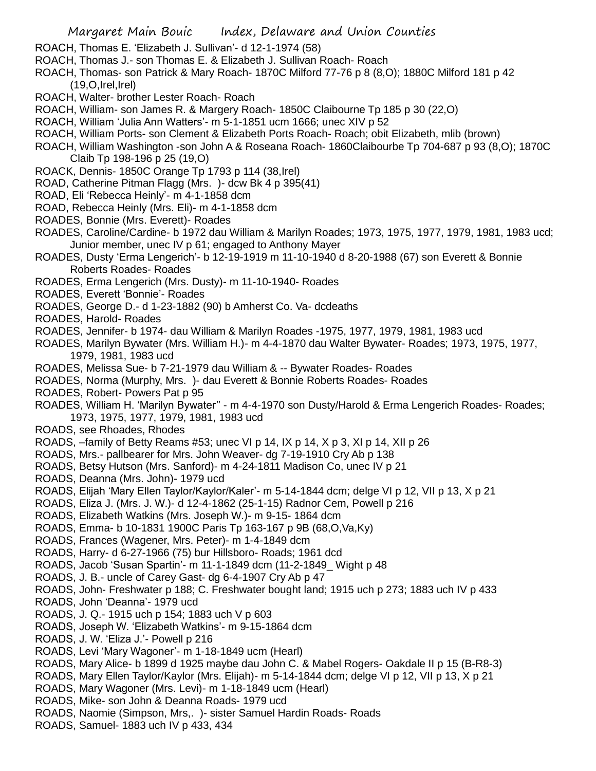- ROACH, Thomas E. 'Elizabeth J. Sullivan'- d 12-1-1974 (58)
- ROACH, Thomas J.- son Thomas E. & Elizabeth J. Sullivan Roach- Roach
- ROACH, Thomas- son Patrick & Mary Roach- 1870C Milford 77-76 p 8 (8,O); 1880C Milford 181 p 42  $(19, O, I$ rel, $I$ rel)
- ROACH, Walter- brother Lester Roach- Roach
- ROACH, William- son James R. & Margery Roach- 1850C Claibourne Tp 185 p 30 (22,O)
- ROACH, William 'Julia Ann Watters'- m 5-1-1851 ucm 1666; unec XIV p 52
- ROACH, William Ports- son Clement & Elizabeth Ports Roach- Roach; obit Elizabeth, mlib (brown)
- ROACH, William Washington -son John A & Roseana Roach- 1860Claibourbe Tp 704-687 p 93 (8,O); 1870C Claib Tp 198-196 p 25 (19,O)
- ROACK, Dennis- 1850C Orange Tp 1793 p 114 (38,Irel)
- ROAD, Catherine Pitman Flagg (Mrs. )- dcw Bk 4 p 395(41)
- ROAD, Eli 'Rebecca Heinly'- m 4-1-1858 dcm
- ROAD, Rebecca Heinly (Mrs. Eli)- m 4-1-1858 dcm
- ROADES, Bonnie (Mrs. Everett)- Roades
- ROADES, Caroline/Cardine- b 1972 dau William & Marilyn Roades; 1973, 1975, 1977, 1979, 1981, 1983 ucd; Junior member, unec IV p 61; engaged to Anthony Mayer
- ROADES, Dusty 'Erma Lengerich'- b 12-19-1919 m 11-10-1940 d 8-20-1988 (67) son Everett & Bonnie Roberts Roades- Roades
- ROADES, Erma Lengerich (Mrs. Dusty)- m 11-10-1940- Roades
- ROADES, Everett 'Bonnie'- Roades
- ROADES, George D.- d 1-23-1882 (90) b Amherst Co. Va- dcdeaths
- ROADES, Harold- Roades
- ROADES, Jennifer- b 1974- dau William & Marilyn Roades -1975, 1977, 1979, 1981, 1983 ucd
- ROADES, Marilyn Bywater (Mrs. William H.)- m 4-4-1870 dau Walter Bywater- Roades; 1973, 1975, 1977, 1979, 1981, 1983 ucd
- ROADES, Melissa Sue- b 7-21-1979 dau William & -- Bywater Roades- Roades
- ROADES, Norma (Murphy, Mrs. )- dau Everett & Bonnie Roberts Roades- Roades
- ROADES, Robert- Powers Pat p 95
- ROADES, William H. 'Marilyn Bywater'' m 4-4-1970 son Dusty/Harold & Erma Lengerich Roades- Roades; 1973, 1975, 1977, 1979, 1981, 1983 ucd
- ROADS, see Rhoades, Rhodes
- ROADS, –family of Betty Reams #53; unec VI p 14, IX p 14, X p 3, XI p 14, XII p 26
- ROADS, Mrs.- pallbearer for Mrs. John Weaver- dg 7-19-1910 Cry Ab p 138
- ROADS, Betsy Hutson (Mrs. Sanford)- m 4-24-1811 Madison Co, unec IV p 21
- ROADS, Deanna (Mrs. John)- 1979 ucd
- ROADS, Elijah 'Mary Ellen Taylor/Kaylor/Kaler'- m 5-14-1844 dcm; delge VI p 12, VII p 13, X p 21
- ROADS, Eliza J. (Mrs. J. W.)- d 12-4-1862 (25-1-15) Radnor Cem, Powell p 216
- ROADS, Elizabeth Watkins (Mrs. Joseph W.)- m 9-15- 1864 dcm
- ROADS, Emma- b 10-1831 1900C Paris Tp 163-167 p 9B (68,O,Va,Ky)
- ROADS, Frances (Wagener, Mrs. Peter)- m 1-4-1849 dcm
- ROADS, Harry- d 6-27-1966 (75) bur Hillsboro- Roads; 1961 dcd
- ROADS, Jacob 'Susan Spartin'- m 11-1-1849 dcm (11-2-1849\_ Wight p 48
- ROADS, J. B.- uncle of Carey Gast- dg 6-4-1907 Cry Ab p 47
- ROADS, John- Freshwater p 188; C. Freshwater bought land; 1915 uch p 273; 1883 uch IV p 433
- ROADS, John 'Deanna'- 1979 ucd
- ROADS, J. Q.- 1915 uch p 154; 1883 uch V p 603
- ROADS, Joseph W. 'Elizabeth Watkins'- m 9-15-1864 dcm
- ROADS, J. W. 'Eliza J.'- Powell p 216
- ROADS, Levi 'Mary Wagoner'- m 1-18-1849 ucm (Hearl)
- ROADS, Mary Alice- b 1899 d 1925 maybe dau John C. & Mabel Rogers- Oakdale II p 15 (B-R8-3)
- ROADS, Mary Ellen Taylor/Kaylor (Mrs. Elijah)- m 5-14-1844 dcm; delge VI p 12, VII p 13, X p 21
- ROADS, Mary Wagoner (Mrs. Levi)- m 1-18-1849 ucm (Hearl)
- ROADS, Mike- son John & Deanna Roads- 1979 ucd
- ROADS, Naomie (Simpson, Mrs,. )- sister Samuel Hardin Roads- Roads
- ROADS, Samuel- 1883 uch IV p 433, 434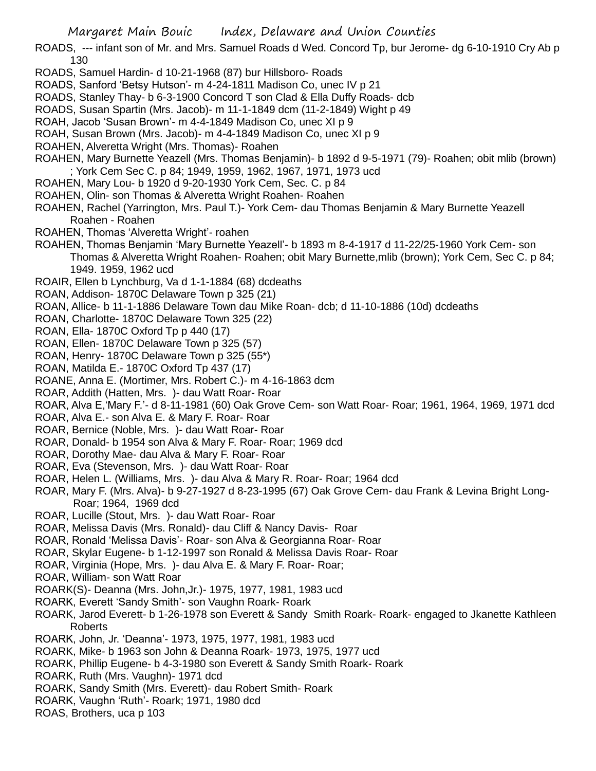ROADS, --- infant son of Mr. and Mrs. Samuel Roads d Wed. Concord Tp, bur Jerome- dg 6-10-1910 Cry Ab p 130

- ROADS, Samuel Hardin- d 10-21-1968 (87) bur Hillsboro- Roads
- ROADS, Sanford 'Betsy Hutson'- m 4-24-1811 Madison Co, unec IV p 21
- ROADS, Stanley Thay- b 6-3-1900 Concord T son Clad & Ella Duffy Roads- dcb
- ROADS, Susan Spartin (Mrs. Jacob)- m 11-1-1849 dcm (11-2-1849) Wight p 49
- ROAH, Jacob 'Susan Brown'- m 4-4-1849 Madison Co, unec XI p 9
- ROAH, Susan Brown (Mrs. Jacob)- m 4-4-1849 Madison Co, unec XI p 9
- ROAHEN, Alveretta Wright (Mrs. Thomas)- Roahen
- ROAHEN, Mary Burnette Yeazell (Mrs. Thomas Benjamin)- b 1892 d 9-5-1971 (79)- Roahen; obit mlib (brown) ; York Cem Sec C. p 84; 1949, 1959, 1962, 1967, 1971, 1973 ucd
- ROAHEN, Mary Lou- b 1920 d 9-20-1930 York Cem, Sec. C. p 84
- ROAHEN, Olin- son Thomas & Alveretta Wright Roahen- Roahen
- ROAHEN, Rachel (Yarrington, Mrs. Paul T.)- York Cem- dau Thomas Benjamin & Mary Burnette Yeazell Roahen - Roahen
- ROAHEN, Thomas 'Alveretta Wright'- roahen
- ROAHEN, Thomas Benjamin 'Mary Burnette Yeazell'- b 1893 m 8-4-1917 d 11-22/25-1960 York Cem- son Thomas & Alveretta Wright Roahen- Roahen; obit Mary Burnette,mlib (brown); York Cem, Sec C. p 84; 1949. 1959, 1962 ucd
- ROAIR, Ellen b Lynchburg, Va d 1-1-1884 (68) dcdeaths
- ROAN, Addison- 1870C Delaware Town p 325 (21)
- ROAN, Allice- b 11-1-1886 Delaware Town dau Mike Roan- dcb; d 11-10-1886 (10d) dcdeaths
- ROAN, Charlotte- 1870C Delaware Town 325 (22)
- ROAN, Ella- 1870C Oxford Tp p 440 (17)
- ROAN, Ellen- 1870C Delaware Town p 325 (57)
- ROAN, Henry- 1870C Delaware Town p 325 (55\*)
- ROAN, Matilda E.- 1870C Oxford Tp 437 (17)
- ROANE, Anna E. (Mortimer, Mrs. Robert C.)- m 4-16-1863 dcm
- ROAR, Addith (Hatten, Mrs. )- dau Watt Roar- Roar
- ROAR, Alva E,'Mary F.'- d 8-11-1981 (60) Oak Grove Cem- son Watt Roar- Roar; 1961, 1964, 1969, 1971 dcd
- ROAR, Alva E.- son Alva E. & Mary F. Roar- Roar
- ROAR, Bernice (Noble, Mrs. )- dau Watt Roar- Roar
- ROAR, Donald- b 1954 son Alva & Mary F. Roar- Roar; 1969 dcd
- ROAR, Dorothy Mae- dau Alva & Mary F. Roar- Roar
- ROAR, Eva (Stevenson, Mrs. )- dau Watt Roar- Roar
- ROAR, Helen L. (Williams, Mrs. )- dau Alva & Mary R. Roar- Roar; 1964 dcd
- ROAR, Mary F. (Mrs. Alva)- b 9-27-1927 d 8-23-1995 (67) Oak Grove Cem- dau Frank & Levina Bright Long-Roar; 1964, 1969 dcd
- ROAR, Lucille (Stout, Mrs. )- dau Watt Roar- Roar
- ROAR, Melissa Davis (Mrs. Ronald)- dau Cliff & Nancy Davis- Roar
- ROAR, Ronald 'Melissa Davis'- Roar- son Alva & Georgianna Roar- Roar
- ROAR, Skylar Eugene- b 1-12-1997 son Ronald & Melissa Davis Roar- Roar
- ROAR, Virginia (Hope, Mrs. )- dau Alva E. & Mary F. Roar- Roar;
- ROAR, William- son Watt Roar
- ROARK(S)- Deanna (Mrs. John,Jr.)- 1975, 1977, 1981, 1983 ucd
- ROARK, Everett 'Sandy Smith'- son Vaughn Roark- Roark
- ROARK, Jarod Everett- b 1-26-1978 son Everett & Sandy Smith Roark- Roark- engaged to Jkanette Kathleen Roberts
- ROARK, John, Jr. 'Deanna'- 1973, 1975, 1977, 1981, 1983 ucd
- ROARK, Mike- b 1963 son John & Deanna Roark- 1973, 1975, 1977 ucd
- ROARK, Phillip Eugene- b 4-3-1980 son Everett & Sandy Smith Roark- Roark
- ROARK, Ruth (Mrs. Vaughn)- 1971 dcd
- ROARK, Sandy Smith (Mrs. Everett)- dau Robert Smith- Roark
- ROARK, Vaughn 'Ruth'- Roark; 1971, 1980 dcd
- ROAS, Brothers, uca p 103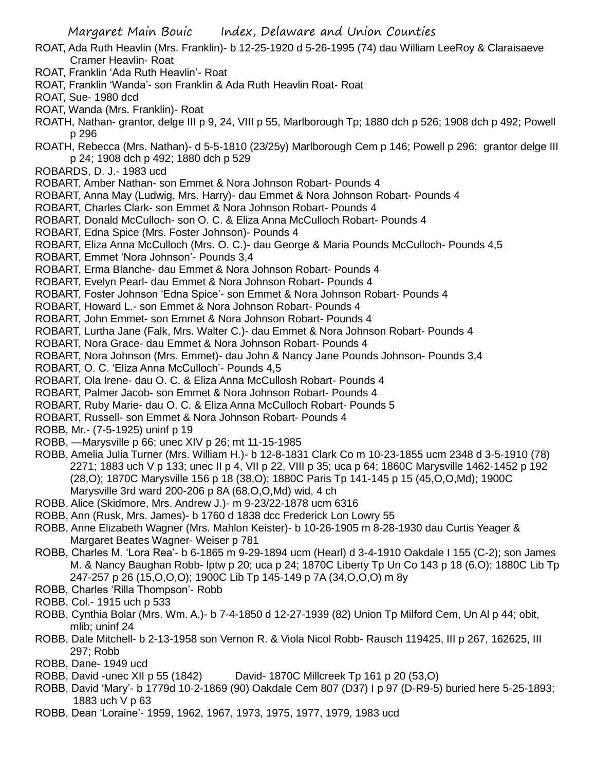- ROAT, Ada Ruth Heavlin (Mrs. Franklin)- b 12-25-1920 d 5-26-1995 (74) dau William LeeRoy & Claraisaeve Cramer Heavlin- Roat
- ROAT, Franklin 'Ada Ruth Heavlin'- Roat
- ROAT, Franklin 'Wanda'- son Franklin & Ada Ruth Heavlin Roat- Roat
- ROAT, Sue- 1980 dcd
- ROAT, Wanda (Mrs. Franklin)- Roat
- ROATH, Nathan- grantor, delge III p 9, 24, VIII p 55, Marlborough Tp; 1880 dch p 526; 1908 dch p 492; Powell p 296
- ROATH, Rebecca (Mrs. Nathan)- d 5-5-1810 (23/25y) Marlborough Cem p 146; Powell p 296; grantor delge III p 24; 1908 dch p 492; 1880 dch p 529
- ROBARDS, D. J.- 1983 ucd
- ROBART, Amber Nathan- son Emmet & Nora Johnson Robart- Pounds 4
- ROBART, Anna May (Ludwig, Mrs. Harry)- dau Emmet & Nora Johnson Robart- Pounds 4
- ROBART, Charles Clark- son Emmet & Nora Johnson Robart- Pounds 4
- ROBART, Donald McCulloch- son O. C. & Eliza Anna McCulloch Robart- Pounds 4
- ROBART, Edna Spice (Mrs. Foster Johnson)- Pounds 4
- ROBART, Eliza Anna McCulloch (Mrs. O. C.)- dau George & Maria Pounds McCulloch- Pounds 4,5
- ROBART, Emmet 'Nora Johnson'- Pounds 3,4
- ROBART, Erma Blanche- dau Emmet & Nora Johnson Robart- Pounds 4
- ROBART, Evelyn Pearl- dau Emmet & Nora Johnson Robart- Pounds 4
- ROBART, Foster Johnson 'Edna Spice'- son Emmet & Nora Johnson Robart- Pounds 4
- ROBART, Howard L.- son Emmet & Nora Johnson Robart- Pounds 4
- ROBART, John Emmet- son Emmet & Nora Johnson Robart- Pounds 4
- ROBART, Lurtha Jane (Falk, Mrs. Walter C.)- dau Emmet & Nora Johnson Robart- Pounds 4
- ROBART, Nora Grace- dau Emmet & Nora Johnson Robart- Pounds 4
- ROBART, Nora Johnson (Mrs. Emmet)- dau John & Nancy Jane Pounds Johnson- Pounds 3,4
- ROBART, O. C. 'Eliza Anna McCulloch'- Pounds 4,5
- ROBART, Ola Irene- dau O. C. & Eliza Anna McCullosh Robart- Pounds 4
- ROBART, Palmer Jacob- son Emmet & Nora Johnson Robart- Pounds 4
- ROBART, Ruby Marie- dau O. C. & Eliza Anna McCulloch Robart- Pounds 5
- ROBART, Russell- son Emmet & Nora Johnson Robart- Pounds 4
- ROBB, Mr.- (7-5-1925) uninf p 19
- ROBB, —Marysville p 66; unec XIV p 26; mt 11-15-1985
- ROBB, Amelia Julia Turner (Mrs. William H.)- b 12-8-1831 Clark Co m 10-23-1855 ucm 2348 d 3-5-1910 (78) 2271; 1883 uch V p 133; unec II p 4, VII p 22, VIII p 35; uca p 64; 1860C Marysville 1462-1452 p 192 (28,O); 1870C Marysville 156 p 18 (38,O); 1880C Paris Tp 141-145 p 15 (45,O,O,Md); 1900C Marysville 3rd ward 200-206 p 8A (68,O,O,Md) wid, 4 ch
- ROBB, Alice (Skidmore, Mrs. Andrew J.)- m 9-23/22-1878 ucm 6316
- ROBB, Ann (Rusk, Mrs. James)- b 1760 d 1838 dcc Frederick Lon Lowry 55
- ROBB, Anne Elizabeth Wagner (Mrs. Mahlon Keister)- b 10-26-1905 m 8-28-1930 dau Curtis Yeager & Margaret Beates Wagner- Weiser p 781
- ROBB, Charles M. 'Lora Rea'- b 6-1865 m 9-29-1894 ucm (Hearl) d 3-4-1910 Oakdale I 155 (C-2); son James M. & Nancy Baughan Robb- lptw p 20; uca p 24; 1870C Liberty Tp Un Co 143 p 18 (6,O); 1880C Lib Tp 247-257 p 26 (15,O,O,O); 1900C Lib Tp 145-149 p 7A (34,O,O,O) m 8y
- ROBB, Charles 'Rilla Thompson'- Robb
- ROBB, Col.- 1915 uch p 533
- ROBB, Cynthia Bolar (Mrs. Wm. A.)- b 7-4-1850 d 12-27-1939 (82) Union Tp Milford Cem, Un Al p 44; obit, mlib; uninf 24
- ROBB, Dale Mitchell- b 2-13-1958 son Vernon R. & Viola Nicol Robb- Rausch 119425, III p 267, 162625, III 297; Robb
- ROBB, Dane- 1949 ucd
- ROBB, David -unec XII p 55 (1842) David- 1870C Millcreek Tp 161 p 20 (53,O)
- ROBB, David 'Mary'- b 1779d 10-2-1869 (90) Oakdale Cem 807 (D37) I p 97 (D-R9-5) buried here 5-25-1893; 1883 uch V p 63
- ROBB, Dean 'Loraine'- 1959, 1962, 1967, 1973, 1975, 1977, 1979, 1983 ucd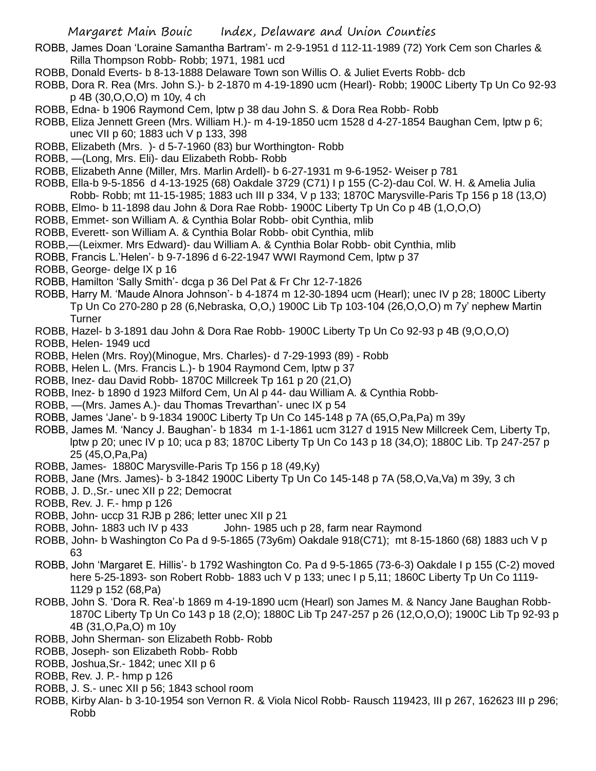- ROBB, James Doan 'Loraine Samantha Bartram'- m 2-9-1951 d 112-11-1989 (72) York Cem son Charles & Rilla Thompson Robb- Robb; 1971, 1981 ucd
- ROBB, Donald Everts- b 8-13-1888 Delaware Town son Willis O. & Juliet Everts Robb- dcb
- ROBB, Dora R. Rea (Mrs. John S.)- b 2-1870 m 4-19-1890 ucm (Hearl)- Robb; 1900C Liberty Tp Un Co 92-93 p 4B (30,O,O,O) m 10y, 4 ch
- ROBB, Edna- b 1906 Raymond Cem, lptw p 38 dau John S. & Dora Rea Robb- Robb
- ROBB, Eliza Jennett Green (Mrs. William H.)- m 4-19-1850 ucm 1528 d 4-27-1854 Baughan Cem, lptw p 6; unec VII p 60; 1883 uch V p 133, 398
- ROBB, Elizabeth (Mrs. )- d 5-7-1960 (83) bur Worthington- Robb
- ROBB, —(Long, Mrs. Eli)- dau Elizabeth Robb- Robb
- ROBB, Elizabeth Anne (Miller, Mrs. Marlin Ardell)- b 6-27-1931 m 9-6-1952- Weiser p 781
- ROBB, Ella-b 9-5-1856 d 4-13-1925 (68) Oakdale 3729 (C71) I p 155 (C-2)-dau Col. W. H. & Amelia Julia Robb- Robb; mt 11-15-1985; 1883 uch III p 334, V p 133; 1870C Marysville-Paris Tp 156 p 18 (13,O)
- ROBB, Elmo- b 11-1898 dau John & Dora Rae Robb- 1900C Liberty Tp Un Co p 4B (1,O,O,O)
- ROBB, Emmet- son William A. & Cynthia Bolar Robb- obit Cynthia, mlib
- ROBB, Everett- son William A. & Cynthia Bolar Robb- obit Cynthia, mlib
- ROBB,—(Leixmer. Mrs Edward)- dau William A. & Cynthia Bolar Robb- obit Cynthia, mlib
- ROBB, Francis L.'Helen'- b 9-7-1896 d 6-22-1947 WWI Raymond Cem, lptw p 37
- ROBB, George- delge IX p 16
- ROBB, Hamilton 'Sally Smith'- dcga p 36 Del Pat & Fr Chr 12-7-1826
- ROBB, Harry M. 'Maude Alnora Johnson'- b 4-1874 m 12-30-1894 ucm (Hearl); unec IV p 28; 1800C Liberty Tp Un Co 270-280 p 28 (6,Nebraska, O,O,) 1900C Lib Tp 103-104 (26,O,O,O) m 7y' nephew Martin Turner
- ROBB, Hazel- b 3-1891 dau John & Dora Rae Robb- 1900C Liberty Tp Un Co 92-93 p 4B (9,O,O,O)
- ROBB, Helen- 1949 ucd
- ROBB, Helen (Mrs. Roy)(Minogue, Mrs. Charles)- d 7-29-1993 (89) Robb
- ROBB, Helen L. (Mrs. Francis L.)- b 1904 Raymond Cem, lptw p 37
- ROBB, Inez- dau David Robb- 1870C Millcreek Tp 161 p 20 (21,O)
- ROBB, Inez- b 1890 d 1923 Milford Cem, Un Al p 44- dau William A. & Cynthia Robb-
- ROBB, —(Mrs. James A.)- dau Thomas Trevarthan'- unec IX p 54
- ROBB, James 'Jane'- b 9-1834 1900C Liberty Tp Un Co 145-148 p 7A (65,O,Pa,Pa) m 39y
- ROBB, James M. 'Nancy J. Baughan'- b 1834 m 1-1-1861 ucm 3127 d 1915 New Millcreek Cem, Liberty Tp, lptw p 20; unec IV p 10; uca p 83; 1870C Liberty Tp Un Co 143 p 18 (34,O); 1880C Lib. Tp 247-257 p 25 (45,O,Pa,Pa)
- ROBB, James- 1880C Marysville-Paris Tp 156 p 18 (49,Ky)
- ROBB, Jane (Mrs. James)- b 3-1842 1900C Liberty Tp Un Co 145-148 p 7A (58,O,Va,Va) m 39y, 3 ch
- ROBB, J. D.,Sr.- unec XII p 22; Democrat
- ROBB, Rev. J. F.- hmp p 126
- ROBB, John- uccp 31 RJB p 286; letter unec XII p 21
- ROBB, John- 1883 uch IV p 433 John- 1985 uch p 28, farm near Raymond
- ROBB, John- b Washington Co Pa d 9-5-1865 (73y6m) Oakdale 918(C71); mt 8-15-1860 (68) 1883 uch V p 63
- ROBB, John 'Margaret E. Hillis'- b 1792 Washington Co. Pa d 9-5-1865 (73-6-3) Oakdale I p 155 (C-2) moved here 5-25-1893- son Robert Robb- 1883 uch V p 133; unec I p 5,11; 1860C Liberty Tp Un Co 1119- 1129 p 152 (68,Pa)
- ROBB, John S. 'Dora R. Rea'-b 1869 m 4-19-1890 ucm (Hearl) son James M. & Nancy Jane Baughan Robb-1870C Liberty Tp Un Co 143 p 18 (2,O); 1880C Lib Tp 247-257 p 26 (12,O,O,O); 1900C Lib Tp 92-93 p 4B (31,O,Pa,O) m 10y
- ROBB, John Sherman- son Elizabeth Robb- Robb
- ROBB, Joseph- son Elizabeth Robb- Robb
- ROBB, Joshua,Sr.- 1842; unec XII p 6
- ROBB, Rev. J. P.- hmp p 126
- ROBB, J. S.- unec XII p 56; 1843 school room
- ROBB, Kirby Alan- b 3-10-1954 son Vernon R. & Viola Nicol Robb- Rausch 119423, III p 267, 162623 III p 296; Robb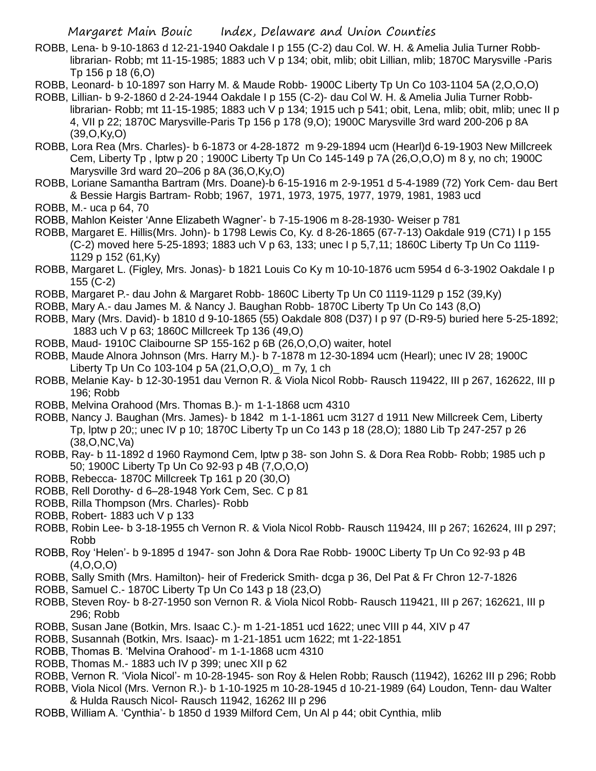- ROBB, Lena- b 9-10-1863 d 12-21-1940 Oakdale I p 155 (C-2) dau Col. W. H. & Amelia Julia Turner Robblibrarian- Robb; mt 11-15-1985; 1883 uch V p 134; obit, mlib; obit Lillian, mlib; 1870C Marysville -Paris Tp 156 p 18 (6,O)
- ROBB, Leonard- b 10-1897 son Harry M. & Maude Robb- 1900C Liberty Tp Un Co 103-1104 5A (2,O,O,O)
- ROBB, Lillian- b 9-2-1860 d 2-24-1944 Oakdale I p 155 (C-2)- dau Col W. H. & Amelia Julia Turner Robblibrarian- Robb; mt 11-15-1985; 1883 uch V p 134; 1915 uch p 541; obit, Lena, mlib; obit, mlib; unec II p 4, VII p 22; 1870C Marysville-Paris Tp 156 p 178 (9,O); 1900C Marysville 3rd ward 200-206 p 8A (39,O,Ky,O)
- ROBB, Lora Rea (Mrs. Charles)- b 6-1873 or 4-28-1872 m 9-29-1894 ucm (Hearl)d 6-19-1903 New Millcreek Cem, Liberty Tp , lptw p 20 ; 1900C Liberty Tp Un Co 145-149 p 7A (26,O,O,O) m 8 y, no ch; 1900C Marysville 3rd ward 20–206 p 8A (36,O,Ky,O)
- ROBB, Loriane Samantha Bartram (Mrs. Doane)-b 6-15-1916 m 2-9-1951 d 5-4-1989 (72) York Cem- dau Bert & Bessie Hargis Bartram- Robb; 1967, 1971, 1973, 1975, 1977, 1979, 1981, 1983 ucd
- ROBB, M.- uca p 64, 70
- ROBB, Mahlon Keister 'Anne Elizabeth Wagner'- b 7-15-1906 m 8-28-1930- Weiser p 781
- ROBB, Margaret E. Hillis(Mrs. John)- b 1798 Lewis Co, Ky. d 8-26-1865 (67-7-13) Oakdale 919 (C71) I p 155 (C-2) moved here 5-25-1893; 1883 uch V p 63, 133; unec I p 5,7,11; 1860C Liberty Tp Un Co 1119- 1129 p 152 (61,Ky)
- ROBB, Margaret L. (Figley, Mrs. Jonas)- b 1821 Louis Co Ky m 10-10-1876 ucm 5954 d 6-3-1902 Oakdale I p 155 (C-2)
- ROBB, Margaret P.- dau John & Margaret Robb- 1860C Liberty Tp Un C0 1119-1129 p 152 (39,Ky)
- ROBB, Mary A.- dau James M. & Nancy J. Baughan Robb- 1870C Liberty Tp Un Co 143 (8,O)
- ROBB, Mary (Mrs. David)- b 1810 d 9-10-1865 (55) Oakdale 808 (D37) I p 97 (D-R9-5) buried here 5-25-1892; 1883 uch V p 63; 1860C Millcreek Tp 136 (49,O)
- ROBB, Maud- 1910C Claibourne SP 155-162 p 6B (26,O,O,O) waiter, hotel
- ROBB, Maude Alnora Johnson (Mrs. Harry M.)- b 7-1878 m 12-30-1894 ucm (Hearl); unec IV 28; 1900C Liberty Tp Un Co 103-104 p 5A (21,O,O,O)\_ m 7y, 1 ch
- ROBB, Melanie Kay- b 12-30-1951 dau Vernon R. & Viola Nicol Robb- Rausch 119422, III p 267, 162622, III p 196; Robb
- ROBB, Melvina Orahood (Mrs. Thomas B.)- m 1-1-1868 ucm 4310
- ROBB, Nancy J. Baughan (Mrs. James)- b 1842 m 1-1-1861 ucm 3127 d 1911 New Millcreek Cem, Liberty Tp, lptw p 20;; unec IV p 10; 1870C Liberty Tp un Co 143 p 18 (28,O); 1880 Lib Tp 247-257 p 26 (38,O,NC,Va)
- ROBB, Ray- b 11-1892 d 1960 Raymond Cem, lptw p 38- son John S. & Dora Rea Robb- Robb; 1985 uch p 50; 1900C Liberty Tp Un Co 92-93 p 4B (7,O,O,O)
- ROBB, Rebecca- 1870C Millcreek Tp 161 p 20 (30,O)
- ROBB, Rell Dorothy- d 6–28-1948 York Cem, Sec. C p 81
- ROBB, Rilla Thompson (Mrs. Charles)- Robb
- ROBB, Robert- 1883 uch V p 133
- ROBB, Robin Lee- b 3-18-1955 ch Vernon R. & Viola Nicol Robb- Rausch 119424, III p 267; 162624, III p 297; Robb
- ROBB, Roy 'Helen'- b 9-1895 d 1947- son John & Dora Rae Robb- 1900C Liberty Tp Un Co 92-93 p 4B  $(4,0,0,0)$
- ROBB, Sally Smith (Mrs. Hamilton)- heir of Frederick Smith- dcga p 36, Del Pat & Fr Chron 12-7-1826
- ROBB, Samuel C.- 1870C Liberty Tp Un Co 143 p 18 (23,O)
- ROBB, Steven Roy- b 8-27-1950 son Vernon R. & Viola Nicol Robb- Rausch 119421, III p 267; 162621, III p 296; Robb
- ROBB, Susan Jane (Botkin, Mrs. Isaac C.)- m 1-21-1851 ucd 1622; unec VIII p 44, XIV p 47
- ROBB, Susannah (Botkin, Mrs. Isaac)- m 1-21-1851 ucm 1622; mt 1-22-1851
- ROBB, Thomas B. 'Melvina Orahood'- m 1-1-1868 ucm 4310
- ROBB, Thomas M.- 1883 uch IV p 399; unec XII p 62
- ROBB, Vernon R. 'Viola Nicol'- m 10-28-1945- son Roy & Helen Robb; Rausch (11942), 16262 III p 296; Robb
- ROBB, Viola Nicol (Mrs. Vernon R.)- b 1-10-1925 m 10-28-1945 d 10-21-1989 (64) Loudon, Tenn- dau Walter & Hulda Rausch Nicol- Rausch 11942, 16262 III p 296
- ROBB, William A. 'Cynthia'- b 1850 d 1939 Milford Cem, Un Al p 44; obit Cynthia, mlib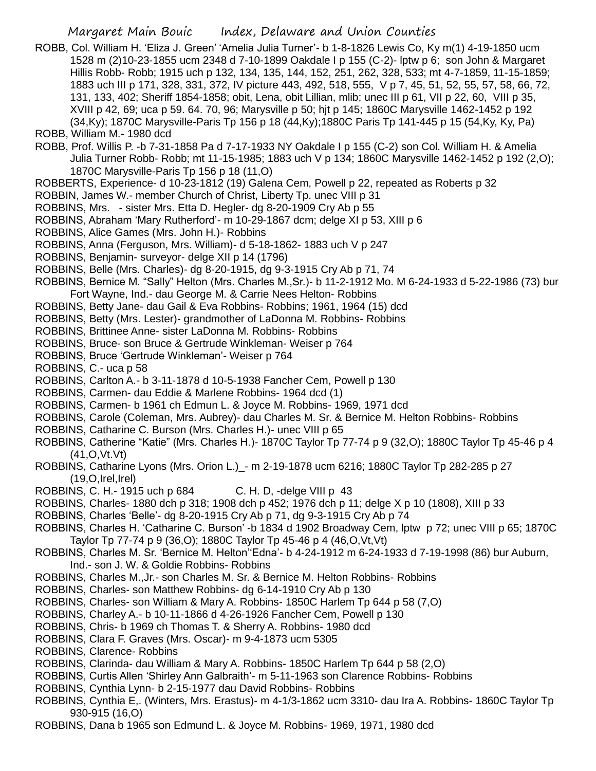- ROBB, Col. William H. 'Eliza J. Green' 'Amelia Julia Turner'- b 1-8-1826 Lewis Co, Ky m(1) 4-19-1850 ucm 1528 m (2)10-23-1855 ucm 2348 d 7-10-1899 Oakdale I p 155 (C-2)- lptw p 6; son John & Margaret Hillis Robb- Robb; 1915 uch p 132, 134, 135, 144, 152, 251, 262, 328, 533; mt 4-7-1859, 11-15-1859; 1883 uch III p 171, 328, 331, 372, IV picture 443, 492, 518, 555, V p 7, 45, 51, 52, 55, 57, 58, 66, 72, 131, 133, 402; Sheriff 1854-1858; obit, Lena, obit Lillian, mlib; unec III p 61, VII p 22, 60, VIII p 35, XVIII p 42, 69; uca p 59. 64. 70, 96; Marysville p 50; hjt p 145; 1860C Marysville 1462-1452 p 192 (34,Ky); 1870C Marysville-Paris Tp 156 p 18 (44,Ky);1880C Paris Tp 141-445 p 15 (54,Ky, Ky, Pa)
- ROBB, William M.- 1980 dcd
- ROBB, Prof. Willis P. -b 7-31-1858 Pa d 7-17-1933 NY Oakdale I p 155 (C-2) son Col. William H. & Amelia Julia Turner Robb- Robb; mt 11-15-1985; 1883 uch V p 134; 1860C Marysville 1462-1452 p 192 (2,O); 1870C Marysville-Paris Tp 156 p 18 (11,O)
- ROBBERTS, Experience- d 10-23-1812 (19) Galena Cem, Powell p 22, repeated as Roberts p 32
- ROBBIN, James W.- member Church of Christ, Liberty Tp. unec VIII p 31
- ROBBINS, Mrs. sister Mrs. Etta D. Hegler- dg 8-20-1909 Cry Ab p 55
- ROBBINS, Abraham 'Mary Rutherford'- m 10-29-1867 dcm; delge XI p 53, XIII p 6
- ROBBINS, Alice Games (Mrs. John H.)- Robbins
- ROBBINS, Anna (Ferguson, Mrs. William)- d 5-18-1862- 1883 uch V p 247
- ROBBINS, Benjamin- surveyor- delge XII p 14 (1796)
- ROBBINS, Belle (Mrs. Charles)- dg 8-20-1915, dg 9-3-1915 Cry Ab p 71, 74
- ROBBINS, Bernice M. "Sally" Helton (Mrs. Charles M.,Sr.)- b 11-2-1912 Mo. M 6-24-1933 d 5-22-1986 (73) bur Fort Wayne, Ind.- dau George M. & Carrie Nees Helton- Robbins
- ROBBINS, Betty Jane- dau Gail & Eva Robbins- Robbins; 1961, 1964 (15) dcd
- ROBBINS, Betty (Mrs. Lester)- grandmother of LaDonna M. Robbins- Robbins
- ROBBINS, Brittinee Anne- sister LaDonna M. Robbins- Robbins
- ROBBINS, Bruce- son Bruce & Gertrude Winkleman- Weiser p 764
- ROBBINS, Bruce 'Gertrude Winkleman'- Weiser p 764
- ROBBINS, C.- uca p 58
- ROBBINS, Carlton A.- b 3-11-1878 d 10-5-1938 Fancher Cem, Powell p 130
- ROBBINS, Carmen- dau Eddie & Marlene Robbins- 1964 dcd (1)
- ROBBINS, Carmen- b 1961 ch Edmun L. & Joyce M. Robbins- 1969, 1971 dcd
- ROBBINS, Carole (Coleman, Mrs. Aubrey)- dau Charles M. Sr. & Bernice M. Helton Robbins- Robbins
- ROBBINS, Catharine C. Burson (Mrs. Charles H.)- unec VIII p 65
- ROBBINS, Catherine "Katie" (Mrs. Charles H.)- 1870C Taylor Tp 77-74 p 9 (32,O); 1880C Taylor Tp 45-46 p 4 (41,O,Vt.Vt)
- ROBBINS, Catharine Lyons (Mrs. Orion L.)\_- m 2-19-1878 ucm 6216; 1880C Taylor Tp 282-285 p 27  $(19, O, Irel, Irel)$
- ROBBINS, C. H.- 1915 uch p 684 C. H. D, -delge VIII p 43
- ROBBINS, Charles- 1880 dch p 318; 1908 dch p 452; 1976 dch p 11; delge X p 10 (1808), XIII p 33
- ROBBINS, Charles 'Belle'- dg 8-20-1915 Cry Ab p 71, dg 9-3-1915 Cry Ab p 74
- ROBBINS, Charles H. 'Catharine C. Burson' -b 1834 d 1902 Broadway Cem, lptw p 72; unec VIII p 65; 1870C Taylor Tp 77-74 p 9 (36,O); 1880C Taylor Tp 45-46 p 4 (46,O,Vt,Vt)
- ROBBINS, Charles M. Sr. 'Bernice M. Helton''Edna'- b 4-24-1912 m 6-24-1933 d 7-19-1998 (86) bur Auburn, Ind.- son J. W. & Goldie Robbins- Robbins
- ROBBINS, Charles M.,Jr.- son Charles M. Sr. & Bernice M. Helton Robbins- Robbins
- ROBBINS, Charles- son Matthew Robbins- dg 6-14-1910 Cry Ab p 130
- ROBBINS, Charles- son William & Mary A. Robbins- 1850C Harlem Tp 644 p 58 (7,O)
- ROBBINS, Charley A.- b 10-11-1866 d 4-26-1926 Fancher Cem, Powell p 130
- ROBBINS, Chris- b 1969 ch Thomas T. & Sherry A. Robbins- 1980 dcd
- ROBBINS, Clara F. Graves (Mrs. Oscar)- m 9-4-1873 ucm 5305
- ROBBINS, Clarence- Robbins
- ROBBINS, Clarinda- dau William & Mary A. Robbins- 1850C Harlem Tp 644 p 58 (2,O)
- ROBBINS, Curtis Allen 'Shirley Ann Galbraith'- m 5-11-1963 son Clarence Robbins- Robbins
- ROBBINS, Cynthia Lynn- b 2-15-1977 dau David Robbins- Robbins
- ROBBINS, Cynthia E,. (Winters, Mrs. Erastus)- m 4-1/3-1862 ucm 3310- dau Ira A. Robbins- 1860C Taylor Tp 930-915 (16,O)
- ROBBINS, Dana b 1965 son Edmund L. & Joyce M. Robbins- 1969, 1971, 1980 dcd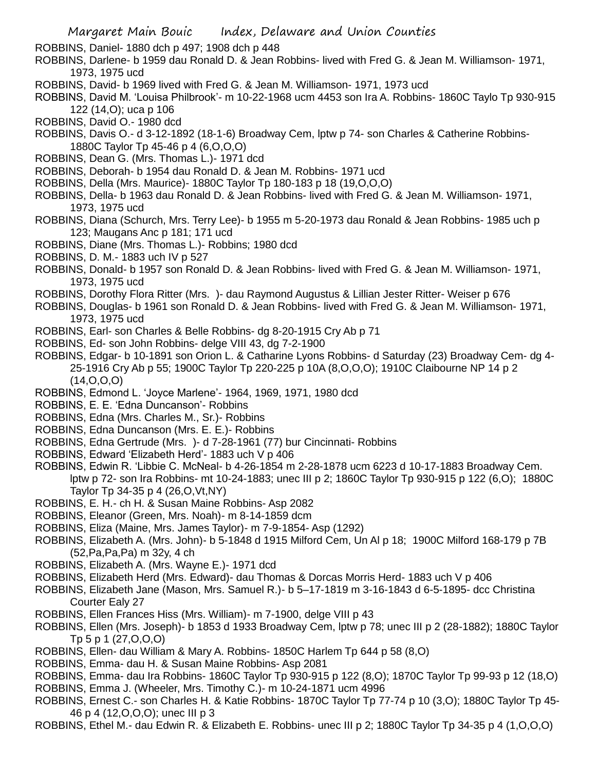ROBBINS, Daniel- 1880 dch p 497; 1908 dch p 448

- ROBBINS, Darlene- b 1959 dau Ronald D. & Jean Robbins- lived with Fred G. & Jean M. Williamson- 1971, 1973, 1975 ucd
- ROBBINS, David- b 1969 lived with Fred G. & Jean M. Williamson- 1971, 1973 ucd
- ROBBINS, David M. 'Louisa Philbrook'- m 10-22-1968 ucm 4453 son Ira A. Robbins- 1860C Taylo Tp 930-915 122 (14,O); uca p 106
- ROBBINS, David O.- 1980 dcd
- ROBBINS, Davis O.- d 3-12-1892 (18-1-6) Broadway Cem, lptw p 74- son Charles & Catherine Robbins-1880C Taylor Tp 45-46 p 4 (6,O,O,O)
- ROBBINS, Dean G. (Mrs. Thomas L.)- 1971 dcd
- ROBBINS, Deborah- b 1954 dau Ronald D. & Jean M. Robbins- 1971 ucd
- ROBBINS, Della (Mrs. Maurice)- 1880C Taylor Tp 180-183 p 18 (19,O,O,O)
- ROBBINS, Della- b 1963 dau Ronald D. & Jean Robbins- lived with Fred G. & Jean M. Williamson- 1971, 1973, 1975 ucd
- ROBBINS, Diana (Schurch, Mrs. Terry Lee)- b 1955 m 5-20-1973 dau Ronald & Jean Robbins- 1985 uch p 123; Maugans Anc p 181; 171 ucd
- ROBBINS, Diane (Mrs. Thomas L.)- Robbins; 1980 dcd
- ROBBINS, D. M.- 1883 uch IV p 527
- ROBBINS, Donald- b 1957 son Ronald D. & Jean Robbins- lived with Fred G. & Jean M. Williamson- 1971, 1973, 1975 ucd
- ROBBINS, Dorothy Flora Ritter (Mrs. )- dau Raymond Augustus & Lillian Jester Ritter- Weiser p 676
- ROBBINS, Douglas- b 1961 son Ronald D. & Jean Robbins- lived with Fred G. & Jean M. Williamson- 1971, 1973, 1975 ucd
- ROBBINS, Earl- son Charles & Belle Robbins- dg 8-20-1915 Cry Ab p 71
- ROBBINS, Ed- son John Robbins- delge VIII 43, dg 7-2-1900
- ROBBINS, Edgar- b 10-1891 son Orion L. & Catharine Lyons Robbins- d Saturday (23) Broadway Cem- dg 4- 25-1916 Cry Ab p 55; 1900C Taylor Tp 220-225 p 10A (8,O,O,O); 1910C Claibourne NP 14 p 2  $(14, 0, 0, 0)$
- ROBBINS, Edmond L. 'Joyce Marlene'- 1964, 1969, 1971, 1980 dcd
- ROBBINS, E. E. 'Edna Duncanson'- Robbins
- ROBBINS, Edna (Mrs. Charles M., Sr.)- Robbins
- ROBBINS, Edna Duncanson (Mrs. E. E.)- Robbins
- ROBBINS, Edna Gertrude (Mrs. )- d 7-28-1961 (77) bur Cincinnati- Robbins
- ROBBINS, Edward 'Elizabeth Herd'- 1883 uch V p 406
- ROBBINS, Edwin R. 'Libbie C. McNeal- b 4-26-1854 m 2-28-1878 ucm 6223 d 10-17-1883 Broadway Cem. lptw p 72- son Ira Robbins- mt 10-24-1883; unec III p 2; 1860C Taylor Tp 930-915 p 122 (6,O); 1880C Taylor Tp 34-35 p 4 (26,O,Vt,NY)
- ROBBINS, E. H.- ch H. & Susan Maine Robbins- Asp 2082
- ROBBINS, Eleanor (Green, Mrs. Noah)- m 8-14-1859 dcm
- ROBBINS, Eliza (Maine, Mrs. James Taylor)- m 7-9-1854- Asp (1292)
- ROBBINS, Elizabeth A. (Mrs. John)- b 5-1848 d 1915 Milford Cem, Un Al p 18; 1900C Milford 168-179 p 7B (52,Pa,Pa,Pa) m 32y, 4 ch
- ROBBINS, Elizabeth A. (Mrs. Wayne E.)- 1971 dcd
- ROBBINS, Elizabeth Herd (Mrs. Edward)- dau Thomas & Dorcas Morris Herd- 1883 uch V p 406
- ROBBINS, Elizabeth Jane (Mason, Mrs. Samuel R.)- b 5–17-1819 m 3-16-1843 d 6-5-1895- dcc Christina Courter Ealy 27
- ROBBINS, Ellen Frances Hiss (Mrs. William)- m 7-1900, delge VIII p 43
- ROBBINS, Ellen (Mrs. Joseph)- b 1853 d 1933 Broadway Cem, lptw p 78; unec III p 2 (28-1882); 1880C Taylor Tp 5 p 1 (27,O,O,O)
- ROBBINS, Ellen- dau William & Mary A. Robbins- 1850C Harlem Tp 644 p 58 (8,O)
- ROBBINS, Emma- dau H. & Susan Maine Robbins- Asp 2081
- ROBBINS, Emma- dau Ira Robbins- 1860C Taylor Tp 930-915 p 122 (8,O); 1870C Taylor Tp 99-93 p 12 (18,O) ROBBINS, Emma J. (Wheeler, Mrs. Timothy C.)- m 10-24-1871 ucm 4996
- ROBBINS, Ernest C.- son Charles H. & Katie Robbins- 1870C Taylor Tp 77-74 p 10 (3,O); 1880C Taylor Tp 45- 46 p 4 (12,O,O,O); unec III p 3
- ROBBINS, Ethel M.- dau Edwin R. & Elizabeth E. Robbins- unec III p 2; 1880C Taylor Tp 34-35 p 4 (1,O,O,O)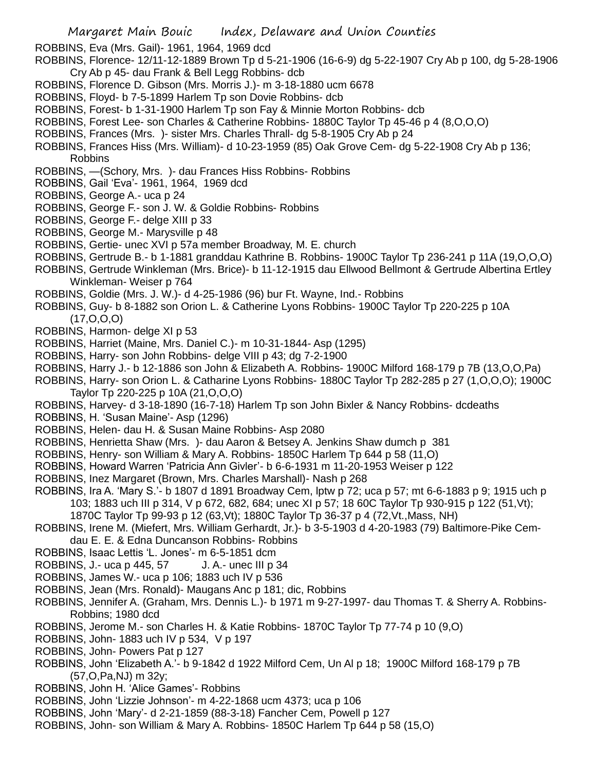ROBBINS, Eva (Mrs. Gail)- 1961, 1964, 1969 dcd

- ROBBINS, Florence- 12/11-12-1889 Brown Tp d 5-21-1906 (16-6-9) dg 5-22-1907 Cry Ab p 100, dg 5-28-1906 Cry Ab p 45- dau Frank & Bell Legg Robbins- dcb
- ROBBINS, Florence D. Gibson (Mrs. Morris J.)- m 3-18-1880 ucm 6678
- ROBBINS, Floyd- b 7-5-1899 Harlem Tp son Dovie Robbins- dcb
- ROBBINS, Forest- b 1-31-1900 Harlem Tp son Fay & Minnie Morton Robbins- dcb
- ROBBINS, Forest Lee- son Charles & Catherine Robbins- 1880C Taylor Tp 45-46 p 4 (8,O,O,O)
- ROBBINS, Frances (Mrs. )- sister Mrs. Charles Thrall- dg 5-8-1905 Cry Ab p 24
- ROBBINS, Frances Hiss (Mrs. William)- d 10-23-1959 (85) Oak Grove Cem- dg 5-22-1908 Cry Ab p 136; Robbins

ROBBINS, —(Schory, Mrs. )- dau Frances Hiss Robbins- Robbins

- ROBBINS, Gail 'Eva'- 1961, 1964, 1969 dcd
- ROBBINS, George A.- uca p 24
- ROBBINS, George F.- son J. W. & Goldie Robbins- Robbins
- ROBBINS, George F.- delge XIII p 33
- ROBBINS, George M.- Marysville p 48
- ROBBINS, Gertie- unec XVI p 57a member Broadway, M. E. church
- ROBBINS, Gertrude B.- b 1-1881 granddau Kathrine B. Robbins- 1900C Taylor Tp 236-241 p 11A (19,O,O,O)
- ROBBINS, Gertrude Winkleman (Mrs. Brice)- b 11-12-1915 dau Ellwood Bellmont & Gertrude Albertina Ertley Winkleman- Weiser p 764
- ROBBINS, Goldie (Mrs. J. W.)- d 4-25-1986 (96) bur Ft. Wayne, Ind.- Robbins
- ROBBINS, Guy- b 8-1882 son Orion L. & Catherine Lyons Robbins- 1900C Taylor Tp 220-225 p 10A  $(17, 0, 0, 0)$
- ROBBINS, Harmon- delge XI p 53
- ROBBINS, Harriet (Maine, Mrs. Daniel C.)- m 10-31-1844- Asp (1295)
- ROBBINS, Harry- son John Robbins- delge VIII p 43; dg 7-2-1900
- ROBBINS, Harry J.- b 12-1886 son John & Elizabeth A. Robbins- 1900C Milford 168-179 p 7B (13,O,O,Pa)
- ROBBINS, Harry- son Orion L. & Catharine Lyons Robbins- 1880C Taylor Tp 282-285 p 27 (1,O,O,O); 1900C Taylor Tp 220-225 p 10A (21,O,O,O)
- ROBBINS, Harvey- d 3-18-1890 (16-7-18) Harlem Tp son John Bixler & Nancy Robbins- dcdeaths
- ROBBINS, H. 'Susan Maine'- Asp (1296)
- ROBBINS, Helen- dau H. & Susan Maine Robbins- Asp 2080
- ROBBINS, Henrietta Shaw (Mrs. )- dau Aaron & Betsey A. Jenkins Shaw dumch p 381
- ROBBINS, Henry- son William & Mary A. Robbins- 1850C Harlem Tp 644 p 58 (11,O)
- ROBBINS, Howard Warren 'Patricia Ann Givler'- b 6-6-1931 m 11-20-1953 Weiser p 122
- ROBBINS, Inez Margaret (Brown, Mrs. Charles Marshall)- Nash p 268
- ROBBINS, Ira A. 'Mary S.'- b 1807 d 1891 Broadway Cem, lptw p 72; uca p 57; mt 6-6-1883 p 9; 1915 uch p 103; 1883 uch III p 314, V p 672, 682, 684; unec XI p 57; 18 60C Taylor Tp 930-915 p 122 (51,Vt);
	- 1870C Taylor Tp 99-93 p 12 (63,Vt); 1880C Taylor Tp 36-37 p 4 (72,Vt.,Mass, NH)
- ROBBINS, Irene M. (Miefert, Mrs. William Gerhardt, Jr.)- b 3-5-1903 d 4-20-1983 (79) Baltimore-Pike Cemdau E. E. & Edna Duncanson Robbins- Robbins
- ROBBINS, Isaac Lettis 'L. Jones'- m 6-5-1851 dcm
- ROBBINS, J.- uca p 445, 57 J. A.- unec III p 34
- ROBBINS, James W.- uca p 106; 1883 uch IV p 536
- ROBBINS, Jean (Mrs. Ronald)- Maugans Anc p 181; dic, Robbins
- ROBBINS, Jennifer A. (Graham, Mrs. Dennis L.)- b 1971 m 9-27-1997- dau Thomas T. & Sherry A. Robbins-Robbins; 1980 dcd
- ROBBINS, Jerome M.- son Charles H. & Katie Robbins- 1870C Taylor Tp 77-74 p 10 (9,O)
- ROBBINS, John- 1883 uch IV p 534, V p 197
- ROBBINS, John- Powers Pat p 127
- ROBBINS, John 'Elizabeth A.'- b 9-1842 d 1922 Milford Cem, Un Al p 18; 1900C Milford 168-179 p 7B (57,O,Pa,NJ) m 32y;
- ROBBINS, John H. 'Alice Games'- Robbins
- ROBBINS, John 'Lizzie Johnson'- m 4-22-1868 ucm 4373; uca p 106
- ROBBINS, John 'Mary'- d 2-21-1859 (88-3-18) Fancher Cem, Powell p 127
- ROBBINS, John- son William & Mary A. Robbins- 1850C Harlem Tp 644 p 58 (15,O)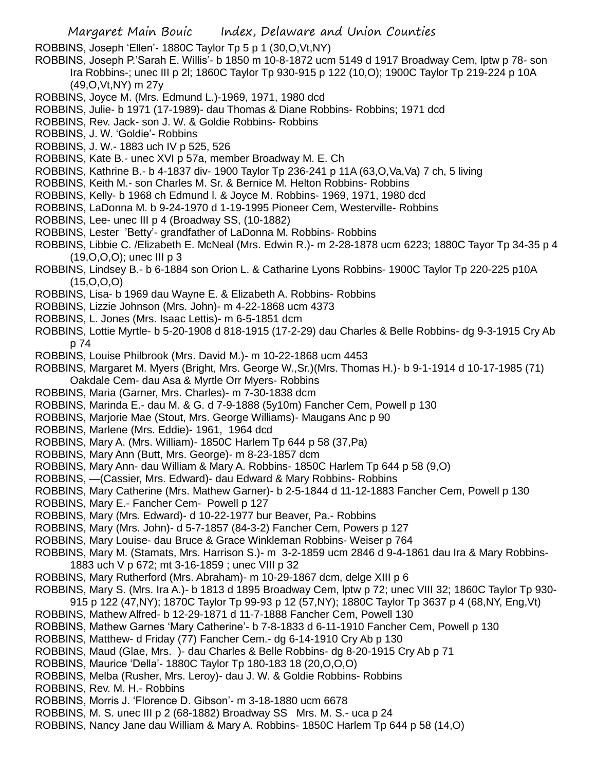ROBBINS, Joseph 'Ellen'- 1880C Taylor Tp 5 p 1 (30,O,Vt,NY)

ROBBINS, Joseph P.'Sarah E. Willis'- b 1850 m 10-8-1872 ucm 5149 d 1917 Broadway Cem, lptw p 78- son Ira Robbins-; unec III p 2l; 1860C Taylor Tp 930-915 p 122 (10,O); 1900C Taylor Tp 219-224 p 10A (49,O,Vt,NY) m 27y

ROBBINS, Joyce M. (Mrs. Edmund L.)-1969, 1971, 1980 dcd

- ROBBINS, Julie- b 1971 (17-1989)- dau Thomas & Diane Robbins- Robbins; 1971 dcd
- ROBBINS, Rev. Jack- son J. W. & Goldie Robbins- Robbins
- ROBBINS, J. W. 'Goldie'- Robbins
- ROBBINS, J. W.- 1883 uch IV p 525, 526
- ROBBINS, Kate B.- unec XVI p 57a, member Broadway M. E. Ch
- ROBBINS, Kathrine B.- b 4-1837 div- 1900 Taylor Tp 236-241 p 11A (63,O,Va,Va) 7 ch, 5 living
- ROBBINS, Keith M.- son Charles M. Sr. & Bernice M. Helton Robbins- Robbins
- ROBBINS, Kelly- b 1968 ch Edmund l. & Joyce M. Robbins- 1969, 1971, 1980 dcd
- ROBBINS, LaDonna M. b 9-24-1970 d 1-19-1995 Pioneer Cem, Westerville- Robbins
- ROBBINS, Lee- unec III p 4 (Broadway SS, (10-1882)
- ROBBINS, Lester 'Betty'- grandfather of LaDonna M. Robbins- Robbins
- ROBBINS, Libbie C. /Elizabeth E. McNeal (Mrs. Edwin R.)- m 2-28-1878 ucm 6223; 1880C Tayor Tp 34-35 p 4 (19,O,O,O); unec III p 3
- ROBBINS, Lindsey B.- b 6-1884 son Orion L. & Catharine Lyons Robbins- 1900C Taylor Tp 220-225 p10A (15,O,O,O)
- ROBBINS, Lisa- b 1969 dau Wayne E. & Elizabeth A. Robbins- Robbins
- ROBBINS, Lizzie Johnson (Mrs. John)- m 4-22-1868 ucm 4373
- ROBBINS, L. Jones (Mrs. Isaac Lettis)- m 6-5-1851 dcm
- ROBBINS, Lottie Myrtle- b 5-20-1908 d 818-1915 (17-2-29) dau Charles & Belle Robbins- dg 9-3-1915 Cry Ab p 74
- ROBBINS, Louise Philbrook (Mrs. David M.)- m 10-22-1868 ucm 4453
- ROBBINS, Margaret M. Myers (Bright, Mrs. George W.,Sr.)(Mrs. Thomas H.)- b 9-1-1914 d 10-17-1985 (71) Oakdale Cem- dau Asa & Myrtle Orr Myers- Robbins
- ROBBINS, Maria (Garner, Mrs. Charles)- m 7-30-1838 dcm
- ROBBINS, Marinda E.- dau M. & G. d 7-9-1888 (5y10m) Fancher Cem, Powell p 130
- ROBBINS, Marjorie Mae (Stout, Mrs. George Williams)- Maugans Anc p 90
- ROBBINS, Marlene (Mrs. Eddie)- 1961, 1964 dcd
- ROBBINS, Mary A. (Mrs. William)- 1850C Harlem Tp 644 p 58 (37,Pa)
- ROBBINS, Mary Ann (Butt, Mrs. George)- m 8-23-1857 dcm
- ROBBINS, Mary Ann- dau William & Mary A. Robbins- 1850C Harlem Tp 644 p 58 (9,O)
- ROBBINS, —(Cassier, Mrs. Edward)- dau Edward & Mary Robbins- Robbins
- ROBBINS, Mary Catherine (Mrs. Mathew Garner)- b 2-5-1844 d 11-12-1883 Fancher Cem, Powell p 130
- ROBBINS, Mary E.- Fancher Cem- Powell p 127
- ROBBINS, Mary (Mrs. Edward)- d 10-22-1977 bur Beaver, Pa.- Robbins
- ROBBINS, Mary (Mrs. John)- d 5-7-1857 (84-3-2) Fancher Cem, Powers p 127
- ROBBINS, Mary Louise- dau Bruce & Grace Winkleman Robbins- Weiser p 764
- ROBBINS, Mary M. (Stamats, Mrs. Harrison S.)- m 3-2-1859 ucm 2846 d 9-4-1861 dau Ira & Mary Robbins-1883 uch V p 672; mt 3-16-1859 ; unec VIII p 32
- ROBBINS, Mary Rutherford (Mrs. Abraham)- m 10-29-1867 dcm, delge XIII p 6
- ROBBINS, Mary S. (Mrs. Ira A.)- b 1813 d 1895 Broadway Cem, lptw p 72; unec VIII 32; 1860C Taylor Tp 930-
- 915 p 122 (47,NY); 1870C Taylor Tp 99-93 p 12 (57,NY); 1880C Taylor Tp 3637 p 4 (68,NY, Eng,Vt)
- ROBBINS, Mathew Alfred- b 12-29-1871 d 11-7-1888 Fancher Cem, Powell 130
- ROBBINS, Mathew Garnes 'Mary Catherine'- b 7-8-1833 d 6-11-1910 Fancher Cem, Powell p 130
- ROBBINS, Matthew- d Friday (77) Fancher Cem.- dg 6-14-1910 Cry Ab p 130
- ROBBINS, Maud (Glae, Mrs. )- dau Charles & Belle Robbins- dg 8-20-1915 Cry Ab p 71
- ROBBINS, Maurice 'Della'- 1880C Taylor Tp 180-183 18 (20,O,O,O)
- ROBBINS, Melba (Rusher, Mrs. Leroy)- dau J. W. & Goldie Robbins- Robbins
- ROBBINS, Rev. M. H.- Robbins
- ROBBINS, Morris J. 'Florence D. Gibson'- m 3-18-1880 ucm 6678
- ROBBINS, M. S. unec III p 2 (68-1882) Broadway SS Mrs. M. S.- uca p 24
- ROBBINS, Nancy Jane dau William & Mary A. Robbins- 1850C Harlem Tp 644 p 58 (14,O)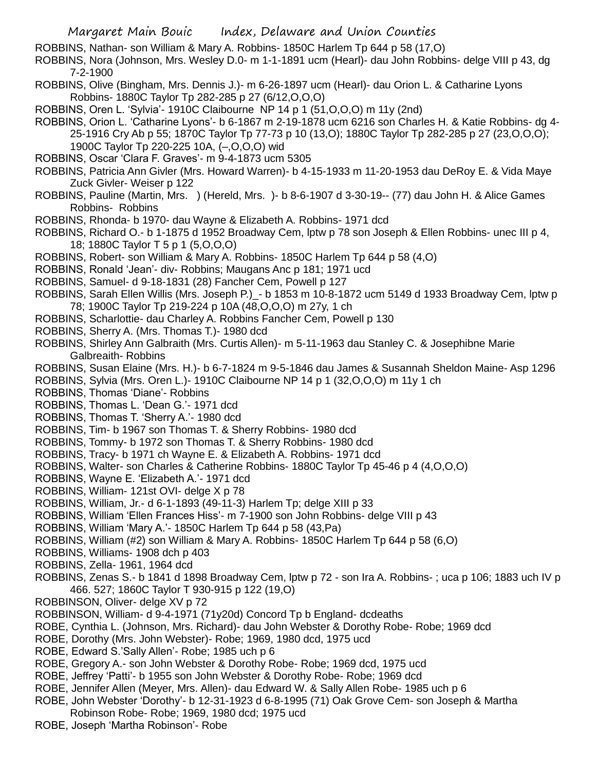ROBBINS, Nathan- son William & Mary A. Robbins- 1850C Harlem Tp 644 p 58 (17,O)

ROBBINS, Nora (Johnson, Mrs. Wesley D.0- m 1-1-1891 ucm (Hearl)- dau John Robbins- delge VIII p 43, dg 7-2-1900

ROBBINS, Olive (Bingham, Mrs. Dennis J.)- m 6-26-1897 ucm (Hearl)- dau Orion L. & Catharine Lyons Robbins- 1880C Taylor Tp 282-285 p 27 (6/12,O,O,O)

ROBBINS, Oren L. 'Sylvia'- 1910C Claibourne NP 14 p 1 (51,O,O,O) m 11y (2nd)

- ROBBINS, Orion L. 'Catharine Lyons'- b 6-1867 m 2-19-1878 ucm 6216 son Charles H. & Katie Robbins- dg 4- 25-1916 Cry Ab p 55; 1870C Taylor Tp 77-73 p 10 (13,O); 1880C Taylor Tp 282-285 p 27 (23,O,O,O); 1900C Taylor Tp 220-225 10A, (–,O,O,O) wid
- ROBBINS, Oscar 'Clara F. Graves'- m 9-4-1873 ucm 5305
- ROBBINS, Patricia Ann Givler (Mrs. Howard Warren)- b 4-15-1933 m 11-20-1953 dau DeRoy E. & Vida Maye Zuck Givler- Weiser p 122
- ROBBINS, Pauline (Martin, Mrs. ) (Hereld, Mrs. )- b 8-6-1907 d 3-30-19-- (77) dau John H. & Alice Games Robbins- Robbins
- ROBBINS, Rhonda- b 1970- dau Wayne & Elizabeth A. Robbins- 1971 dcd
- ROBBINS, Richard O.- b 1-1875 d 1952 Broadway Cem, lptw p 78 son Joseph & Ellen Robbins- unec III p 4, 18; 1880C Taylor T 5 p 1 (5,O,O,O)
- ROBBINS, Robert- son William & Mary A. Robbins- 1850C Harlem Tp 644 p 58 (4,O)
- ROBBINS, Ronald 'Jean'- div- Robbins; Maugans Anc p 181; 1971 ucd
- ROBBINS, Samuel- d 9-18-1831 (28) Fancher Cem, Powell p 127
- ROBBINS, Sarah Ellen Willis (Mrs. Joseph P.)\_- b 1853 m 10-8-1872 ucm 5149 d 1933 Broadway Cem, lptw p 78; 1900C Taylor Tp 219-224 p 10A (48,O,O,O) m 27y, 1 ch
- ROBBINS, Scharlottie- dau Charley A. Robbins Fancher Cem, Powell p 130
- ROBBINS, Sherry A. (Mrs. Thomas T.)- 1980 dcd
- ROBBINS, Shirley Ann Galbraith (Mrs. Curtis Allen)- m 5-11-1963 dau Stanley C. & Josephibne Marie Galbreaith- Robbins
- ROBBINS, Susan Elaine (Mrs. H.)- b 6-7-1824 m 9-5-1846 dau James & Susannah Sheldon Maine- Asp 1296
- ROBBINS, Sylvia (Mrs. Oren L.)- 1910C Claibourne NP 14 p 1 (32,O,O,O) m 11y 1 ch
- ROBBINS, Thomas 'Diane'- Robbins
- ROBBINS, Thomas L. 'Dean G.'- 1971 dcd
- ROBBINS, Thomas T. 'Sherry A.'- 1980 dcd
- ROBBINS, Tim- b 1967 son Thomas T. & Sherry Robbins- 1980 dcd
- ROBBINS, Tommy- b 1972 son Thomas T. & Sherry Robbins- 1980 dcd
- ROBBINS, Tracy- b 1971 ch Wayne E. & Elizabeth A. Robbins- 1971 dcd
- ROBBINS, Walter- son Charles & Catherine Robbins- 1880C Taylor Tp 45-46 p 4 (4,O,O,O)
- ROBBINS, Wayne E. 'Elizabeth A.'- 1971 dcd
- ROBBINS, William- 121st OVI- delge X p 78
- ROBBINS, William, Jr.- d 6-1-1893 (49-11-3) Harlem Tp; delge XIII p 33
- ROBBINS, William 'Ellen Frances Hiss'- m 7-1900 son John Robbins- delge VIII p 43
- ROBBINS, William 'Mary A.'- 1850C Harlem Tp 644 p 58 (43,Pa)
- ROBBINS, William (#2) son William & Mary A. Robbins- 1850C Harlem Tp 644 p 58 (6,O)
- ROBBINS, Williams- 1908 dch p 403
- ROBBINS, Zella- 1961, 1964 dcd
- ROBBINS, Zenas S.- b 1841 d 1898 Broadway Cem, lptw p 72 son Ira A. Robbins- ; uca p 106; 1883 uch IV p 466. 527; 1860C Taylor T 930-915 p 122 (19,O)
- ROBBINSON, Oliver- delge XV p 72
- ROBBINSON, William- d 9-4-1971 (71y20d) Concord Tp b England- dcdeaths
- ROBE, Cynthia L. (Johnson, Mrs. Richard)- dau John Webster & Dorothy Robe- Robe; 1969 dcd
- ROBE, Dorothy (Mrs. John Webster)- Robe; 1969, 1980 dcd, 1975 ucd
- ROBE, Edward S.'Sally Allen'- Robe; 1985 uch p 6
- ROBE, Gregory A.- son John Webster & Dorothy Robe- Robe; 1969 dcd, 1975 ucd
- ROBE, Jeffrey 'Patti'- b 1955 son John Webster & Dorothy Robe- Robe; 1969 dcd
- ROBE, Jennifer Allen (Meyer, Mrs. Allen)- dau Edward W. & Sally Allen Robe- 1985 uch p 6
- ROBE, John Webster 'Dorothy'- b 12-31-1923 d 6-8-1995 (71) Oak Grove Cem- son Joseph & Martha
- Robinson Robe- Robe; 1969, 1980 dcd; 1975 ucd
- ROBE, Joseph 'Martha Robinson'- Robe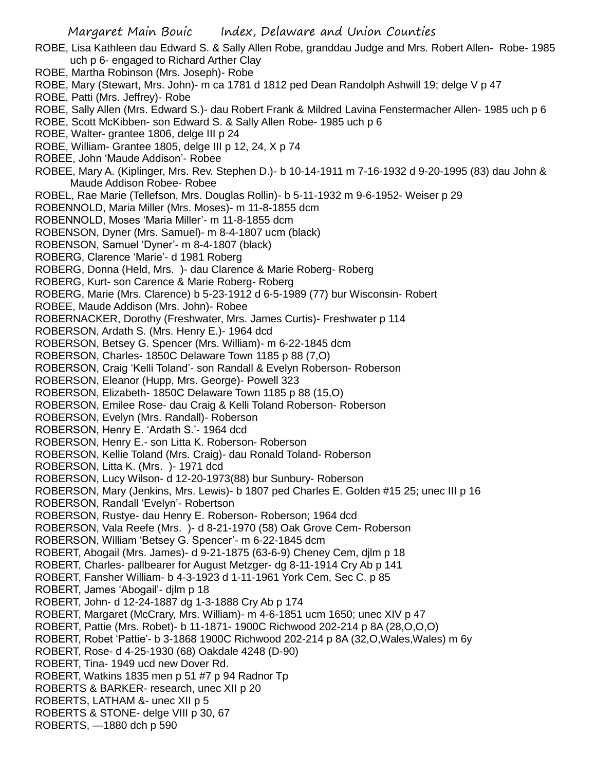- ROBE, Lisa Kathleen dau Edward S. & Sally Allen Robe, granddau Judge and Mrs. Robert Allen- Robe- 1985 uch p 6- engaged to Richard Arther Clay
- ROBE, Martha Robinson (Mrs. Joseph)- Robe
- ROBE, Mary (Stewart, Mrs. John)- m ca 1781 d 1812 ped Dean Randolph Ashwill 19; delge V p 47
- ROBE, Patti (Mrs. Jeffrey)- Robe
- ROBE, Sally Allen (Mrs. Edward S.)- dau Robert Frank & Mildred Lavina Fenstermacher Allen- 1985 uch p 6
- ROBE, Scott McKibben- son Edward S. & Sally Allen Robe- 1985 uch p 6
- ROBE, Walter- grantee 1806, delge III p 24
- ROBE, William- Grantee 1805, delge III p 12, 24, X p 74
- ROBEE, John 'Maude Addison'- Robee
- ROBEE, Mary A. (Kiplinger, Mrs. Rev. Stephen D.)- b 10-14-1911 m 7-16-1932 d 9-20-1995 (83) dau John & Maude Addison Robee- Robee
- ROBEL, Rae Marie (Tellefson, Mrs. Douglas Rollin)- b 5-11-1932 m 9-6-1952- Weiser p 29
- ROBENNOLD, Maria Miller (Mrs. Moses)- m 11-8-1855 dcm
- ROBENNOLD, Moses 'Maria Miller'- m 11-8-1855 dcm
- ROBENSON, Dyner (Mrs. Samuel)- m 8-4-1807 ucm (black)
- ROBENSON, Samuel 'Dyner'- m 8-4-1807 (black)
- ROBERG, Clarence 'Marie'- d 1981 Roberg
- ROBERG, Donna (Held, Mrs. )- dau Clarence & Marie Roberg- Roberg
- ROBERG, Kurt- son Carence & Marie Roberg- Roberg
- ROBERG, Marie (Mrs. Clarence) b 5-23-1912 d 6-5-1989 (77) bur Wisconsin- Robert
- ROBEE, Maude Addison (Mrs. John)- Robee
- ROBERNACKER, Dorothy (Freshwater, Mrs. James Curtis)- Freshwater p 114
- ROBERSON, Ardath S. (Mrs. Henry E.)- 1964 dcd
- ROBERSON, Betsey G. Spencer (Mrs. William)- m 6-22-1845 dcm
- ROBERSON, Charles- 1850C Delaware Town 1185 p 88 (7,O)
- ROBERSON, Craig 'Kelli Toland'- son Randall & Evelyn Roberson- Roberson
- ROBERSON, Eleanor (Hupp, Mrs. George)- Powell 323
- ROBERSON, Elizabeth- 1850C Delaware Town 1185 p 88 (15,O)
- ROBERSON, Emilee Rose- dau Craig & Kelli Toland Roberson- Roberson
- ROBERSON, Evelyn (Mrs. Randall)- Roberson
- ROBERSON, Henry E. 'Ardath S.'- 1964 dcd
- ROBERSON, Henry E.- son Litta K. Roberson- Roberson
- ROBERSON, Kellie Toland (Mrs. Craig)- dau Ronald Toland- Roberson
- ROBERSON, Litta K. (Mrs. )- 1971 dcd
- ROBERSON, Lucy Wilson- d 12-20-1973(88) bur Sunbury- Roberson
- ROBERSON, Mary (Jenkins, Mrs. Lewis)- b 1807 ped Charles E. Golden #15 25; unec III p 16
- ROBERSON, Randall 'Evelyn'- Robertson
- ROBERSON, Rustye- dau Henry E. Roberson- Roberson; 1964 dcd
- ROBERSON, Vala Reefe (Mrs. )- d 8-21-1970 (58) Oak Grove Cem- Roberson
- ROBERSON, William 'Betsey G. Spencer'- m 6-22-1845 dcm
- ROBERT, Abogail (Mrs. James)- d 9-21-1875 (63-6-9) Cheney Cem, djlm p 18
- ROBERT, Charles- pallbearer for August Metzger- dg 8-11-1914 Cry Ab p 141
- ROBERT, Fansher William- b 4-3-1923 d 1-11-1961 York Cem, Sec C. p 85
- ROBERT, James 'Abogail'- djlm p 18
- ROBERT, John- d 12-24-1887 dg 1-3-1888 Cry Ab p 174
- ROBERT, Margaret (McCrary, Mrs. William)- m 4-6-1851 ucm 1650; unec XIV p 47
- ROBERT, Pattie (Mrs. Robet)- b 11-1871- 1900C Richwood 202-214 p 8A (28,O,O,O)
- ROBERT, Robet 'Pattie'- b 3-1868 1900C Richwood 202-214 p 8A (32, O, Wales, Wales) m 6y
- ROBERT, Rose- d 4-25-1930 (68) Oakdale 4248 (D-90)
- ROBERT, Tina- 1949 ucd new Dover Rd.
- ROBERT, Watkins 1835 men p 51 #7 p 94 Radnor Tp
- ROBERTS & BARKER- research, unec XII p 20
- ROBERTS, LATHAM &- unec XII p 5
- ROBERTS & STONE- delge VIII p 30, 67
- ROBERTS, —1880 dch p 590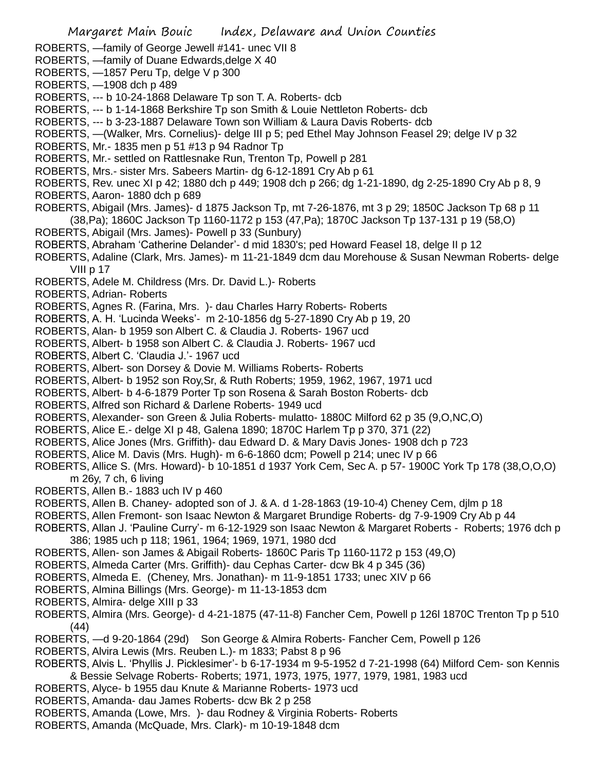- ROBERTS, —family of George Jewell #141- unec VII 8
- ROBERTS, —family of Duane Edwards,delge X 40
- ROBERTS, —1857 Peru Tp, delge V p 300
- ROBERTS, —1908 dch p 489
- ROBERTS, --- b 10-24-1868 Delaware Tp son T. A. Roberts- dcb
- ROBERTS, --- b 1-14-1868 Berkshire Tp son Smith & Louie Nettleton Roberts- dcb

ROBERTS, --- b 3-23-1887 Delaware Town son William & Laura Davis Roberts- dcb

- ROBERTS, —(Walker, Mrs. Cornelius)- delge III p 5; ped Ethel May Johnson Feasel 29; delge IV p 32
- ROBERTS, Mr.- 1835 men p 51 #13 p 94 Radnor Tp
- ROBERTS, Mr.- settled on Rattlesnake Run, Trenton Tp, Powell p 281
- ROBERTS, Mrs.- sister Mrs. Sabeers Martin- dg 6-12-1891 Cry Ab p 61
- ROBERTS, Rev. unec XI p 42; 1880 dch p 449; 1908 dch p 266; dg 1-21-1890, dg 2-25-1890 Cry Ab p 8, 9
- ROBERTS, Aaron- 1880 dch p 689
- ROBERTS, Abigail (Mrs. James)- d 1875 Jackson Tp, mt 7-26-1876, mt 3 p 29; 1850C Jackson Tp 68 p 11 (38,Pa); 1860C Jackson Tp 1160-1172 p 153 (47,Pa); 1870C Jackson Tp 137-131 p 19 (58,O)
- ROBERTS, Abigail (Mrs. James)- Powell p 33 (Sunbury)
- ROBERTS, Abraham 'Catherine Delander'- d mid 1830's; ped Howard Feasel 18, delge II p 12
- ROBERTS, Adaline (Clark, Mrs. James)- m 11-21-1849 dcm dau Morehouse & Susan Newman Roberts- delge VIII p 17
- ROBERTS, Adele M. Childress (Mrs. Dr. David L.)- Roberts
- ROBERTS, Adrian- Roberts
- ROBERTS, Agnes R. (Farina, Mrs. )- dau Charles Harry Roberts- Roberts
- ROBERTS, A. H. 'Lucinda Weeks'- m 2-10-1856 dg 5-27-1890 Cry Ab p 19, 20
- ROBERTS, Alan- b 1959 son Albert C. & Claudia J. Roberts- 1967 ucd
- ROBERTS, Albert- b 1958 son Albert C. & Claudia J. Roberts- 1967 ucd
- ROBERTS, Albert C. 'Claudia J.'- 1967 ucd
- ROBERTS, Albert- son Dorsey & Dovie M. Williams Roberts- Roberts
- ROBERTS, Albert- b 1952 son Roy,Sr, & Ruth Roberts; 1959, 1962, 1967, 1971 ucd
- ROBERTS, Albert- b 4-6-1879 Porter Tp son Rosena & Sarah Boston Roberts- dcb
- ROBERTS, Alfred son Richard & Darlene Roberts- 1949 ucd
- ROBERTS, Alexander- son Green & Julia Roberts- mulatto- 1880C Milford 62 p 35 (9,O,NC,O)
- ROBERTS, Alice E.- delge XI p 48, Galena 1890; 1870C Harlem Tp p 370, 371 (22)
- ROBERTS, Alice Jones (Mrs. Griffith)- dau Edward D. & Mary Davis Jones- 1908 dch p 723
- ROBERTS, Alice M. Davis (Mrs. Hugh)- m 6-6-1860 dcm; Powell p 214; unec IV p 66
- ROBERTS, Allice S. (Mrs. Howard)- b 10-1851 d 1937 York Cem, Sec A. p 57- 1900C York Tp 178 (38,O,O,O) m 26y, 7 ch, 6 living
- ROBERTS, Allen B.- 1883 uch IV p 460
- ROBERTS, Allen B. Chaney- adopted son of J. & A. d 1-28-1863 (19-10-4) Cheney Cem, djlm p 18
- ROBERTS, Allen Fremont- son Isaac Newton & Margaret Brundige Roberts- dg 7-9-1909 Cry Ab p 44
- ROBERTS, Allan J. 'Pauline Curry'- m 6-12-1929 son Isaac Newton & Margaret Roberts Roberts; 1976 dch p 386; 1985 uch p 118; 1961, 1964; 1969, 1971, 1980 dcd
- ROBERTS, Allen- son James & Abigail Roberts- 1860C Paris Tp 1160-1172 p 153 (49,O)
- ROBERTS, Almeda Carter (Mrs. Griffith)- dau Cephas Carter- dcw Bk 4 p 345 (36)
- ROBERTS, Almeda E. (Cheney, Mrs. Jonathan)- m 11-9-1851 1733; unec XIV p 66
- ROBERTS, Almina Billings (Mrs. George)- m 11-13-1853 dcm
- ROBERTS, Almira- delge XIII p 33
- ROBERTS, Almira (Mrs. George)- d 4-21-1875 (47-11-8) Fancher Cem, Powell p 126l 1870C Trenton Tp p 510 (44)
- ROBERTS, —d 9-20-1864 (29d) Son George & Almira Roberts- Fancher Cem, Powell p 126
- ROBERTS, Alvira Lewis (Mrs. Reuben L.)- m 1833; Pabst 8 p 96
- ROBERTS, Alvis L. 'Phyllis J. Picklesimer'- b 6-17-1934 m 9-5-1952 d 7-21-1998 (64) Milford Cem- son Kennis & Bessie Selvage Roberts- Roberts; 1971, 1973, 1975, 1977, 1979, 1981, 1983 ucd
- ROBERTS, Alyce- b 1955 dau Knute & Marianne Roberts- 1973 ucd
- ROBERTS, Amanda- dau James Roberts- dcw Bk 2 p 258
- ROBERTS, Amanda (Lowe, Mrs. )- dau Rodney & Virginia Roberts- Roberts
- ROBERTS, Amanda (McQuade, Mrs. Clark)- m 10-19-1848 dcm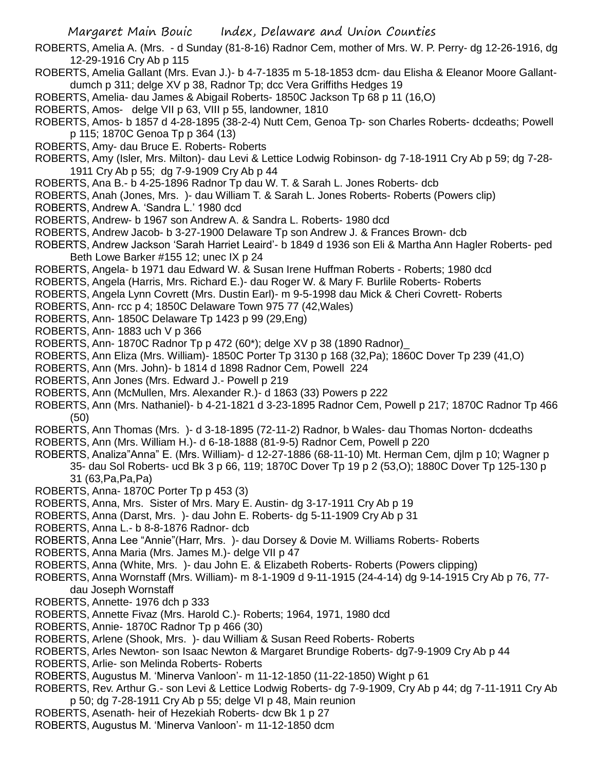- ROBERTS, Amelia A. (Mrs. d Sunday (81-8-16) Radnor Cem, mother of Mrs. W. P. Perry- dg 12-26-1916, dg 12-29-1916 Cry Ab p 115
- ROBERTS, Amelia Gallant (Mrs. Evan J.)- b 4-7-1835 m 5-18-1853 dcm- dau Elisha & Eleanor Moore Gallantdumch p 311; delge XV p 38, Radnor Tp; dcc Vera Griffiths Hedges 19
- ROBERTS, Amelia- dau James & Abigail Roberts- 1850C Jackson Tp 68 p 11 (16,O)
- ROBERTS, Amos- delge VII p 63, VIII p 55, landowner, 1810
- ROBERTS, Amos- b 1857 d 4-28-1895 (38-2-4) Nutt Cem, Genoa Tp- son Charles Roberts- dcdeaths; Powell p 115; 1870C Genoa Tp p 364 (13)
- ROBERTS, Amy- dau Bruce E. Roberts- Roberts
- ROBERTS, Amy (Isler, Mrs. Milton)- dau Levi & Lettice Lodwig Robinson- dg 7-18-1911 Cry Ab p 59; dg 7-28- 1911 Cry Ab p 55; dg 7-9-1909 Cry Ab p 44
- ROBERTS, Ana B.- b 4-25-1896 Radnor Tp dau W. T. & Sarah L. Jones Roberts- dcb
- ROBERTS, Anah (Jones, Mrs. )- dau William T. & Sarah L. Jones Roberts- Roberts (Powers clip)
- ROBERTS, Andrew A. 'Sandra L.' 1980 dcd
- ROBERTS, Andrew- b 1967 son Andrew A. & Sandra L. Roberts- 1980 dcd
- ROBERTS, Andrew Jacob- b 3-27-1900 Delaware Tp son Andrew J. & Frances Brown- dcb
- ROBERTS, Andrew Jackson 'Sarah Harriet Leaird'- b 1849 d 1936 son Eli & Martha Ann Hagler Roberts- ped Beth Lowe Barker #155 12; unec IX p 24
- ROBERTS, Angela- b 1971 dau Edward W. & Susan Irene Huffman Roberts Roberts; 1980 dcd
- ROBERTS, Angela (Harris, Mrs. Richard E.)- dau Roger W. & Mary F. Burlile Roberts- Roberts
- ROBERTS, Angela Lynn Covrett (Mrs. Dustin Earl)- m 9-5-1998 dau Mick & Cheri Covrett- Roberts
- ROBERTS, Ann- rcc p 4; 1850C Delaware Town 975 77 (42,Wales)
- ROBERTS, Ann- 1850C Delaware Tp 1423 p 99 (29,Eng)
- ROBERTS, Ann- 1883 uch V p 366
- ROBERTS, Ann- 1870C Radnor Tp p 472 (60\*); delge XV p 38 (1890 Radnor)\_
- ROBERTS, Ann Eliza (Mrs. William)- 1850C Porter Tp 3130 p 168 (32,Pa); 1860C Dover Tp 239 (41,O)
- ROBERTS, Ann (Mrs. John)- b 1814 d 1898 Radnor Cem, Powell 224
- ROBERTS, Ann Jones (Mrs. Edward J.- Powell p 219
- ROBERTS, Ann (McMullen, Mrs. Alexander R.)- d 1863 (33) Powers p 222
- ROBERTS, Ann (Mrs. Nathaniel)- b 4-21-1821 d 3-23-1895 Radnor Cem, Powell p 217; 1870C Radnor Tp 466 (50)
- ROBERTS, Ann Thomas (Mrs. )- d 3-18-1895 (72-11-2) Radnor, b Wales- dau Thomas Norton- dcdeaths
- ROBERTS, Ann (Mrs. William H.)- d 6-18-1888 (81-9-5) Radnor Cem, Powell p 220
- ROBERTS, Analiza"Anna" E. (Mrs. William)- d 12-27-1886 (68-11-10) Mt. Herman Cem, djlm p 10; Wagner p 35- dau Sol Roberts- ucd Bk 3 p 66, 119; 1870C Dover Tp 19 p 2 (53,O); 1880C Dover Tp 125-130 p 31 (63,Pa,Pa,Pa)
- ROBERTS, Anna- 1870C Porter Tp p 453 (3)
- ROBERTS, Anna, Mrs. Sister of Mrs. Mary E. Austin- dg 3-17-1911 Cry Ab p 19
- ROBERTS, Anna (Darst, Mrs. )- dau John E. Roberts- dg 5-11-1909 Cry Ab p 31
- ROBERTS, Anna L.- b 8-8-1876 Radnor- dcb
- ROBERTS, Anna Lee "Annie"(Harr, Mrs. )- dau Dorsey & Dovie M. Williams Roberts- Roberts
- ROBERTS, Anna Maria (Mrs. James M.)- delge VII p 47
- ROBERTS, Anna (White, Mrs. )- dau John E. & Elizabeth Roberts- Roberts (Powers clipping)
- ROBERTS, Anna Wornstaff (Mrs. William)- m 8-1-1909 d 9-11-1915 (24-4-14) dg 9-14-1915 Cry Ab p 76, 77 dau Joseph Wornstaff
- ROBERTS, Annette- 1976 dch p 333
- ROBERTS, Annette Fivaz (Mrs. Harold C.)- Roberts; 1964, 1971, 1980 dcd
- ROBERTS, Annie- 1870C Radnor Tp p 466 (30)
- ROBERTS, Arlene (Shook, Mrs. )- dau William & Susan Reed Roberts- Roberts
- ROBERTS, Arles Newton- son Isaac Newton & Margaret Brundige Roberts- dg7-9-1909 Cry Ab p 44
- ROBERTS, Arlie- son Melinda Roberts- Roberts
- ROBERTS, Augustus M. 'Minerva Vanloon'- m 11-12-1850 (11-22-1850) Wight p 61
- ROBERTS, Rev. Arthur G.- son Levi & Lettice Lodwig Roberts- dg 7-9-1909, Cry Ab p 44; dg 7-11-1911 Cry Ab p 50; dg 7-28-1911 Cry Ab p 55; delge VI p 48, Main reunion
- ROBERTS, Asenath- heir of Hezekiah Roberts- dcw Bk 1 p 27
- ROBERTS, Augustus M. 'Minerva Vanloon'- m 11-12-1850 dcm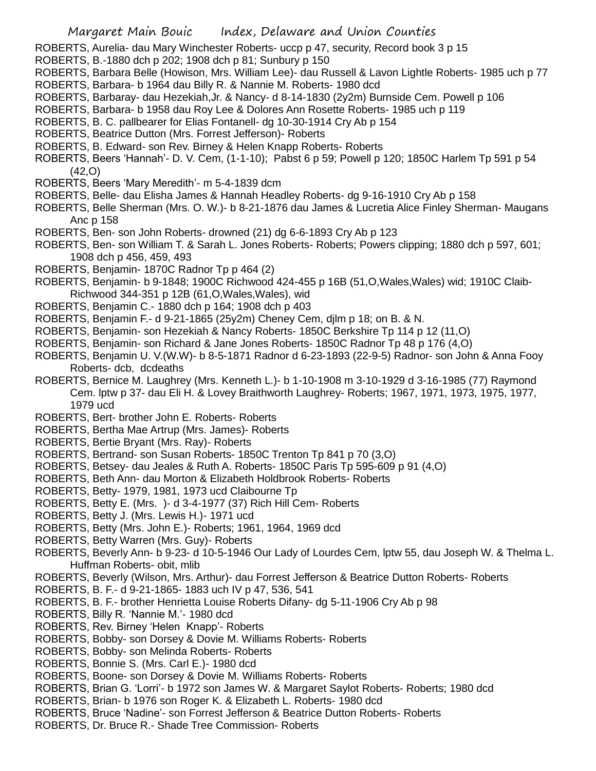ROBERTS, Aurelia- dau Mary Winchester Roberts- uccp p 47, security, Record book 3 p 15

ROBERTS, B.-1880 dch p 202; 1908 dch p 81; Sunbury p 150

ROBERTS, Barbara Belle (Howison, Mrs. William Lee)- dau Russell & Lavon Lightle Roberts- 1985 uch p 77 ROBERTS, Barbara- b 1964 dau Billy R. & Nannie M. Roberts- 1980 dcd

- ROBERTS, Barbaray- dau Hezekiah,Jr. & Nancy- d 8-14-1830 (2y2m) Burnside Cem. Powell p 106
- ROBERTS, Barbara- b 1958 dau Roy Lee & Dolores Ann Rosette Roberts- 1985 uch p 119
- ROBERTS, B. C. pallbearer for Elias Fontanell- dg 10-30-1914 Cry Ab p 154
- ROBERTS, Beatrice Dutton (Mrs. Forrest Jefferson)- Roberts
- ROBERTS, B. Edward- son Rev. Birney & Helen Knapp Roberts- Roberts
- ROBERTS, Beers 'Hannah'- D. V. Cem, (1-1-10); Pabst 6 p 59; Powell p 120; 1850C Harlem Tp 591 p 54 (42,O)
- ROBERTS, Beers 'Mary Meredith'- m 5-4-1839 dcm
- ROBERTS, Belle- dau Elisha James & Hannah Headley Roberts- dg 9-16-1910 Cry Ab p 158
- ROBERTS, Belle Sherman (Mrs. O. W.)- b 8-21-1876 dau James & Lucretia Alice Finley Sherman- Maugans Anc p 158
- ROBERTS, Ben- son John Roberts- drowned (21) dg 6-6-1893 Cry Ab p 123
- ROBERTS, Ben- son William T. & Sarah L. Jones Roberts- Roberts; Powers clipping; 1880 dch p 597, 601; 1908 dch p 456, 459, 493
- ROBERTS, Benjamin- 1870C Radnor Tp p 464 (2)
- ROBERTS, Benjamin- b 9-1848; 1900C Richwood 424-455 p 16B (51,O,Wales,Wales) wid; 1910C Claib-Richwood 344-351 p 12B (61,O,Wales,Wales), wid
- ROBERTS, Benjamin C.- 1880 dch p 164; 1908 dch p 403
- ROBERTS, Benjamin F.- d 9-21-1865 (25y2m) Cheney Cem, djlm p 18; on B. & N.
- ROBERTS, Benjamin- son Hezekiah & Nancy Roberts- 1850C Berkshire Tp 114 p 12 (11,O)
- ROBERTS, Benjamin- son Richard & Jane Jones Roberts- 1850C Radnor Tp 48 p 176 (4,O)
- ROBERTS, Benjamin U. V.(W.W)- b 8-5-1871 Radnor d 6-23-1893 (22-9-5) Radnor- son John & Anna Fooy Roberts- dcb, dcdeaths
- ROBERTS, Bernice M. Laughrey (Mrs. Kenneth L.)- b 1-10-1908 m 3-10-1929 d 3-16-1985 (77) Raymond Cem. lptw p 37- dau Eli H. & Lovey Braithworth Laughrey- Roberts; 1967, 1971, 1973, 1975, 1977, 1979 ucd
- ROBERTS, Bert- brother John E. Roberts- Roberts
- ROBERTS, Bertha Mae Artrup (Mrs. James)- Roberts
- ROBERTS, Bertie Bryant (Mrs. Ray)- Roberts
- ROBERTS, Bertrand- son Susan Roberts- 1850C Trenton Tp 841 p 70 (3,O)
- ROBERTS, Betsey- dau Jeales & Ruth A. Roberts- 1850C Paris Tp 595-609 p 91 (4,O)
- ROBERTS, Beth Ann- dau Morton & Elizabeth Holdbrook Roberts- Roberts
- ROBERTS, Betty- 1979, 1981, 1973 ucd Claibourne Tp
- ROBERTS, Betty E. (Mrs. )- d 3-4-1977 (37) Rich Hill Cem- Roberts
- ROBERTS, Betty J. (Mrs. Lewis H.)- 1971 ucd
- ROBERTS, Betty (Mrs. John E.)- Roberts; 1961, 1964, 1969 dcd
- ROBERTS, Betty Warren (Mrs. Guy)- Roberts
- ROBERTS, Beverly Ann- b 9-23- d 10-5-1946 Our Lady of Lourdes Cem, lptw 55, dau Joseph W. & Thelma L. Huffman Roberts- obit, mlib
- ROBERTS, Beverly (Wilson, Mrs. Arthur)- dau Forrest Jefferson & Beatrice Dutton Roberts- Roberts
- ROBERTS, B. F.- d 9-21-1865- 1883 uch IV p 47, 536, 541
- ROBERTS, B. F.- brother Henrietta Louise Roberts Difany- dg 5-11-1906 Cry Ab p 98
- ROBERTS, Billy R. 'Nannie M.'- 1980 dcd
- ROBERTS, Rev. Birney 'Helen Knapp'- Roberts
- ROBERTS, Bobby- son Dorsey & Dovie M. Williams Roberts- Roberts
- ROBERTS, Bobby- son Melinda Roberts- Roberts
- ROBERTS, Bonnie S. (Mrs. Carl E.)- 1980 dcd
- ROBERTS, Boone- son Dorsey & Dovie M. Williams Roberts- Roberts
- ROBERTS, Brian G. 'Lorri'- b 1972 son James W. & Margaret Saylot Roberts- Roberts; 1980 dcd
- ROBERTS, Brian- b 1976 son Roger K. & Elizabeth L. Roberts- 1980 dcd
- ROBERTS, Bruce 'Nadine'- son Forrest Jefferson & Beatrice Dutton Roberts- Roberts
- ROBERTS, Dr. Bruce R.- Shade Tree Commission- Roberts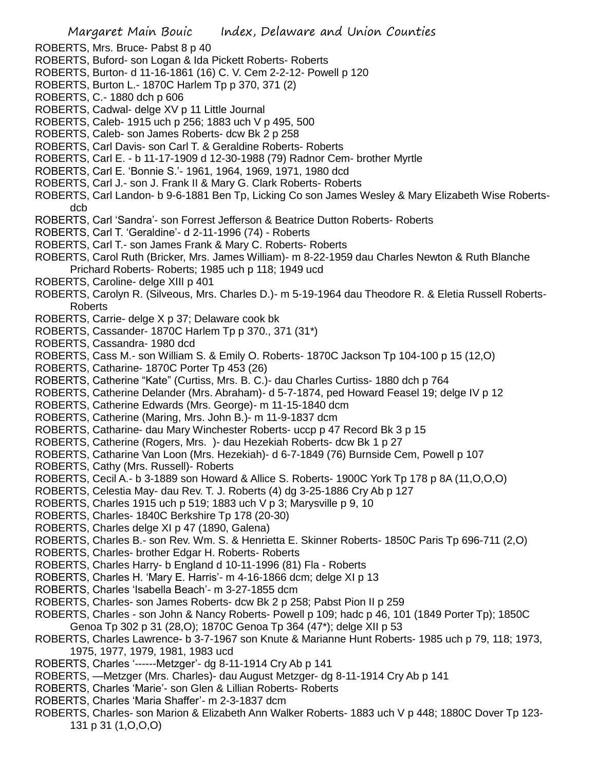- ROBERTS, Mrs. Bruce- Pabst 8 p 40
- ROBERTS, Buford- son Logan & Ida Pickett Roberts- Roberts
- ROBERTS, Burton- d 11-16-1861 (16) C. V. Cem 2-2-12- Powell p 120
- ROBERTS, Burton L.- 1870C Harlem Tp p 370, 371 (2)
- ROBERTS, C.- 1880 dch p 606
- ROBERTS, Cadwal- delge XV p 11 Little Journal
- ROBERTS, Caleb- 1915 uch p 256; 1883 uch V p 495, 500
- ROBERTS, Caleb- son James Roberts- dcw Bk 2 p 258
- ROBERTS, Carl Davis- son Carl T. & Geraldine Roberts- Roberts
- ROBERTS, Carl E. b 11-17-1909 d 12-30-1988 (79) Radnor Cem- brother Myrtle
- ROBERTS, Carl E. 'Bonnie S.'- 1961, 1964, 1969, 1971, 1980 dcd
- ROBERTS, Carl J.- son J. Frank II & Mary G. Clark Roberts- Roberts
- ROBERTS, Carl Landon- b 9-6-1881 Ben Tp, Licking Co son James Wesley & Mary Elizabeth Wise Robertsdcb
- ROBERTS, Carl 'Sandra'- son Forrest Jefferson & Beatrice Dutton Roberts- Roberts
- ROBERTS, Carl T. 'Geraldine'- d 2-11-1996 (74) Roberts
- ROBERTS, Carl T.- son James Frank & Mary C. Roberts- Roberts
- ROBERTS, Carol Ruth (Bricker, Mrs. James William)- m 8-22-1959 dau Charles Newton & Ruth Blanche Prichard Roberts- Roberts; 1985 uch p 118; 1949 ucd
- ROBERTS, Caroline- delge XIII p 401
- ROBERTS, Carolyn R. (Silveous, Mrs. Charles D.)- m 5-19-1964 dau Theodore R. & Eletia Russell Roberts-Roberts
- ROBERTS, Carrie- delge X p 37; Delaware cook bk
- ROBERTS, Cassander- 1870C Harlem Tp p 370., 371 (31\*)
- ROBERTS, Cassandra- 1980 dcd
- ROBERTS, Cass M.- son William S. & Emily O. Roberts- 1870C Jackson Tp 104-100 p 15 (12,O)
- ROBERTS, Catharine- 1870C Porter Tp 453 (26)
- ROBERTS, Catherine "Kate" (Curtiss, Mrs. B. C.)- dau Charles Curtiss- 1880 dch p 764
- ROBERTS, Catherine Delander (Mrs. Abraham)- d 5-7-1874, ped Howard Feasel 19; delge IV p 12
- ROBERTS, Catherine Edwards (Mrs. George)- m 11-15-1840 dcm
- ROBERTS, Catherine (Maring, Mrs. John B.)- m 11-9-1837 dcm
- ROBERTS, Catharine- dau Mary Winchester Roberts- uccp p 47 Record Bk 3 p 15
- ROBERTS, Catherine (Rogers, Mrs. )- dau Hezekiah Roberts- dcw Bk 1 p 27
- ROBERTS, Catharine Van Loon (Mrs. Hezekiah)- d 6-7-1849 (76) Burnside Cem, Powell p 107
- ROBERTS, Cathy (Mrs. Russell)- Roberts
- ROBERTS, Cecil A.- b 3-1889 son Howard & Allice S. Roberts- 1900C York Tp 178 p 8A (11,O,O,O)
- ROBERTS, Celestia May- dau Rev. T. J. Roberts (4) dg 3-25-1886 Cry Ab p 127
- ROBERTS, Charles 1915 uch p 519; 1883 uch V p 3; Marysville p 9, 10
- ROBERTS, Charles- 1840C Berkshire Tp 178 (20-30)
- ROBERTS, Charles delge XI p 47 (1890, Galena)
- ROBERTS, Charles B.- son Rev. Wm. S. & Henrietta E. Skinner Roberts- 1850C Paris Tp 696-711 (2,O)
- ROBERTS, Charles- brother Edgar H. Roberts- Roberts
- ROBERTS, Charles Harry- b England d 10-11-1996 (81) Fla Roberts
- ROBERTS, Charles H. 'Mary E. Harris'- m 4-16-1866 dcm; delge XI p 13
- ROBERTS, Charles 'Isabella Beach'- m 3-27-1855 dcm
- ROBERTS, Charles- son James Roberts- dcw Bk 2 p 258; Pabst Pion II p 259
- ROBERTS, Charles son John & Nancy Roberts- Powell p 109; hadc p 46, 101 (1849 Porter Tp); 1850C Genoa Tp 302 p 31 (28,O); 1870C Genoa Tp 364 (47\*); delge XII p 53
- ROBERTS, Charles Lawrence- b 3-7-1967 son Knute & Marianne Hunt Roberts- 1985 uch p 79, 118; 1973, 1975, 1977, 1979, 1981, 1983 ucd
- ROBERTS, Charles '------Metzger'- dg 8-11-1914 Cry Ab p 141
- ROBERTS, —Metzger (Mrs. Charles)- dau August Metzger- dg 8-11-1914 Cry Ab p 141
- ROBERTS, Charles 'Marie'- son Glen & Lillian Roberts- Roberts
- ROBERTS, Charles 'Maria Shaffer'- m 2-3-1837 dcm
- ROBERTS, Charles- son Marion & Elizabeth Ann Walker Roberts- 1883 uch V p 448; 1880C Dover Tp 123- 131 p 31 (1,O,O,O)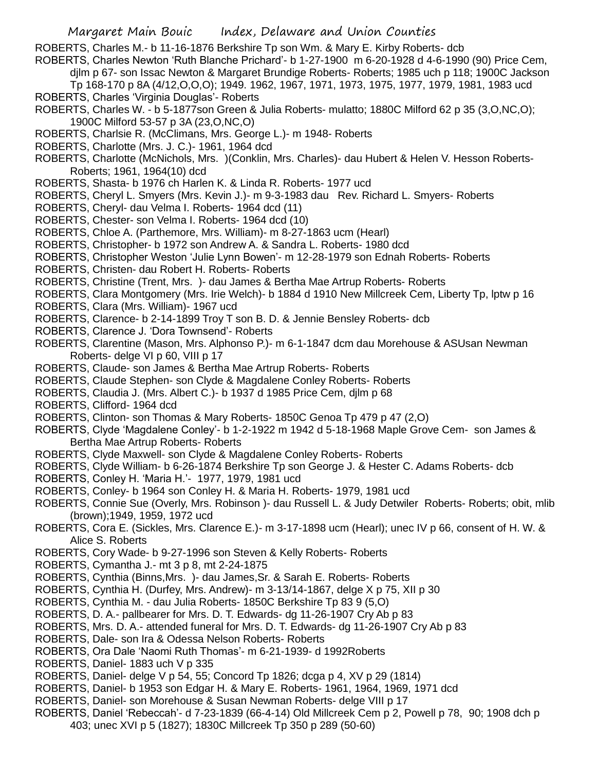ROBERTS, Charles M.- b 11-16-1876 Berkshire Tp son Wm. & Mary E. Kirby Roberts- dcb

ROBERTS, Charles Newton 'Ruth Blanche Prichard'- b 1-27-1900 m 6-20-1928 d 4-6-1990 (90) Price Cem,

djlm p 67- son Issac Newton & Margaret Brundige Roberts- Roberts; 1985 uch p 118; 1900C Jackson

Tp 168-170 p 8A (4/12,O,O,O); 1949. 1962, 1967, 1971, 1973, 1975, 1977, 1979, 1981, 1983 ucd ROBERTS, Charles 'Virginia Douglas'- Roberts

- ROBERTS, Charles W. b 5-1877son Green & Julia Roberts- mulatto; 1880C Milford 62 p 35 (3,O,NC,O); 1900C Milford 53-57 p 3A (23,O,NC,O)
- ROBERTS, Charlsie R. (McClimans, Mrs. George L.)- m 1948- Roberts
- ROBERTS, Charlotte (Mrs. J. C.)- 1961, 1964 dcd
- ROBERTS, Charlotte (McNichols, Mrs. )(Conklin, Mrs. Charles)- dau Hubert & Helen V. Hesson Roberts-Roberts; 1961, 1964(10) dcd
- ROBERTS, Shasta- b 1976 ch Harlen K. & Linda R. Roberts- 1977 ucd
- ROBERTS, Cheryl L. Smyers (Mrs. Kevin J.)- m 9-3-1983 dau Rev. Richard L. Smyers- Roberts
- ROBERTS, Cheryl- dau Velma I. Roberts- 1964 dcd (11)
- ROBERTS, Chester- son Velma I. Roberts- 1964 dcd (10)
- ROBERTS, Chloe A. (Parthemore, Mrs. William)- m 8-27-1863 ucm (Hearl)
- ROBERTS, Christopher- b 1972 son Andrew A. & Sandra L. Roberts- 1980 dcd
- ROBERTS, Christopher Weston 'Julie Lynn Bowen'- m 12-28-1979 son Ednah Roberts- Roberts
- ROBERTS, Christen- dau Robert H. Roberts- Roberts
- ROBERTS, Christine (Trent, Mrs. )- dau James & Bertha Mae Artrup Roberts- Roberts
- ROBERTS, Clara Montgomery (Mrs. Irie Welch)- b 1884 d 1910 New Millcreek Cem, Liberty Tp, lptw p 16
- ROBERTS, Clara (Mrs. William)- 1967 ucd
- ROBERTS, Clarence- b 2-14-1899 Troy T son B. D. & Jennie Bensley Roberts- dcb
- ROBERTS, Clarence J. 'Dora Townsend'- Roberts
- ROBERTS, Clarentine (Mason, Mrs. Alphonso P.)- m 6-1-1847 dcm dau Morehouse & ASUsan Newman Roberts- delge VI p 60, VIII p 17
- ROBERTS, Claude- son James & Bertha Mae Artrup Roberts- Roberts
- ROBERTS, Claude Stephen- son Clyde & Magdalene Conley Roberts- Roberts
- ROBERTS, Claudia J. (Mrs. Albert C.)- b 1937 d 1985 Price Cem, djlm p 68
- ROBERTS, Clifford- 1964 dcd
- ROBERTS, Clinton- son Thomas & Mary Roberts- 1850C Genoa Tp 479 p 47 (2,O)
- ROBERTS, Clyde 'Magdalene Conley'- b 1-2-1922 m 1942 d 5-18-1968 Maple Grove Cem- son James & Bertha Mae Artrup Roberts- Roberts
- ROBERTS, Clyde Maxwell- son Clyde & Magdalene Conley Roberts- Roberts
- ROBERTS, Clyde William- b 6-26-1874 Berkshire Tp son George J. & Hester C. Adams Roberts- dcb
- ROBERTS, Conley H. 'Maria H.'- 1977, 1979, 1981 ucd
- ROBERTS, Conley- b 1964 son Conley H. & Maria H. Roberts- 1979, 1981 ucd
- ROBERTS, Connie Sue (Overly, Mrs. Robinson )- dau Russell L. & Judy Detwiler Roberts- Roberts; obit, mlib (brown);1949, 1959, 1972 ucd
- ROBERTS, Cora E. (Sickles, Mrs. Clarence E.)- m 3-17-1898 ucm (Hearl); unec IV p 66, consent of H. W. & Alice S. Roberts
- ROBERTS, Cory Wade- b 9-27-1996 son Steven & Kelly Roberts- Roberts
- ROBERTS, Cymantha J.- mt 3 p 8, mt 2-24-1875
- ROBERTS, Cynthia (Binns,Mrs. )- dau James,Sr. & Sarah E. Roberts- Roberts
- ROBERTS, Cynthia H. (Durfey, Mrs. Andrew)- m 3-13/14-1867, delge X p 75, XII p 30
- ROBERTS, Cynthia M. dau Julia Roberts- 1850C Berkshire Tp 83 9 (5,O)
- ROBERTS, D. A.- pallbearer for Mrs. D. T. Edwards- dg 11-26-1907 Cry Ab p 83
- ROBERTS, Mrs. D. A.- attended funeral for Mrs. D. T. Edwards- dg 11-26-1907 Cry Ab p 83
- ROBERTS, Dale- son Ira & Odessa Nelson Roberts- Roberts
- ROBERTS, Ora Dale 'Naomi Ruth Thomas'- m 6-21-1939- d 1992Roberts
- ROBERTS, Daniel- 1883 uch V p 335
- ROBERTS, Daniel- delge V p 54, 55; Concord Tp 1826; dcga p 4, XV p 29 (1814)
- ROBERTS, Daniel- b 1953 son Edgar H. & Mary E. Roberts- 1961, 1964, 1969, 1971 dcd
- ROBERTS, Daniel- son Morehouse & Susan Newman Roberts- delge VIII p 17
- ROBERTS, Daniel 'Rebeccah'- d 7-23-1839 (66-4-14) Old Millcreek Cem p 2, Powell p 78, 90; 1908 dch p 403; unec XVI p 5 (1827); 1830C Millcreek Tp 350 p 289 (50-60)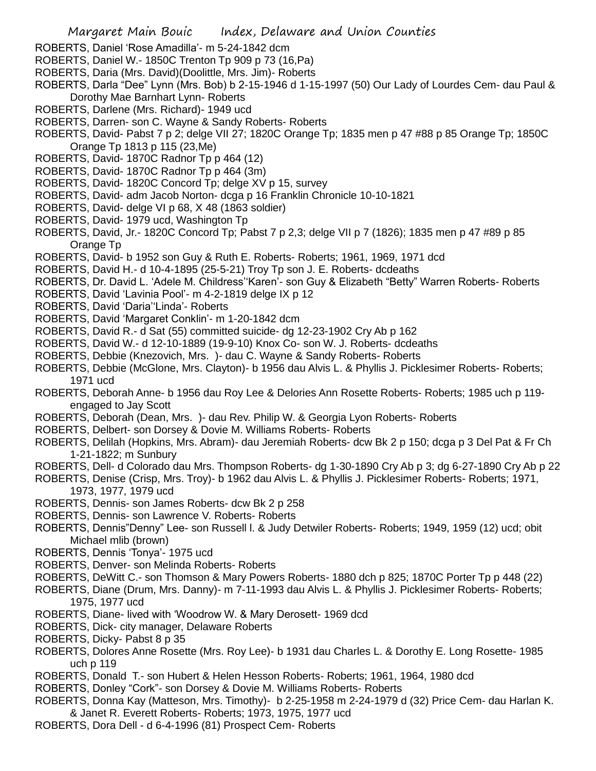- ROBERTS, Daniel 'Rose Amadilla'- m 5-24-1842 dcm
- ROBERTS, Daniel W.- 1850C Trenton Tp 909 p 73 (16,Pa)
- ROBERTS, Daria (Mrs. David)(Doolittle, Mrs. Jim)- Roberts
- ROBERTS, Darla "Dee" Lynn (Mrs. Bob) b 2-15-1946 d 1-15-1997 (50) Our Lady of Lourdes Cem- dau Paul & Dorothy Mae Barnhart Lynn- Roberts
- ROBERTS, Darlene (Mrs. Richard)- 1949 ucd
- ROBERTS, Darren- son C. Wayne & Sandy Roberts- Roberts
- ROBERTS, David- Pabst 7 p 2; delge VII 27; 1820C Orange Tp; 1835 men p 47 #88 p 85 Orange Tp; 1850C Orange Tp 1813 p 115 (23,Me)
- ROBERTS, David- 1870C Radnor Tp p 464 (12)
- ROBERTS, David- 1870C Radnor Tp p 464 (3m)
- ROBERTS, David- 1820C Concord Tp; delge XV p 15, survey
- ROBERTS, David- adm Jacob Norton- dcga p 16 Franklin Chronicle 10-10-1821
- ROBERTS, David- delge VI p 68, X 48 (1863 soldier)
- ROBERTS, David- 1979 ucd, Washington Tp
- ROBERTS, David, Jr.- 1820C Concord Tp; Pabst 7 p 2,3; delge VII p 7 (1826); 1835 men p 47 #89 p 85 Orange Tp
- ROBERTS, David- b 1952 son Guy & Ruth E. Roberts- Roberts; 1961, 1969, 1971 dcd
- ROBERTS, David H.- d 10-4-1895 (25-5-21) Troy Tp son J. E. Roberts- dcdeaths
- ROBERTS, Dr. David L. 'Adele M. Childress''Karen'- son Guy & Elizabeth "Betty" Warren Roberts- Roberts
- ROBERTS, David 'Lavinia Pool'- m 4-2-1819 delge IX p 12
- ROBERTS, David 'Daria''Linda'- Roberts
- ROBERTS, David 'Margaret Conklin'- m 1-20-1842 dcm
- ROBERTS, David R.- d Sat (55) committed suicide- dg 12-23-1902 Cry Ab p 162
- ROBERTS, David W.- d 12-10-1889 (19-9-10) Knox Co- son W. J. Roberts- dcdeaths
- ROBERTS, Debbie (Knezovich, Mrs. )- dau C. Wayne & Sandy Roberts- Roberts
- ROBERTS, Debbie (McGlone, Mrs. Clayton)- b 1956 dau Alvis L. & Phyllis J. Picklesimer Roberts- Roberts; 1971 ucd
- ROBERTS, Deborah Anne- b 1956 dau Roy Lee & Delories Ann Rosette Roberts- Roberts; 1985 uch p 119 engaged to Jay Scott
- ROBERTS, Deborah (Dean, Mrs. )- dau Rev. Philip W. & Georgia Lyon Roberts- Roberts
- ROBERTS, Delbert- son Dorsey & Dovie M. Williams Roberts- Roberts
- ROBERTS, Delilah (Hopkins, Mrs. Abram)- dau Jeremiah Roberts- dcw Bk 2 p 150; dcga p 3 Del Pat & Fr Ch 1-21-1822; m Sunbury
- ROBERTS, Dell- d Colorado dau Mrs. Thompson Roberts- dg 1-30-1890 Cry Ab p 3; dg 6-27-1890 Cry Ab p 22
- ROBERTS, Denise (Crisp, Mrs. Troy)- b 1962 dau Alvis L. & Phyllis J. Picklesimer Roberts- Roberts; 1971, 1973, 1977, 1979 ucd
- ROBERTS, Dennis- son James Roberts- dcw Bk 2 p 258
- ROBERTS, Dennis- son Lawrence V. Roberts- Roberts
- ROBERTS, Dennis"Denny" Lee- son Russell l. & Judy Detwiler Roberts- Roberts; 1949, 1959 (12) ucd; obit Michael mlib (brown)
- ROBERTS, Dennis 'Tonya'- 1975 ucd
- ROBERTS, Denver- son Melinda Roberts- Roberts
- ROBERTS, DeWitt C.- son Thomson & Mary Powers Roberts- 1880 dch p 825; 1870C Porter Tp p 448 (22)
- ROBERTS, Diane (Drum, Mrs. Danny)- m 7-11-1993 dau Alvis L. & Phyllis J. Picklesimer Roberts- Roberts; 1975, 1977 ucd
- ROBERTS, Diane- lived with 'Woodrow W. & Mary Derosett- 1969 dcd
- ROBERTS, Dick- city manager, Delaware Roberts
- ROBERTS, Dicky- Pabst 8 p 35
- ROBERTS, Dolores Anne Rosette (Mrs. Roy Lee)- b 1931 dau Charles L. & Dorothy E. Long Rosette- 1985 uch p 119
- ROBERTS, Donald T.- son Hubert & Helen Hesson Roberts- Roberts; 1961, 1964, 1980 dcd
- ROBERTS, Donley "Cork"- son Dorsey & Dovie M. Williams Roberts- Roberts
- ROBERTS, Donna Kay (Matteson, Mrs. Timothy)- b 2-25-1958 m 2-24-1979 d (32) Price Cem- dau Harlan K. & Janet R. Everett Roberts- Roberts; 1973, 1975, 1977 ucd
- ROBERTS, Dora Dell d 6-4-1996 (81) Prospect Cem- Roberts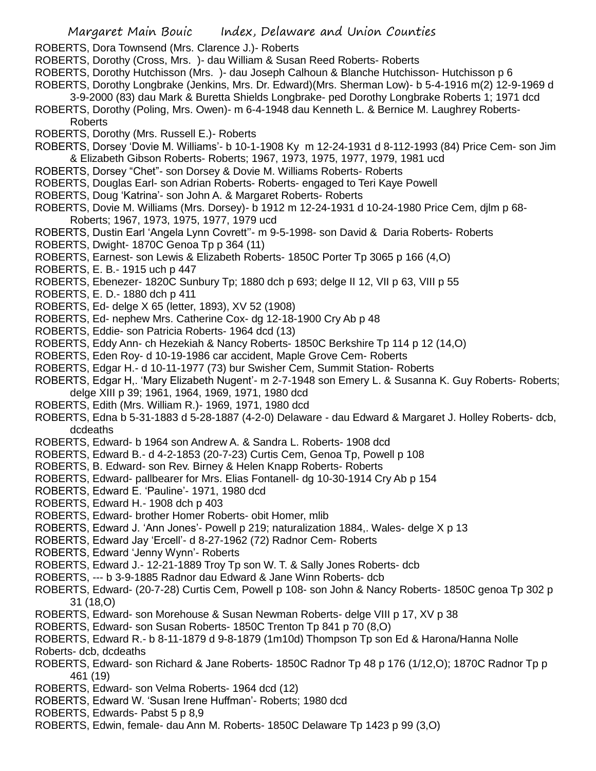ROBERTS, Dora Townsend (Mrs. Clarence J.)- Roberts

- ROBERTS, Dorothy (Cross, Mrs. )- dau William & Susan Reed Roberts- Roberts
- ROBERTS, Dorothy Hutchisson (Mrs. )- dau Joseph Calhoun & Blanche Hutchisson- Hutchisson p 6
- ROBERTS, Dorothy Longbrake (Jenkins, Mrs. Dr. Edward)(Mrs. Sherman Low)- b 5-4-1916 m(2) 12-9-1969 d
	- 3-9-2000 (83) dau Mark & Buretta Shields Longbrake- ped Dorothy Longbrake Roberts 1; 1971 dcd
- ROBERTS, Dorothy (Poling, Mrs. Owen)- m 6-4-1948 dau Kenneth L. & Bernice M. Laughrey Roberts-Roberts
- ROBERTS, Dorothy (Mrs. Russell E.)- Roberts
- ROBERTS, Dorsey 'Dovie M. Williams'- b 10-1-1908 Ky m 12-24-1931 d 8-112-1993 (84) Price Cem- son Jim & Elizabeth Gibson Roberts- Roberts; 1967, 1973, 1975, 1977, 1979, 1981 ucd
- ROBERTS, Dorsey "Chet"- son Dorsey & Dovie M. Williams Roberts- Roberts
- ROBERTS, Douglas Earl- son Adrian Roberts- Roberts- engaged to Teri Kaye Powell
- ROBERTS, Doug 'Katrina'- son John A. & Margaret Roberts- Roberts
- ROBERTS, Dovie M. Williams (Mrs. Dorsey)- b 1912 m 12-24-1931 d 10-24-1980 Price Cem, djlm p 68- Roberts; 1967, 1973, 1975, 1977, 1979 ucd
- ROBERTS, Dustin Earl 'Angela Lynn Covrett''- m 9-5-1998- son David & Daria Roberts- Roberts
- ROBERTS, Dwight- 1870C Genoa Tp p 364 (11)
- ROBERTS, Earnest- son Lewis & Elizabeth Roberts- 1850C Porter Tp 3065 p 166 (4,O)
- ROBERTS, E. B.- 1915 uch p 447
- ROBERTS, Ebenezer- 1820C Sunbury Tp; 1880 dch p 693; delge II 12, VII p 63, VIII p 55
- ROBERTS, E. D.- 1880 dch p 411
- ROBERTS, Ed- delge X 65 (letter, 1893), XV 52 (1908)
- ROBERTS, Ed- nephew Mrs. Catherine Cox- dg 12-18-1900 Cry Ab p 48
- ROBERTS, Eddie- son Patricia Roberts- 1964 dcd (13)
- ROBERTS, Eddy Ann- ch Hezekiah & Nancy Roberts- 1850C Berkshire Tp 114 p 12 (14,O)
- ROBERTS, Eden Roy- d 10-19-1986 car accident, Maple Grove Cem- Roberts
- ROBERTS, Edgar H.- d 10-11-1977 (73) bur Swisher Cem, Summit Station- Roberts
- ROBERTS, Edgar H,. 'Mary Elizabeth Nugent'- m 2-7-1948 son Emery L. & Susanna K. Guy Roberts- Roberts; delge XIII p 39; 1961, 1964, 1969, 1971, 1980 dcd
- ROBERTS, Edith (Mrs. William R.)- 1969, 1971, 1980 dcd
- ROBERTS, Edna b 5-31-1883 d 5-28-1887 (4-2-0) Delaware dau Edward & Margaret J. Holley Roberts- dcb, dcdeaths
- ROBERTS, Edward- b 1964 son Andrew A. & Sandra L. Roberts- 1908 dcd
- ROBERTS, Edward B.- d 4-2-1853 (20-7-23) Curtis Cem, Genoa Tp, Powell p 108
- ROBERTS, B. Edward- son Rev. Birney & Helen Knapp Roberts- Roberts
- ROBERTS, Edward- pallbearer for Mrs. Elias Fontanell- dg 10-30-1914 Cry Ab p 154
- ROBERTS, Edward E. 'Pauline'- 1971, 1980 dcd
- ROBERTS, Edward H.- 1908 dch p 403
- ROBERTS, Edward- brother Homer Roberts- obit Homer, mlib
- ROBERTS, Edward J. 'Ann Jones'- Powell p 219; naturalization 1884,. Wales- delge X p 13
- ROBERTS, Edward Jay 'Ercell'- d 8-27-1962 (72) Radnor Cem- Roberts
- ROBERTS, Edward 'Jenny Wynn'- Roberts
- ROBERTS, Edward J.- 12-21-1889 Troy Tp son W. T. & Sally Jones Roberts- dcb
- ROBERTS, --- b 3-9-1885 Radnor dau Edward & Jane Winn Roberts- dcb
- ROBERTS, Edward- (20-7-28) Curtis Cem, Powell p 108- son John & Nancy Roberts- 1850C genoa Tp 302 p 31 (18,O)
- ROBERTS, Edward- son Morehouse & Susan Newman Roberts- delge VIII p 17, XV p 38
- ROBERTS, Edward- son Susan Roberts- 1850C Trenton Tp 841 p 70 (8,O)
- ROBERTS, Edward R.- b 8-11-1879 d 9-8-1879 (1m10d) Thompson Tp son Ed & Harona/Hanna Nolle
- Roberts- dcb, dcdeaths
- ROBERTS, Edward- son Richard & Jane Roberts- 1850C Radnor Tp 48 p 176 (1/12,O); 1870C Radnor Tp p 461 (19)
- ROBERTS, Edward- son Velma Roberts- 1964 dcd (12)
- ROBERTS, Edward W. 'Susan Irene Huffman'- Roberts; 1980 dcd
- ROBERTS, Edwards- Pabst 5 p 8,9
- ROBERTS, Edwin, female- dau Ann M. Roberts- 1850C Delaware Tp 1423 p 99 (3,O)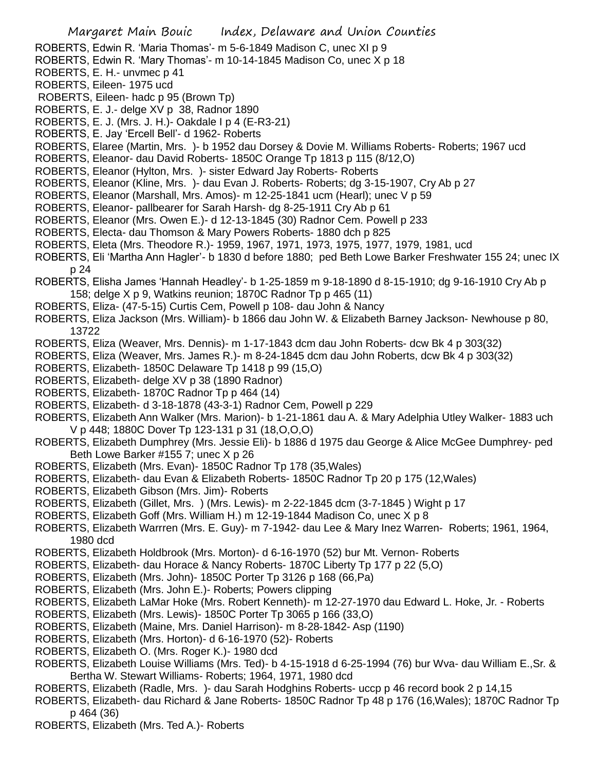- ROBERTS, Edwin R. 'Maria Thomas'- m 5-6-1849 Madison C, unec XI p 9
- ROBERTS, Edwin R. 'Mary Thomas'- m 10-14-1845 Madison Co, unec X p 18
- ROBERTS, E. H.- unvmec p 41
- ROBERTS, Eileen- 1975 ucd
- ROBERTS, Eileen- hadc p 95 (Brown Tp)
- ROBERTS, E. J.- delge XV p 38, Radnor 1890
- ROBERTS, E. J. (Mrs. J. H.)- Oakdale I p 4 (E-R3-21)
- ROBERTS, E. Jay 'Ercell Bell'- d 1962- Roberts
- ROBERTS, Elaree (Martin, Mrs. )- b 1952 dau Dorsey & Dovie M. Williams Roberts- Roberts; 1967 ucd
- ROBERTS, Eleanor- dau David Roberts- 1850C Orange Tp 1813 p 115 (8/12,O)
- ROBERTS, Eleanor (Hylton, Mrs. )- sister Edward Jay Roberts- Roberts
- ROBERTS, Eleanor (Kline, Mrs. )- dau Evan J. Roberts- Roberts; dg 3-15-1907, Cry Ab p 27
- ROBERTS, Eleanor (Marshall, Mrs. Amos)- m 12-25-1841 ucm (Hearl); unec V p 59
- ROBERTS, Eleanor- pallbearer for Sarah Harsh- dg 8-25-1911 Cry Ab p 61
- ROBERTS, Eleanor (Mrs. Owen E.)- d 12-13-1845 (30) Radnor Cem. Powell p 233
- ROBERTS, Electa- dau Thomson & Mary Powers Roberts- 1880 dch p 825
- ROBERTS, Eleta (Mrs. Theodore R.)- 1959, 1967, 1971, 1973, 1975, 1977, 1979, 1981, ucd
- ROBERTS, Eli 'Martha Ann Hagler'- b 1830 d before 1880; ped Beth Lowe Barker Freshwater 155 24; unec IX p 24
- ROBERTS, Elisha James 'Hannah Headley'- b 1-25-1859 m 9-18-1890 d 8-15-1910; dg 9-16-1910 Cry Ab p 158; delge X p 9, Watkins reunion; 1870C Radnor Tp p 465 (11)
- ROBERTS, Eliza- (47-5-15) Curtis Cem, Powell p 108- dau John & Nancy
- ROBERTS, Eliza Jackson (Mrs. William)- b 1866 dau John W. & Elizabeth Barney Jackson- Newhouse p 80, 13722
- ROBERTS, Eliza (Weaver, Mrs. Dennis)- m 1-17-1843 dcm dau John Roberts- dcw Bk 4 p 303(32)
- ROBERTS, Eliza (Weaver, Mrs. James R.)- m 8-24-1845 dcm dau John Roberts, dcw Bk 4 p 303(32)
- ROBERTS, Elizabeth- 1850C Delaware Tp 1418 p 99 (15,O)
- ROBERTS, Elizabeth- delge XV p 38 (1890 Radnor)
- ROBERTS, Elizabeth- 1870C Radnor Tp p 464 (14)
- ROBERTS, Elizabeth- d 3-18-1878 (43-3-1) Radnor Cem, Powell p 229
- ROBERTS, Elizabeth Ann Walker (Mrs. Marion)- b 1-21-1861 dau A. & Mary Adelphia Utley Walker- 1883 uch V p 448; 1880C Dover Tp 123-131 p 31 (18,O,O,O)
- ROBERTS, Elizabeth Dumphrey (Mrs. Jessie Eli)- b 1886 d 1975 dau George & Alice McGee Dumphrey- ped Beth Lowe Barker #155 7; unec X p 26
- ROBERTS, Elizabeth (Mrs. Evan)- 1850C Radnor Tp 178 (35,Wales)
- ROBERTS, Elizabeth- dau Evan & Elizabeth Roberts- 1850C Radnor Tp 20 p 175 (12,Wales)
- ROBERTS, Elizabeth Gibson (Mrs. Jim)- Roberts
- ROBERTS, Elizabeth (Gillet, Mrs. ) (Mrs. Lewis)- m 2-22-1845 dcm (3-7-1845 ) Wight p 17
- ROBERTS, Elizabeth Goff (Mrs. William H.) m 12-19-1844 Madison Co, unec X p 8
- ROBERTS, Elizabeth Warrren (Mrs. E. Guy)- m 7-1942- dau Lee & Mary Inez Warren- Roberts; 1961, 1964, 1980 dcd
- ROBERTS, Elizabeth Holdbrook (Mrs. Morton)- d 6-16-1970 (52) bur Mt. Vernon- Roberts
- ROBERTS, Elizabeth- dau Horace & Nancy Roberts- 1870C Liberty Tp 177 p 22 (5,O)
- ROBERTS, Elizabeth (Mrs. John)- 1850C Porter Tp 3126 p 168 (66,Pa)
- ROBERTS, Elizabeth (Mrs. John E.)- Roberts; Powers clipping
- ROBERTS, Elizabeth LaMar Hoke (Mrs. Robert Kenneth)- m 12-27-1970 dau Edward L. Hoke, Jr. Roberts
- ROBERTS, Elizabeth (Mrs. Lewis)- 1850C Porter Tp 3065 p 166 (33,O)
- ROBERTS, Elizabeth (Maine, Mrs. Daniel Harrison)- m 8-28-1842- Asp (1190)
- ROBERTS, Elizabeth (Mrs. Horton)- d 6-16-1970 (52)- Roberts
- ROBERTS, Elizabeth O. (Mrs. Roger K.)- 1980 dcd
- ROBERTS, Elizabeth Louise Williams (Mrs. Ted)- b 4-15-1918 d 6-25-1994 (76) bur Wva- dau William E.,Sr. & Bertha W. Stewart Williams- Roberts; 1964, 1971, 1980 dcd
- ROBERTS, Elizabeth (Radle, Mrs. )- dau Sarah Hodghins Roberts- uccp p 46 record book 2 p 14,15
- ROBERTS, Elizabeth- dau Richard & Jane Roberts- 1850C Radnor Tp 48 p 176 (16,Wales); 1870C Radnor Tp p 464 (36)
- ROBERTS, Elizabeth (Mrs. Ted A.)- Roberts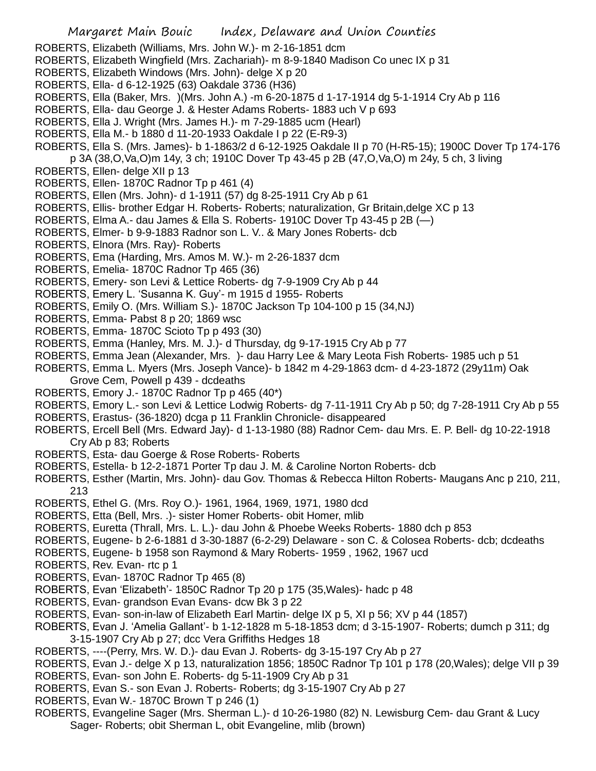- ROBERTS, Elizabeth (Williams, Mrs. John W.)- m 2-16-1851 dcm
- ROBERTS, Elizabeth Wingfield (Mrs. Zachariah)- m 8-9-1840 Madison Co unec IX p 31
- ROBERTS, Elizabeth Windows (Mrs. John)- delge X p 20
- ROBERTS, Ella- d 6-12-1925 (63) Oakdale 3736 (H36)
- ROBERTS, Ella (Baker, Mrs. )(Mrs. John A.) -m 6-20-1875 d 1-17-1914 dg 5-1-1914 Cry Ab p 116
- ROBERTS, Ella- dau George J. & Hester Adams Roberts- 1883 uch V p 693
- ROBERTS, Ella J. Wright (Mrs. James H.)- m 7-29-1885 ucm (Hearl)
- ROBERTS, Ella M.- b 1880 d 11-20-1933 Oakdale I p 22 (E-R9-3)
- ROBERTS, Ella S. (Mrs. James)- b 1-1863/2 d 6-12-1925 Oakdale II p 70 (H-R5-15); 1900C Dover Tp 174-176 p 3A (38,O,Va,O)m 14y, 3 ch; 1910C Dover Tp 43-45 p 2B (47,O,Va,O) m 24y, 5 ch, 3 living
- ROBERTS, Ellen- delge XII p 13
- ROBERTS, Ellen- 1870C Radnor Tp p 461 (4)
- ROBERTS, Ellen (Mrs. John)- d 1-1911 (57) dg 8-25-1911 Cry Ab p 61
- ROBERTS, Ellis- brother Edgar H. Roberts- Roberts; naturalization, Gr Britain,delge XC p 13
- ROBERTS, Elma A.- dau James & Ella S. Roberts- 1910C Dover Tp 43-45 p 2B (—)
- ROBERTS, Elmer- b 9-9-1883 Radnor son L. V.. & Mary Jones Roberts- dcb
- ROBERTS, Elnora (Mrs. Ray)- Roberts
- ROBERTS, Ema (Harding, Mrs. Amos M. W.)- m 2-26-1837 dcm
- ROBERTS, Emelia- 1870C Radnor Tp 465 (36)
- ROBERTS, Emery- son Levi & Lettice Roberts- dg 7-9-1909 Cry Ab p 44
- ROBERTS, Emery L. 'Susanna K. Guy'- m 1915 d 1955- Roberts
- ROBERTS, Emily O. (Mrs. William S.)- 1870C Jackson Tp 104-100 p 15 (34,NJ)
- ROBERTS, Emma- Pabst 8 p 20; 1869 wsc
- ROBERTS, Emma- 1870C Scioto Tp p 493 (30)
- ROBERTS, Emma (Hanley, Mrs. M. J.)- d Thursday, dg 9-17-1915 Cry Ab p 77
- ROBERTS, Emma Jean (Alexander, Mrs. )- dau Harry Lee & Mary Leota Fish Roberts- 1985 uch p 51
- ROBERTS, Emma L. Myers (Mrs. Joseph Vance)- b 1842 m 4-29-1863 dcm- d 4-23-1872 (29y11m) Oak
- Grove Cem, Powell p 439 dcdeaths
- ROBERTS, Emory J.- 1870C Radnor Tp p 465 (40\*)
- ROBERTS, Emory L.- son Levi & Lettice Lodwig Roberts- dg 7-11-1911 Cry Ab p 50; dg 7-28-1911 Cry Ab p 55
- ROBERTS, Erastus- (36-1820) dcga p 11 Franklin Chronicle- disappeared
- ROBERTS, Ercell Bell (Mrs. Edward Jay)- d 1-13-1980 (88) Radnor Cem- dau Mrs. E. P. Bell- dg 10-22-1918 Cry Ab p 83; Roberts
- ROBERTS, Esta- dau Goerge & Rose Roberts- Roberts
- ROBERTS, Estella- b 12-2-1871 Porter Tp dau J. M. & Caroline Norton Roberts- dcb
- ROBERTS, Esther (Martin, Mrs. John)- dau Gov. Thomas & Rebecca Hilton Roberts- Maugans Anc p 210, 211, 213
- ROBERTS, Ethel G. (Mrs. Roy O.)- 1961, 1964, 1969, 1971, 1980 dcd
- ROBERTS, Etta (Bell, Mrs. .)- sister Homer Roberts- obit Homer, mlib
- ROBERTS, Euretta (Thrall, Mrs. L. L.)- dau John & Phoebe Weeks Roberts- 1880 dch p 853
- ROBERTS, Eugene- b 2-6-1881 d 3-30-1887 (6-2-29) Delaware son C. & Colosea Roberts- dcb; dcdeaths
- ROBERTS, Eugene- b 1958 son Raymond & Mary Roberts- 1959 , 1962, 1967 ucd
- ROBERTS, Rev. Evan- rtc p 1
- ROBERTS, Evan- 1870C Radnor Tp 465 (8)
- ROBERTS, Evan 'Elizabeth'- 1850C Radnor Tp 20 p 175 (35,Wales)- hadc p 48
- ROBERTS, Evan- grandson Evan Evans- dcw Bk 3 p 22
- ROBERTS, Evan- son-in-law of Elizabeth Earl Martin- delge IX p 5, XI p 56; XV p 44 (1857)
- ROBERTS, Evan J. 'Amelia Gallant'- b 1-12-1828 m 5-18-1853 dcm; d 3-15-1907- Roberts; dumch p 311; dg
	- 3-15-1907 Cry Ab p 27; dcc Vera Griffiths Hedges 18
- ROBERTS, ----(Perry, Mrs. W. D.)- dau Evan J. Roberts- dg 3-15-197 Cry Ab p 27
- ROBERTS, Evan J.- delge X p 13, naturalization 1856; 1850C Radnor Tp 101 p 178 (20,Wales); delge VII p 39
- ROBERTS, Evan- son John E. Roberts- dg 5-11-1909 Cry Ab p 31
- ROBERTS, Evan S.- son Evan J. Roberts- Roberts; dg 3-15-1907 Cry Ab p 27
- ROBERTS, Evan W.- 1870C Brown T p 246 (1)
- ROBERTS, Evangeline Sager (Mrs. Sherman L.)- d 10-26-1980 (82) N. Lewisburg Cem- dau Grant & Lucy Sager- Roberts; obit Sherman L, obit Evangeline, mlib (brown)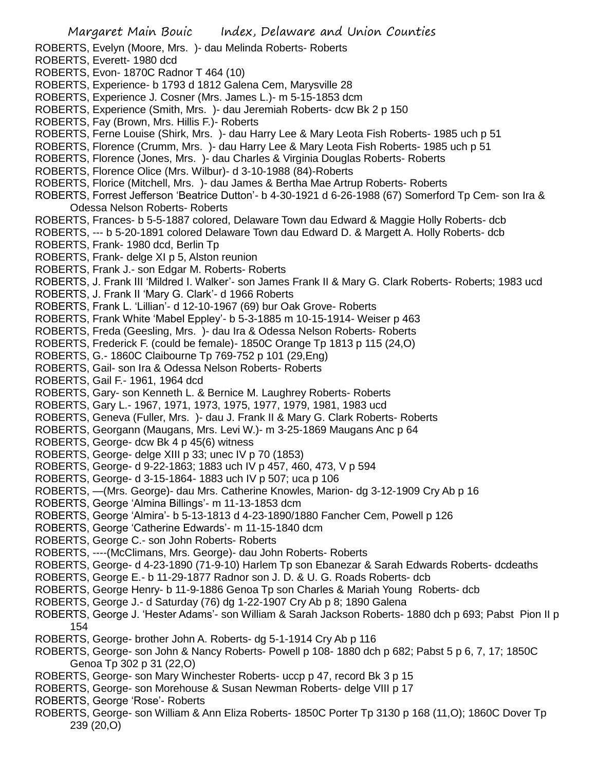- ROBERTS, Evelyn (Moore, Mrs. )- dau Melinda Roberts- Roberts
- ROBERTS, Everett- 1980 dcd
- ROBERTS, Evon- 1870C Radnor T 464 (10)
- ROBERTS, Experience- b 1793 d 1812 Galena Cem, Marysville 28
- ROBERTS, Experience J. Cosner (Mrs. James L.)- m 5-15-1853 dcm
- ROBERTS, Experience (Smith, Mrs. )- dau Jeremiah Roberts- dcw Bk 2 p 150
- ROBERTS, Fay (Brown, Mrs. Hillis F.)- Roberts
- ROBERTS, Ferne Louise (Shirk, Mrs. )- dau Harry Lee & Mary Leota Fish Roberts- 1985 uch p 51
- ROBERTS, Florence (Crumm, Mrs. )- dau Harry Lee & Mary Leota Fish Roberts- 1985 uch p 51
- ROBERTS, Florence (Jones, Mrs. )- dau Charles & Virginia Douglas Roberts- Roberts
- ROBERTS, Florence Olice (Mrs. Wilbur)- d 3-10-1988 (84)-Roberts
- ROBERTS, Florice (Mitchell, Mrs. )- dau James & Bertha Mae Artrup Roberts- Roberts
- ROBERTS, Forrest Jefferson 'Beatrice Dutton'- b 4-30-1921 d 6-26-1988 (67) Somerford Tp Cem- son Ira & Odessa Nelson Roberts- Roberts
- ROBERTS, Frances- b 5-5-1887 colored, Delaware Town dau Edward & Maggie Holly Roberts- dcb
- ROBERTS, --- b 5-20-1891 colored Delaware Town dau Edward D. & Margett A. Holly Roberts- dcb
- ROBERTS, Frank- 1980 dcd, Berlin Tp
- ROBERTS, Frank- delge XI p 5, Alston reunion
- ROBERTS, Frank J.- son Edgar M. Roberts- Roberts
- ROBERTS, J. Frank III 'Mildred I. Walker'- son James Frank II & Mary G. Clark Roberts- Roberts; 1983 ucd
- ROBERTS, J. Frank II 'Mary G. Clark'- d 1966 Roberts
- ROBERTS, Frank L. 'Lillian'- d 12-10-1967 (69) bur Oak Grove- Roberts
- ROBERTS, Frank White 'Mabel Eppley'- b 5-3-1885 m 10-15-1914- Weiser p 463
- ROBERTS, Freda (Geesling, Mrs. )- dau Ira & Odessa Nelson Roberts- Roberts
- ROBERTS, Frederick F. (could be female)- 1850C Orange Tp 1813 p 115 (24,O)
- ROBERTS, G.- 1860C Claibourne Tp 769-752 p 101 (29,Eng)
- ROBERTS, Gail- son Ira & Odessa Nelson Roberts- Roberts
- ROBERTS, Gail F.- 1961, 1964 dcd
- ROBERTS, Gary- son Kenneth L. & Bernice M. Laughrey Roberts- Roberts
- ROBERTS, Gary L.- 1967, 1971, 1973, 1975, 1977, 1979, 1981, 1983 ucd
- ROBERTS, Geneva (Fuller, Mrs. )- dau J. Frank II & Mary G. Clark Roberts- Roberts
- ROBERTS, Georgann (Maugans, Mrs. Levi W.)- m 3-25-1869 Maugans Anc p 64
- ROBERTS, George- dcw Bk 4 p 45(6) witness
- ROBERTS, George- delge XIII p 33; unec IV p 70 (1853)
- ROBERTS, George- d 9-22-1863; 1883 uch IV p 457, 460, 473, V p 594
- ROBERTS, George- d 3-15-1864- 1883 uch IV p 507; uca p 106
- ROBERTS, —(Mrs. George)- dau Mrs. Catherine Knowles, Marion- dg 3-12-1909 Cry Ab p 16
- ROBERTS, George 'Almina Billings'- m 11-13-1853 dcm
- ROBERTS, George 'Almira'- b 5-13-1813 d 4-23-1890/1880 Fancher Cem, Powell p 126
- ROBERTS, George 'Catherine Edwards'- m 11-15-1840 dcm
- ROBERTS, George C.- son John Roberts- Roberts
- ROBERTS, ----(McClimans, Mrs. George)- dau John Roberts- Roberts
- ROBERTS, George- d 4-23-1890 (71-9-10) Harlem Tp son Ebanezar & Sarah Edwards Roberts- dcdeaths
- ROBERTS, George E.- b 11-29-1877 Radnor son J. D. & U. G. Roads Roberts- dcb
- ROBERTS, George Henry- b 11-9-1886 Genoa Tp son Charles & Mariah Young Roberts- dcb
- ROBERTS, George J.- d Saturday (76) dg 1-22-1907 Cry Ab p 8; 1890 Galena
- ROBERTS, George J. 'Hester Adams'- son William & Sarah Jackson Roberts- 1880 dch p 693; Pabst Pion II p 154
- ROBERTS, George- brother John A. Roberts- dg 5-1-1914 Cry Ab p 116
- ROBERTS, George- son John & Nancy Roberts- Powell p 108- 1880 dch p 682; Pabst 5 p 6, 7, 17; 1850C Genoa Tp 302 p 31 (22,O)
- ROBERTS, George- son Mary Winchester Roberts- uccp p 47, record Bk 3 p 15
- ROBERTS, George- son Morehouse & Susan Newman Roberts- delge VIII p 17
- ROBERTS, George 'Rose'- Roberts
- ROBERTS, George- son William & Ann Eliza Roberts- 1850C Porter Tp 3130 p 168 (11,O); 1860C Dover Tp 239 (20,O)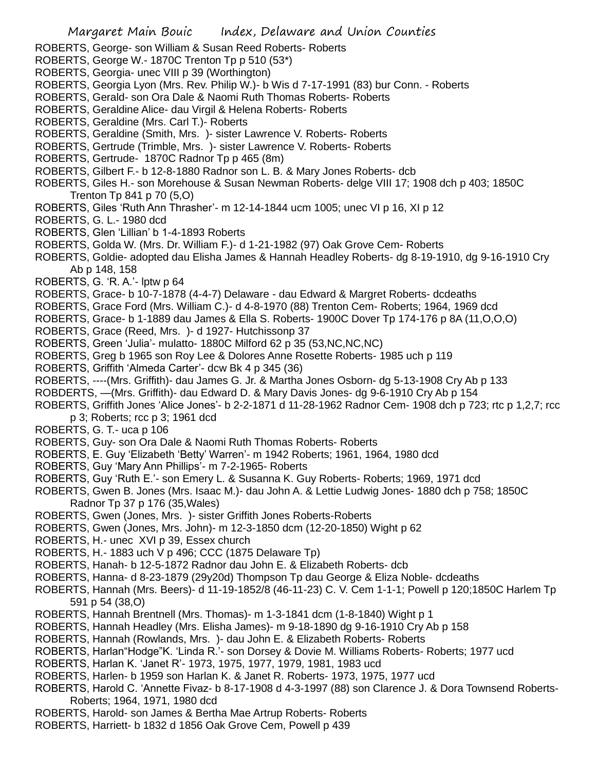- ROBERTS, George- son William & Susan Reed Roberts- Roberts
- ROBERTS, George W.- 1870C Trenton Tp p 510 (53\*)
- ROBERTS, Georgia- unec VIII p 39 (Worthington)
- ROBERTS, Georgia Lyon (Mrs. Rev. Philip W.)- b Wis d 7-17-1991 (83) bur Conn. Roberts
- ROBERTS, Gerald- son Ora Dale & Naomi Ruth Thomas Roberts- Roberts
- ROBERTS, Geraldine Alice- dau Virgil & Helena Roberts- Roberts
- ROBERTS, Geraldine (Mrs. Carl T.)- Roberts
- ROBERTS, Geraldine (Smith, Mrs. )- sister Lawrence V. Roberts- Roberts
- ROBERTS, Gertrude (Trimble, Mrs. )- sister Lawrence V. Roberts- Roberts
- ROBERTS, Gertrude- 1870C Radnor Tp p 465 (8m)
- ROBERTS, Gilbert F.- b 12-8-1880 Radnor son L. B. & Mary Jones Roberts- dcb
- ROBERTS, Giles H.- son Morehouse & Susan Newman Roberts- delge VIII 17; 1908 dch p 403; 1850C Trenton Tp 841 p 70 (5,O)
- ROBERTS, Giles 'Ruth Ann Thrasher'- m 12-14-1844 ucm 1005; unec VI p 16, XI p 12
- ROBERTS, G. L.- 1980 dcd
- ROBERTS, Glen 'Lillian' b 1-4-1893 Roberts
- ROBERTS, Golda W. (Mrs. Dr. William F.)- d 1-21-1982 (97) Oak Grove Cem- Roberts
- ROBERTS, Goldie- adopted dau Elisha James & Hannah Headley Roberts- dg 8-19-1910, dg 9-16-1910 Cry Ab p 148, 158
- ROBERTS, G. 'R. A.'- lptw p 64
- ROBERTS, Grace- b 10-7-1878 (4-4-7) Delaware dau Edward & Margret Roberts- dcdeaths
- ROBERTS, Grace Ford (Mrs. William C.)- d 4-8-1970 (88) Trenton Cem- Roberts; 1964, 1969 dcd
- ROBERTS, Grace- b 1-1889 dau James & Ella S. Roberts- 1900C Dover Tp 174-176 p 8A (11,O,O,O)
- ROBERTS, Grace (Reed, Mrs. )- d 1927- Hutchissonp 37
- ROBERTS, Green 'Julia'- mulatto- 1880C Milford 62 p 35 (53,NC,NC,NC)
- ROBERTS, Greg b 1965 son Roy Lee & Dolores Anne Rosette Roberts- 1985 uch p 119
- ROBERTS, Griffith 'Almeda Carter'- dcw Bk 4 p 345 (36)
- ROBERTS, ----(Mrs. Griffith)- dau James G. Jr. & Martha Jones Osborn- dg 5-13-1908 Cry Ab p 133
- ROBDERTS, —(Mrs. Griffith)- dau Edward D. & Mary Davis Jones- dg 9-6-1910 Cry Ab p 154
- ROBERTS, Griffith Jones 'Alice Jones'- b 2-2-1871 d 11-28-1962 Radnor Cem- 1908 dch p 723; rtc p 1,2,7; rcc p 3; Roberts; rcc p 3; 1961 dcd
- ROBERTS, G. T.- uca p 106
- ROBERTS, Guy- son Ora Dale & Naomi Ruth Thomas Roberts- Roberts
- ROBERTS, E. Guy 'Elizabeth 'Betty' Warren'- m 1942 Roberts; 1961, 1964, 1980 dcd
- ROBERTS, Guy 'Mary Ann Phillips'- m 7-2-1965- Roberts
- ROBERTS, Guy 'Ruth E.'- son Emery L. & Susanna K. Guy Roberts- Roberts; 1969, 1971 dcd
- ROBERTS, Gwen B. Jones (Mrs. Isaac M.)- dau John A. & Lettie Ludwig Jones- 1880 dch p 758; 1850C Radnor Tp 37 p 176 (35,Wales)
- ROBERTS, Gwen (Jones, Mrs. )- sister Griffith Jones Roberts-Roberts
- ROBERTS, Gwen (Jones, Mrs. John)- m 12-3-1850 dcm (12-20-1850) Wight p 62
- ROBERTS, H.- unec XVI p 39, Essex church
- ROBERTS, H.- 1883 uch V p 496; CCC (1875 Delaware Tp)
- ROBERTS, Hanah- b 12-5-1872 Radnor dau John E. & Elizabeth Roberts- dcb
- ROBERTS, Hanna- d 8-23-1879 (29y20d) Thompson Tp dau George & Eliza Noble- dcdeaths
- ROBERTS, Hannah (Mrs. Beers)- d 11-19-1852/8 (46-11-23) C. V. Cem 1-1-1; Powell p 120;1850C Harlem Tp 591 p 54 (38,O)
- ROBERTS, Hannah Brentnell (Mrs. Thomas)- m 1-3-1841 dcm (1-8-1840) Wight p 1
- ROBERTS, Hannah Headley (Mrs. Elisha James)- m 9-18-1890 dg 9-16-1910 Cry Ab p 158
- ROBERTS, Hannah (Rowlands, Mrs. )- dau John E. & Elizabeth Roberts- Roberts
- ROBERTS, Harlan"Hodge"K. 'Linda R.'- son Dorsey & Dovie M. Williams Roberts- Roberts; 1977 ucd
- ROBERTS, Harlan K. 'Janet R'- 1973, 1975, 1977, 1979, 1981, 1983 ucd
- ROBERTS, Harlen- b 1959 son Harlan K. & Janet R. Roberts- 1973, 1975, 1977 ucd
- ROBERTS, Harold C. 'Annette Fivaz- b 8-17-1908 d 4-3-1997 (88) son Clarence J. & Dora Townsend Roberts-Roberts; 1964, 1971, 1980 dcd
- ROBERTS, Harold- son James & Bertha Mae Artrup Roberts- Roberts
- ROBERTS, Harriett- b 1832 d 1856 Oak Grove Cem, Powell p 439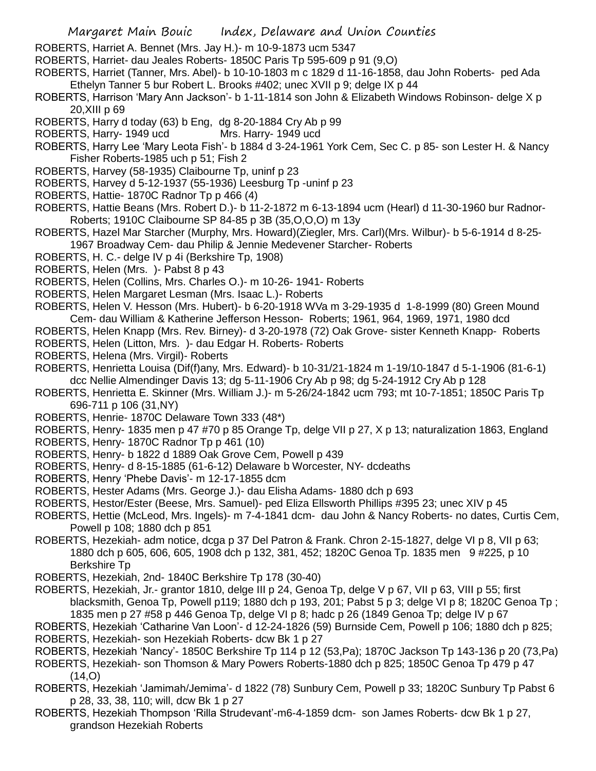- ROBERTS, Harriet A. Bennet (Mrs. Jay H.)- m 10-9-1873 ucm 5347
- ROBERTS, Harriet- dau Jeales Roberts- 1850C Paris Tp 595-609 p 91 (9,O)
- ROBERTS, Harriet (Tanner, Mrs. Abel)- b 10-10-1803 m c 1829 d 11-16-1858, dau John Roberts- ped Ada Ethelyn Tanner 5 bur Robert L. Brooks #402; unec XVII p 9; delge IX p 44
- ROBERTS, Harrison 'Mary Ann Jackson'- b 1-11-1814 son John & Elizabeth Windows Robinson- delge X p 20,XIII p 69
- ROBERTS, Harry d today (63) b Eng, dg 8-20-1884 Cry Ab p 99
- ROBERTS, Harry- 1949 ucd Mrs. Harry- 1949 ucd
- ROBERTS, Harry Lee 'Mary Leota Fish'- b 1884 d 3-24-1961 York Cem, Sec C. p 85- son Lester H. & Nancy Fisher Roberts-1985 uch p 51; Fish 2
- ROBERTS, Harvey (58-1935) Claibourne Tp, uninf p 23
- ROBERTS, Harvey d 5-12-1937 (55-1936) Leesburg Tp -uninf p 23
- ROBERTS, Hattie- 1870C Radnor Tp p 466 (4)
- ROBERTS, Hattie Beans (Mrs. Robert D.)- b 11-2-1872 m 6-13-1894 ucm (Hearl) d 11-30-1960 bur Radnor-Roberts; 1910C Claibourne SP 84-85 p 3B (35,O,O,O) m 13y
- ROBERTS, Hazel Mar Starcher (Murphy, Mrs. Howard)(Ziegler, Mrs. Carl)(Mrs. Wilbur)- b 5-6-1914 d 8-25- 1967 Broadway Cem- dau Philip & Jennie Medevener Starcher- Roberts
- ROBERTS, H. C.- delge IV p 4i (Berkshire Tp, 1908)
- ROBERTS, Helen (Mrs. )- Pabst 8 p 43
- ROBERTS, Helen (Collins, Mrs. Charles O.)- m 10-26- 1941- Roberts
- ROBERTS, Helen Margaret Lesman (Mrs. Isaac L.)- Roberts
- ROBERTS, Helen V. Hesson (Mrs. Hubert)- b 6-20-1918 WVa m 3-29-1935 d 1-8-1999 (80) Green Mound Cem- dau William & Katherine Jefferson Hesson- Roberts; 1961, 964, 1969, 1971, 1980 dcd
- ROBERTS, Helen Knapp (Mrs. Rev. Birney)- d 3-20-1978 (72) Oak Grove- sister Kenneth Knapp- Roberts
- ROBERTS, Helen (Litton, Mrs. )- dau Edgar H. Roberts- Roberts
- ROBERTS, Helena (Mrs. Virgil)- Roberts
- ROBERTS, Henrietta Louisa (Dif(f)any, Mrs. Edward)- b 10-31/21-1824 m 1-19/10-1847 d 5-1-1906 (81-6-1) dcc Nellie Almendinger Davis 13; dg 5-11-1906 Cry Ab p 98; dg 5-24-1912 Cry Ab p 128
- ROBERTS, Henrietta E. Skinner (Mrs. William J.)- m 5-26/24-1842 ucm 793; mt 10-7-1851; 1850C Paris Tp 696-711 p 106 (31,NY)
- ROBERTS, Henrie- 1870C Delaware Town 333 (48\*)
- ROBERTS, Henry- 1835 men p 47 #70 p 85 Orange Tp, delge VII p 27, X p 13; naturalization 1863, England
- ROBERTS, Henry- 1870C Radnor Tp p 461 (10)
- ROBERTS, Henry- b 1822 d 1889 Oak Grove Cem, Powell p 439
- ROBERTS, Henry- d 8-15-1885 (61-6-12) Delaware b Worcester, NY- dcdeaths
- ROBERTS, Henry 'Phebe Davis'- m 12-17-1855 dcm
- ROBERTS, Hester Adams (Mrs. George J.)- dau Elisha Adams- 1880 dch p 693
- ROBERTS, Hestor/Ester (Beese, Mrs. Samuel)- ped Eliza Ellsworth Phillips #395 23; unec XIV p 45
- ROBERTS, Hettie (McLeod, Mrs. Ingels)- m 7-4-1841 dcm- dau John & Nancy Roberts- no dates, Curtis Cem, Powell p 108; 1880 dch p 851
- ROBERTS, Hezekiah- adm notice, dcga p 37 Del Patron & Frank. Chron 2-15-1827, delge VI p 8, VII p 63; 1880 dch p 605, 606, 605, 1908 dch p 132, 381, 452; 1820C Genoa Tp. 1835 men 9 #225, p 10 Berkshire Tp
- ROBERTS, Hezekiah, 2nd- 1840C Berkshire Tp 178 (30-40)
- ROBERTS, Hezekiah, Jr.- grantor 1810, delge III p 24, Genoa Tp, delge V p 67, VII p 63, VIII p 55; first blacksmith, Genoa Tp, Powell p119; 1880 dch p 193, 201; Pabst 5 p 3; delge VI p 8; 1820C Genoa Tp ; 1835 men p 27 #58 p 446 Genoa Tp, delge VI p 8; hadc p 26 (1849 Genoa Tp; delge IV p 67
- ROBERTS, Hezekiah 'Catharine Van Loon'- d 12-24-1826 (59) Burnside Cem, Powell p 106; 1880 dch p 825; ROBERTS, Hezekiah- son Hezekiah Roberts- dcw Bk 1 p 27
- ROBERTS, Hezekiah 'Nancy'- 1850C Berkshire Tp 114 p 12 (53,Pa); 1870C Jackson Tp 143-136 p 20 (73,Pa)
- ROBERTS, Hezekiah- son Thomson & Mary Powers Roberts-1880 dch p 825; 1850C Genoa Tp 479 p 47  $(14.0)$
- ROBERTS, Hezekiah 'Jamimah/Jemima'- d 1822 (78) Sunbury Cem, Powell p 33; 1820C Sunbury Tp Pabst 6 p 28, 33, 38, 110; will, dcw Bk 1 p 27
- ROBERTS, Hezekiah Thompson 'Rilla Strudevant'-m6-4-1859 dcm- son James Roberts- dcw Bk 1 p 27, grandson Hezekiah Roberts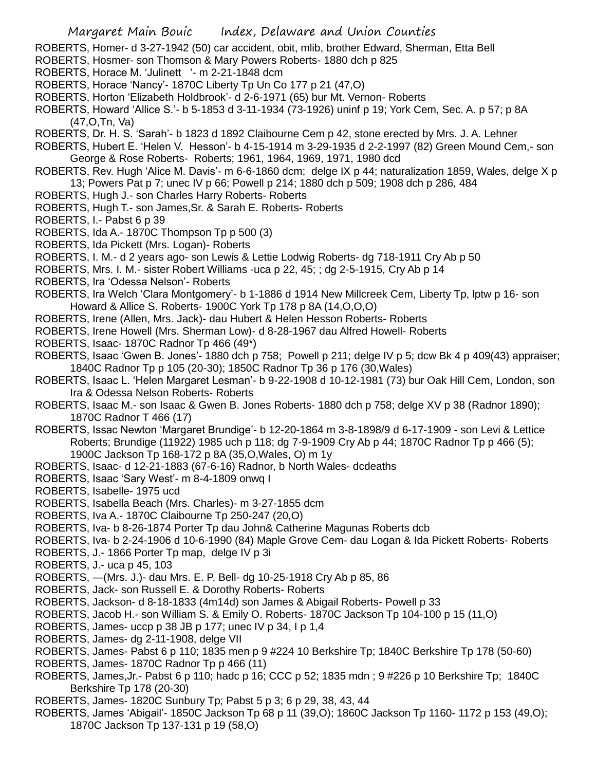- ROBERTS, Homer- d 3-27-1942 (50) car accident, obit, mlib, brother Edward, Sherman, Etta Bell
- ROBERTS, Hosmer- son Thomson & Mary Powers Roberts- 1880 dch p 825
- ROBERTS, Horace M. 'Julinett '- m 2-21-1848 dcm
- ROBERTS, Horace 'Nancy'- 1870C Liberty Tp Un Co 177 p 21 (47,O)
- ROBERTS, Horton 'Elizabeth Holdbrook'- d 2-6-1971 (65) bur Mt. Vernon- Roberts
- ROBERTS, Howard 'Allice S.'- b 5-1853 d 3-11-1934 (73-1926) uninf p 19; York Cem, Sec. A. p 57; p 8A (47,O,Tn, Va)
- ROBERTS, Dr. H. S. 'Sarah'- b 1823 d 1892 Claibourne Cem p 42, stone erected by Mrs. J. A. Lehner
- ROBERTS, Hubert E. 'Helen V. Hesson'- b 4-15-1914 m 3-29-1935 d 2-2-1997 (82) Green Mound Cem,- son George & Rose Roberts- Roberts; 1961, 1964, 1969, 1971, 1980 dcd
- ROBERTS, Rev. Hugh 'Alice M. Davis'- m 6-6-1860 dcm; delge IX p 44; naturalization 1859, Wales, delge X p 13; Powers Pat p 7; unec IV p 66; Powell p 214; 1880 dch p 509; 1908 dch p 286, 484
- ROBERTS, Hugh J.- son Charles Harry Roberts- Roberts
- ROBERTS, Hugh T.- son James,Sr. & Sarah E. Roberts- Roberts
- ROBERTS, I.- Pabst 6 p 39
- ROBERTS, Ida A.- 1870C Thompson Tp p 500 (3)
- ROBERTS, Ida Pickett (Mrs. Logan)- Roberts
- ROBERTS, I. M.- d 2 years ago- son Lewis & Lettie Lodwig Roberts- dg 718-1911 Cry Ab p 50
- ROBERTS, Mrs. I. M.- sister Robert Williams -uca p 22, 45; ; dg 2-5-1915, Cry Ab p 14
- ROBERTS, Ira 'Odessa Nelson'- Roberts
- ROBERTS, Ira Welch 'Clara Montgomery'- b 1-1886 d 1914 New Millcreek Cem, Liberty Tp, lptw p 16- son Howard & Allice S. Roberts- 1900C York Tp 178 p 8A (14,O,O,O)
- ROBERTS, Irene (Allen, Mrs. Jack)- dau Hubert & Helen Hesson Roberts- Roberts
- ROBERTS, Irene Howell (Mrs. Sherman Low)- d 8-28-1967 dau Alfred Howell- Roberts
- ROBERTS, Isaac- 1870C Radnor Tp 466 (49\*)
- ROBERTS, Isaac 'Gwen B. Jones'- 1880 dch p 758; Powell p 211; delge IV p 5; dcw Bk 4 p 409(43) appraiser; 1840C Radnor Tp p 105 (20-30); 1850C Radnor Tp 36 p 176 (30,Wales)
- ROBERTS, Isaac L. 'Helen Margaret Lesman'- b 9-22-1908 d 10-12-1981 (73) bur Oak Hill Cem, London, son Ira & Odessa Nelson Roberts- Roberts
- ROBERTS, Isaac M.- son Isaac & Gwen B. Jones Roberts- 1880 dch p 758; delge XV p 38 (Radnor 1890); 1870C Radnor T 466 (17)
- ROBERTS, Issac Newton 'Margaret Brundige'- b 12-20-1864 m 3-8-1898/9 d 6-17-1909 son Levi & Lettice Roberts; Brundige (11922) 1985 uch p 118; dg 7-9-1909 Cry Ab p 44; 1870C Radnor Tp p 466 (5); 1900C Jackson Tp 168-172 p 8A (35,O,Wales, O) m 1y
- ROBERTS, Isaac- d 12-21-1883 (67-6-16) Radnor, b North Wales- dcdeaths
- ROBERTS, Isaac 'Sary West'- m 8-4-1809 onwq I
- ROBERTS, Isabelle- 1975 ucd
- ROBERTS, Isabella Beach (Mrs. Charles)- m 3-27-1855 dcm
- ROBERTS, Iva A.- 1870C Claibourne Tp 250-247 (20,O)
- ROBERTS, Iva- b 8-26-1874 Porter Tp dau John& Catherine Magunas Roberts dcb
- ROBERTS, Iva- b 2-24-1906 d 10-6-1990 (84) Maple Grove Cem- dau Logan & Ida Pickett Roberts- Roberts
- ROBERTS, J.- 1866 Porter Tp map, delge IV p 3i
- ROBERTS, J.- uca p 45, 103
- ROBERTS, —(Mrs. J.)- dau Mrs. E. P. Bell- dg 10-25-1918 Cry Ab p 85, 86
- ROBERTS, Jack- son Russell E. & Dorothy Roberts- Roberts
- ROBERTS, Jackson- d 8-18-1833 (4m14d) son James & Abigail Roberts- Powell p 33
- ROBERTS, Jacob H.- son William S. & Emily O. Roberts- 1870C Jackson Tp 104-100 p 15 (11,O)
- ROBERTS, James- uccp p 38 JB p 177; unec IV p 34, I p 1,4
- ROBERTS, James- dg 2-11-1908, delge VII
- ROBERTS, James- Pabst 6 p 110; 1835 men p 9 #224 10 Berkshire Tp; 1840C Berkshire Tp 178 (50-60)
- ROBERTS, James- 1870C Radnor Tp p 466 (11)
- ROBERTS, James,Jr.- Pabst 6 p 110; hadc p 16; CCC p 52; 1835 mdn ; 9 #226 p 10 Berkshire Tp; 1840C Berkshire Tp 178 (20-30)
- ROBERTS, James- 1820C Sunbury Tp; Pabst 5 p 3; 6 p 29, 38, 43, 44
- ROBERTS, James 'Abigail'- 1850C Jackson Tp 68 p 11 (39,O); 1860C Jackson Tp 1160- 1172 p 153 (49,O); 1870C Jackson Tp 137-131 p 19 (58,O)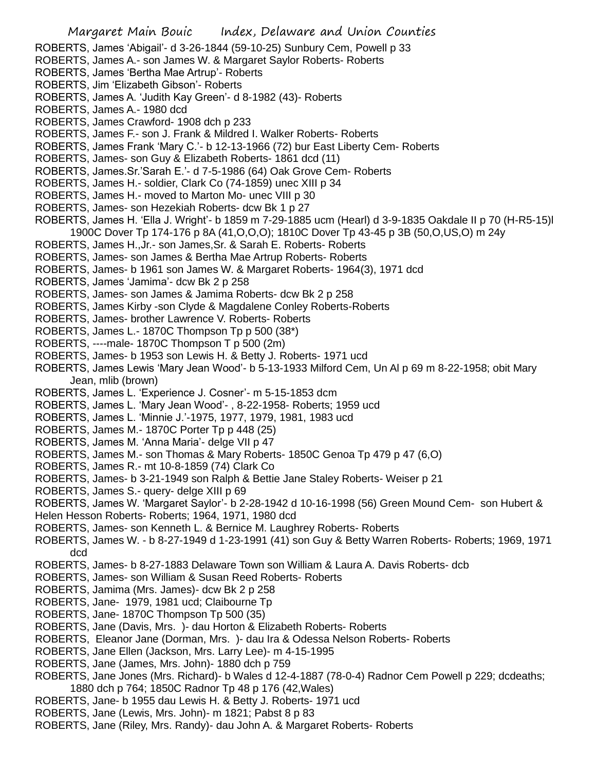ROBERTS, James 'Abigail'- d 3-26-1844 (59-10-25) Sunbury Cem, Powell p 33

- ROBERTS, James A.- son James W. & Margaret Saylor Roberts- Roberts
- ROBERTS, James 'Bertha Mae Artrup'- Roberts
- ROBERTS, Jim 'Elizabeth Gibson'- Roberts
- ROBERTS, James A. 'Judith Kay Green'- d 8-1982 (43)- Roberts
- ROBERTS, James A.- 1980 dcd
- ROBERTS, James Crawford- 1908 dch p 233
- ROBERTS, James F.- son J. Frank & Mildred I. Walker Roberts- Roberts
- ROBERTS, James Frank 'Mary C.'- b 12-13-1966 (72) bur East Liberty Cem- Roberts
- ROBERTS, James- son Guy & Elizabeth Roberts- 1861 dcd (11)
- ROBERTS, James.Sr.'Sarah E.'- d 7-5-1986 (64) Oak Grove Cem- Roberts
- ROBERTS, James H.- soldier, Clark Co (74-1859) unec XIII p 34
- ROBERTS, James H.- moved to Marton Mo- unec VIII p 30
- ROBERTS, James- son Hezekiah Roberts- dcw Bk 1 p 27
- ROBERTS, James H. 'Ella J. Wright'- b 1859 m 7-29-1885 ucm (Hearl) d 3-9-1835 Oakdale II p 70 (H-R5-15)l 1900C Dover Tp 174-176 p 8A (41,O,O,O); 1810C Dover Tp 43-45 p 3B (50,O,US,O) m 24y
- ROBERTS, James H.,Jr.- son James,Sr. & Sarah E. Roberts- Roberts
- ROBERTS, James- son James & Bertha Mae Artrup Roberts- Roberts
- ROBERTS, James- b 1961 son James W. & Margaret Roberts- 1964(3), 1971 dcd
- ROBERTS, James 'Jamima'- dcw Bk 2 p 258
- ROBERTS, James- son James & Jamima Roberts- dcw Bk 2 p 258
- ROBERTS, James Kirby -son Clyde & Magdalene Conley Roberts-Roberts
- ROBERTS, James- brother Lawrence V. Roberts- Roberts
- ROBERTS, James L.- 1870C Thompson Tp p 500 (38\*)
- ROBERTS, ----male- 1870C Thompson T p 500 (2m)
- ROBERTS, James- b 1953 son Lewis H. & Betty J. Roberts- 1971 ucd
- ROBERTS, James Lewis 'Mary Jean Wood'- b 5-13-1933 Milford Cem, Un Al p 69 m 8-22-1958; obit Mary Jean, mlib (brown)
- ROBERTS, James L. 'Experience J. Cosner'- m 5-15-1853 dcm
- ROBERTS, James L. 'Mary Jean Wood'- , 8-22-1958- Roberts; 1959 ucd
- ROBERTS, James L. 'Minnie J.'-1975, 1977, 1979, 1981, 1983 ucd
- ROBERTS, James M.- 1870C Porter Tp p 448 (25)
- ROBERTS, James M. 'Anna Maria'- delge VII p 47
- ROBERTS, James M.- son Thomas & Mary Roberts- 1850C Genoa Tp 479 p 47 (6,O)
- ROBERTS, James R.- mt 10-8-1859 (74) Clark Co
- ROBERTS, James- b 3-21-1949 son Ralph & Bettie Jane Staley Roberts- Weiser p 21
- ROBERTS, James S.- query- delge XIII p 69

ROBERTS, James W. 'Margaret Saylor'- b 2-28-1942 d 10-16-1998 (56) Green Mound Cem- son Hubert &

- Helen Hesson Roberts- Roberts; 1964, 1971, 1980 dcd
- ROBERTS, James- son Kenneth L. & Bernice M. Laughrey Roberts- Roberts
- ROBERTS, James W. b 8-27-1949 d 1-23-1991 (41) son Guy & Betty Warren Roberts- Roberts; 1969, 1971 dcd
- ROBERTS, James- b 8-27-1883 Delaware Town son William & Laura A. Davis Roberts- dcb
- ROBERTS, James- son William & Susan Reed Roberts- Roberts
- ROBERTS, Jamima (Mrs. James)- dcw Bk 2 p 258
- ROBERTS, Jane- 1979, 1981 ucd; Claibourne Tp
- ROBERTS, Jane- 1870C Thompson Tp 500 (35)
- ROBERTS, Jane (Davis, Mrs. )- dau Horton & Elizabeth Roberts- Roberts
- ROBERTS, Eleanor Jane (Dorman, Mrs. )- dau Ira & Odessa Nelson Roberts- Roberts
- ROBERTS, Jane Ellen (Jackson, Mrs. Larry Lee)- m 4-15-1995
- ROBERTS, Jane (James, Mrs. John)- 1880 dch p 759
- ROBERTS, Jane Jones (Mrs. Richard)- b Wales d 12-4-1887 (78-0-4) Radnor Cem Powell p 229; dcdeaths; 1880 dch p 764; 1850C Radnor Tp 48 p 176 (42,Wales)
- ROBERTS, Jane- b 1955 dau Lewis H. & Betty J. Roberts- 1971 ucd
- ROBERTS, Jane (Lewis, Mrs. John)- m 1821; Pabst 8 p 83
- ROBERTS, Jane (Riley, Mrs. Randy)- dau John A. & Margaret Roberts- Roberts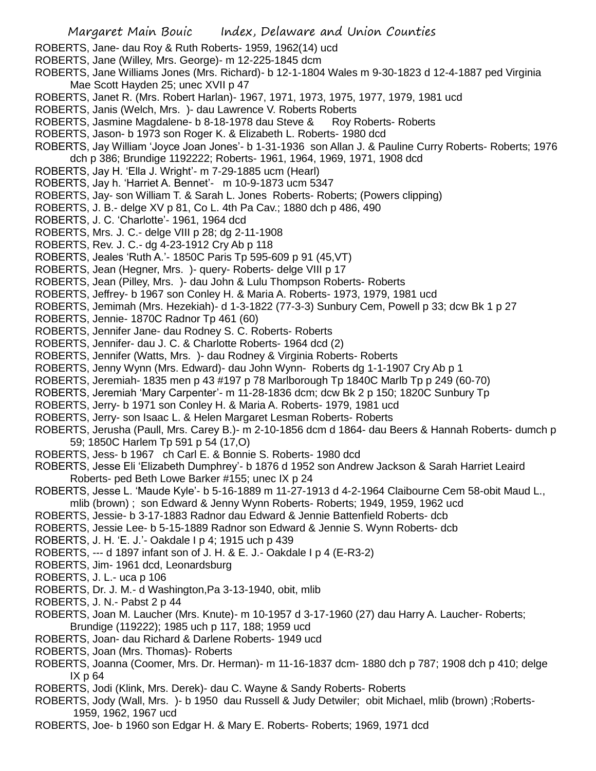- ROBERTS, Jane- dau Roy & Ruth Roberts- 1959, 1962(14) ucd
- ROBERTS, Jane (Willey, Mrs. George)- m 12-225-1845 dcm
- ROBERTS, Jane Williams Jones (Mrs. Richard)- b 12-1-1804 Wales m 9-30-1823 d 12-4-1887 ped Virginia Mae Scott Hayden 25; unec XVII p 47
- ROBERTS, Janet R. (Mrs. Robert Harlan)- 1967, 1971, 1973, 1975, 1977, 1979, 1981 ucd
- ROBERTS, Janis (Welch, Mrs. )- dau Lawrence V. Roberts Roberts
- ROBERTS, Jasmine Magdalene- b 8-18-1978 dau Steve & Roy Roberts- Roberts
- ROBERTS, Jason- b 1973 son Roger K. & Elizabeth L. Roberts- 1980 dcd
- ROBERTS, Jay William 'Joyce Joan Jones'- b 1-31-1936 son Allan J. & Pauline Curry Roberts- Roberts; 1976 dch p 386; Brundige 1192222; Roberts- 1961, 1964, 1969, 1971, 1908 dcd
- ROBERTS, Jay H. 'Ella J. Wright'- m 7-29-1885 ucm (Hearl)
- ROBERTS, Jay h. 'Harriet A. Bennet'- m 10-9-1873 ucm 5347
- ROBERTS, Jay- son William T. & Sarah L. Jones Roberts- Roberts; (Powers clipping)
- ROBERTS, J. B.- delge XV p 81, Co L. 4th Pa Cav.; 1880 dch p 486, 490
- ROBERTS, J. C. 'Charlotte'- 1961, 1964 dcd
- ROBERTS, Mrs. J. C.- delge VIII p 28; dg 2-11-1908
- ROBERTS, Rev. J. C.- dg 4-23-1912 Cry Ab p 118
- ROBERTS, Jeales 'Ruth A.'- 1850C Paris Tp 595-609 p 91 (45,VT)
- ROBERTS, Jean (Hegner, Mrs. )- query- Roberts- delge VIII p 17
- ROBERTS, Jean (Pilley, Mrs. )- dau John & Lulu Thompson Roberts- Roberts
- ROBERTS, Jeffrey- b 1967 son Conley H. & Maria A. Roberts- 1973, 1979, 1981 ucd
- ROBERTS, Jemimah (Mrs. Hezekiah)- d 1-3-1822 (77-3-3) Sunbury Cem, Powell p 33; dcw Bk 1 p 27
- ROBERTS, Jennie- 1870C Radnor Tp 461 (60)
- ROBERTS, Jennifer Jane- dau Rodney S. C. Roberts- Roberts
- ROBERTS, Jennifer- dau J. C. & Charlotte Roberts- 1964 dcd (2)
- ROBERTS, Jennifer (Watts, Mrs. )- dau Rodney & Virginia Roberts- Roberts
- ROBERTS, Jenny Wynn (Mrs. Edward)- dau John Wynn- Roberts dg 1-1-1907 Cry Ab p 1
- ROBERTS, Jeremiah- 1835 men p 43 #197 p 78 Marlborough Tp 1840C Marlb Tp p 249 (60-70)
- ROBERTS, Jeremiah 'Mary Carpenter'- m 11-28-1836 dcm; dcw Bk 2 p 150; 1820C Sunbury Tp
- ROBERTS, Jerry- b 1971 son Conley H. & Maria A. Roberts- 1979, 1981 ucd
- ROBERTS, Jerry- son Isaac L. & Helen Margaret Lesman Roberts- Roberts
- ROBERTS, Jerusha (Paull, Mrs. Carey B.)- m 2-10-1856 dcm d 1864- dau Beers & Hannah Roberts- dumch p 59; 1850C Harlem Tp 591 p 54 (17,O)
- ROBERTS, Jess- b 1967 ch Carl E. & Bonnie S. Roberts- 1980 dcd
- ROBERTS, Jesse Eli 'Elizabeth Dumphrey'- b 1876 d 1952 son Andrew Jackson & Sarah Harriet Leaird Roberts- ped Beth Lowe Barker #155; unec IX p 24
- ROBERTS, Jesse L. 'Maude Kyle'- b 5-16-1889 m 11-27-1913 d 4-2-1964 Claibourne Cem 58-obit Maud L.,
- mlib (brown) ; son Edward & Jenny Wynn Roberts- Roberts; 1949, 1959, 1962 ucd
- ROBERTS, Jessie- b 3-17-1883 Radnor dau Edward & Jennie Battenfield Roberts- dcb
- ROBERTS, Jessie Lee- b 5-15-1889 Radnor son Edward & Jennie S. Wynn Roberts- dcb
- ROBERTS, J. H. 'E. J.'- Oakdale I p 4; 1915 uch p 439
- ROBERTS, --- d 1897 infant son of J. H. & E. J.- Oakdale I p 4 (E-R3-2)
- ROBERTS, Jim- 1961 dcd, Leonardsburg
- ROBERTS, J. L.- uca p 106
- ROBERTS, Dr. J. M.- d Washington,Pa 3-13-1940, obit, mlib
- ROBERTS, J. N.- Pabst 2 p 44
- ROBERTS, Joan M. Laucher (Mrs. Knute)- m 10-1957 d 3-17-1960 (27) dau Harry A. Laucher- Roberts; Brundige (119222); 1985 uch p 117, 188; 1959 ucd
- ROBERTS, Joan- dau Richard & Darlene Roberts- 1949 ucd
- ROBERTS, Joan (Mrs. Thomas)- Roberts
- ROBERTS, Joanna (Coomer, Mrs. Dr. Herman)- m 11-16-1837 dcm- 1880 dch p 787; 1908 dch p 410; delge IX p 64
- ROBERTS, Jodi (Klink, Mrs. Derek)- dau C. Wayne & Sandy Roberts- Roberts
- ROBERTS, Jody (Wall, Mrs. )- b 1950 dau Russell & Judy Detwiler; obit Michael, mlib (brown) ;Roberts-1959, 1962, 1967 ucd
- ROBERTS, Joe- b 1960 son Edgar H. & Mary E. Roberts- Roberts; 1969, 1971 dcd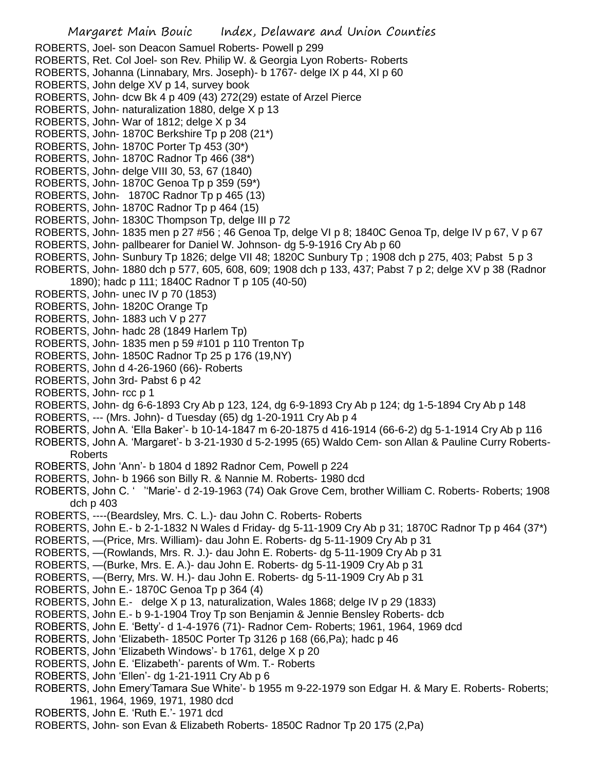Margaret Main Bouic Index, Delaware and Union Counties ROBERTS, Joel- son Deacon Samuel Roberts- Powell p 299 ROBERTS, Ret. Col Joel- son Rev. Philip W. & Georgia Lyon Roberts- Roberts ROBERTS, Johanna (Linnabary, Mrs. Joseph)- b 1767- delge IX p 44, XI p 60 ROBERTS, John delge XV p 14, survey book ROBERTS, John- dcw Bk 4 p 409 (43) 272(29) estate of Arzel Pierce ROBERTS, John- naturalization 1880, delge X p 13 ROBERTS, John- War of 1812; delge X p 34 ROBERTS, John- 1870C Berkshire Tp p 208 (21\*) ROBERTS, John- 1870C Porter Tp 453 (30\*) ROBERTS, John- 1870C Radnor Tp 466 (38\*) ROBERTS, John- delge VIII 30, 53, 67 (1840) ROBERTS, John- 1870C Genoa Tp p 359 (59\*) ROBERTS, John- 1870C Radnor Tp p 465 (13) ROBERTS, John- 1870C Radnor Tp p 464 (15) ROBERTS, John- 1830C Thompson Tp, delge III p 72 ROBERTS, John- 1835 men p 27 #56 ; 46 Genoa Tp, delge VI p 8; 1840C Genoa Tp, delge IV p 67, V p 67 ROBERTS, John- pallbearer for Daniel W. Johnson- dg 5-9-1916 Cry Ab p 60 ROBERTS, John- Sunbury Tp 1826; delge VII 48; 1820C Sunbury Tp ; 1908 dch p 275, 403; Pabst 5 p 3 ROBERTS, John- 1880 dch p 577, 605, 608, 609; 1908 dch p 133, 437; Pabst 7 p 2; delge XV p 38 (Radnor 1890); hadc p 111; 1840C Radnor T p 105 (40-50) ROBERTS, John- unec IV p 70 (1853) ROBERTS, John- 1820C Orange Tp ROBERTS, John- 1883 uch V p 277 ROBERTS, John- hadc 28 (1849 Harlem Tp) ROBERTS, John- 1835 men p 59 #101 p 110 Trenton Tp ROBERTS, John- 1850C Radnor Tp 25 p 176 (19,NY) ROBERTS, John d 4-26-1960 (66)- Roberts ROBERTS, John 3rd- Pabst 6 p 42 ROBERTS, John- rcc p 1 ROBERTS, John- dg 6-6-1893 Cry Ab p 123, 124, dg 6-9-1893 Cry Ab p 124; dg 1-5-1894 Cry Ab p 148 ROBERTS, --- (Mrs. John)- d Tuesday (65) dg 1-20-1911 Cry Ab p 4 ROBERTS, John A. 'Ella Baker'- b 10-14-1847 m 6-20-1875 d 416-1914 (66-6-2) dg 5-1-1914 Cry Ab p 116 ROBERTS, John A. 'Margaret'- b 3-21-1930 d 5-2-1995 (65) Waldo Cem- son Allan & Pauline Curry Roberts-Roberts ROBERTS, John 'Ann'- b 1804 d 1892 Radnor Cem, Powell p 224 ROBERTS, John- b 1966 son Billy R. & Nannie M. Roberts- 1980 dcd ROBERTS, John C. ' ''Marie'- d 2-19-1963 (74) Oak Grove Cem, brother William C. Roberts- Roberts; 1908 dch p 403 ROBERTS, ----(Beardsley, Mrs. C. L.)- dau John C. Roberts- Roberts ROBERTS, John E.- b 2-1-1832 N Wales d Friday- dg 5-11-1909 Cry Ab p 31; 1870C Radnor Tp p 464 (37\*) ROBERTS, —(Price, Mrs. William)- dau John E. Roberts- dg 5-11-1909 Cry Ab p 31 ROBERTS, —(Rowlands, Mrs. R. J.)- dau John E. Roberts- dg 5-11-1909 Cry Ab p 31 ROBERTS, —(Burke, Mrs. E. A.)- dau John E. Roberts- dg 5-11-1909 Cry Ab p 31 ROBERTS, —(Berry, Mrs. W. H.)- dau John E. Roberts- dg 5-11-1909 Cry Ab p 31 ROBERTS, John E.- 1870C Genoa Tp p 364 (4) ROBERTS, John E.- delge X p 13, naturalization, Wales 1868; delge IV p 29 (1833)

- ROBERTS, John E.- b 9-1-1904 Troy Tp son Benjamin & Jennie Bensley Roberts- dcb
- ROBERTS, John E. 'Betty'- d 1-4-1976 (71)- Radnor Cem- Roberts; 1961, 1964, 1969 dcd
- ROBERTS, John 'Elizabeth- 1850C Porter Tp 3126 p 168 (66,Pa); hadc p 46
- ROBERTS, John 'Elizabeth Windows'- b 1761, delge X p 20
- ROBERTS, John E. 'Elizabeth'- parents of Wm. T.- Roberts
- ROBERTS, John 'Ellen'- dg 1-21-1911 Cry Ab p 6
- ROBERTS, John Emery'Tamara Sue White'- b 1955 m 9-22-1979 son Edgar H. & Mary E. Roberts- Roberts; 1961, 1964, 1969, 1971, 1980 dcd
- ROBERTS, John E. 'Ruth E.'- 1971 dcd
- ROBERTS, John- son Evan & Elizabeth Roberts- 1850C Radnor Tp 20 175 (2,Pa)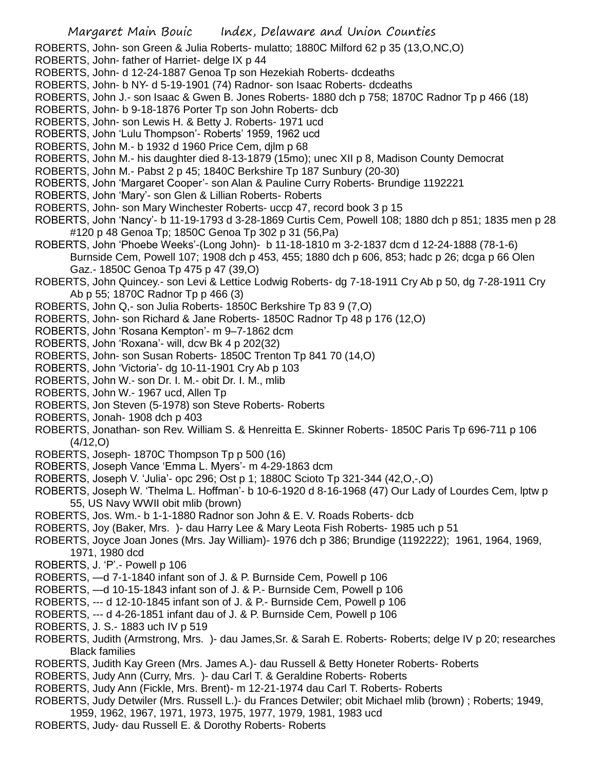ROBERTS, John- son Green & Julia Roberts- mulatto; 1880C Milford 62 p 35 (13,O,NC,O)

ROBERTS, John- father of Harriet- delge IX p 44

ROBERTS, John- d 12-24-1887 Genoa Tp son Hezekiah Roberts- dcdeaths

ROBERTS, John- b NY- d 5-19-1901 (74) Radnor- son Isaac Roberts- dcdeaths

ROBERTS, John J.- son Isaac & Gwen B. Jones Roberts- 1880 dch p 758; 1870C Radnor Tp p 466 (18)

ROBERTS, John- b 9-18-1876 Porter Tp son John Roberts- dcb

ROBERTS, John- son Lewis H. & Betty J. Roberts- 1971 ucd

ROBERTS, John 'Lulu Thompson'- Roberts' 1959, 1962 ucd

- ROBERTS, John M.- b 1932 d 1960 Price Cem, djlm p 68
- ROBERTS, John M.- his daughter died 8-13-1879 (15mo); unec XII p 8, Madison County Democrat

ROBERTS, John M.- Pabst 2 p 45; 1840C Berkshire Tp 187 Sunbury (20-30)

- ROBERTS, John 'Margaret Cooper'- son Alan & Pauline Curry Roberts- Brundige 1192221
- ROBERTS, John 'Mary'- son Glen & Lillian Roberts- Roberts
- ROBERTS, John- son Mary Winchester Roberts- uccp 47, record book 3 p 15
- ROBERTS, John 'Nancy'- b 11-19-1793 d 3-28-1869 Curtis Cem, Powell 108; 1880 dch p 851; 1835 men p 28 #120 p 48 Genoa Tp; 1850C Genoa Tp 302 p 31 (56,Pa)
- ROBERTS, John 'Phoebe Weeks'-(Long John)- b 11-18-1810 m 3-2-1837 dcm d 12-24-1888 (78-1-6) Burnside Cem, Powell 107; 1908 dch p 453, 455; 1880 dch p 606, 853; hadc p 26; dcga p 66 Olen Gaz.- 1850C Genoa Tp 475 p 47 (39,O)
- ROBERTS, John Quincey.- son Levi & Lettice Lodwig Roberts- dg 7-18-1911 Cry Ab p 50, dg 7-28-1911 Cry Ab p 55; 1870C Radnor Tp p 466 (3)
- ROBERTS, John Q,- son Julia Roberts- 1850C Berkshire Tp 83 9 (7,O)
- ROBERTS, John- son Richard & Jane Roberts- 1850C Radnor Tp 48 p 176 (12,O)
- ROBERTS, John 'Rosana Kempton'- m 9–7-1862 dcm
- ROBERTS, John 'Roxana'- will, dcw Bk 4 p 202(32)
- ROBERTS, John- son Susan Roberts- 1850C Trenton Tp 841 70 (14,O)
- ROBERTS, John 'Victoria'- dg 10-11-1901 Cry Ab p 103
- ROBERTS, John W.- son Dr. I. M.- obit Dr. I. M., mlib
- ROBERTS, John W.- 1967 ucd, Allen Tp
- ROBERTS, Jon Steven (5-1978) son Steve Roberts- Roberts
- ROBERTS, Jonah- 1908 dch p 403
- ROBERTS, Jonathan- son Rev. William S. & Henreitta E. Skinner Roberts- 1850C Paris Tp 696-711 p 106  $(4/12,0)$
- ROBERTS, Joseph- 1870C Thompson Tp p 500 (16)
- ROBERTS, Joseph Vance 'Emma L. Myers'- m 4-29-1863 dcm
- ROBERTS, Joseph V. 'Julia'- opc 296; Ost p 1; 1880C Scioto Tp 321-344 (42,O,-,O)
- ROBERTS, Joseph W. 'Thelma L. Hoffman'- b 10-6-1920 d 8-16-1968 (47) Our Lady of Lourdes Cem, lptw p 55, US Navy WWII obit mlib (brown)
- ROBERTS, Jos. Wm.- b 1-1-1880 Radnor son John & E. V. Roads Roberts- dcb
- ROBERTS, Joy (Baker, Mrs. )- dau Harry Lee & Mary Leota Fish Roberts- 1985 uch p 51
- ROBERTS, Joyce Joan Jones (Mrs. Jay William)- 1976 dch p 386; Brundige (1192222); 1961, 1964, 1969, 1971, 1980 dcd
- ROBERTS, J. 'P'.- Powell p 106
- ROBERTS, —d 7-1-1840 infant son of J. & P. Burnside Cem, Powell p 106
- ROBERTS, —d 10-15-1843 infant son of J. & P.- Burnside Cem, Powell p 106
- ROBERTS, --- d 12-10-1845 infant son of J. & P.- Burnside Cem, Powell p 106
- ROBERTS, --- d 4-26-1851 infant dau of J. & P. Burnside Cem, Powell p 106
- ROBERTS, J. S.- 1883 uch IV p 519
- ROBERTS, Judith (Armstrong, Mrs. )- dau James,Sr. & Sarah E. Roberts- Roberts; delge IV p 20; researches Black families
- ROBERTS, Judith Kay Green (Mrs. James A.)- dau Russell & Betty Honeter Roberts- Roberts
- ROBERTS, Judy Ann (Curry, Mrs. )- dau Carl T. & Geraldine Roberts- Roberts
- ROBERTS, Judy Ann (Fickle, Mrs. Brent)- m 12-21-1974 dau Carl T. Roberts- Roberts
- ROBERTS, Judy Detwiler (Mrs. Russell L.)- du Frances Detwiler; obit Michael mlib (brown) ; Roberts; 1949,
- 1959, 1962, 1967, 1971, 1973, 1975, 1977, 1979, 1981, 1983 ucd
- ROBERTS, Judy- dau Russell E. & Dorothy Roberts- Roberts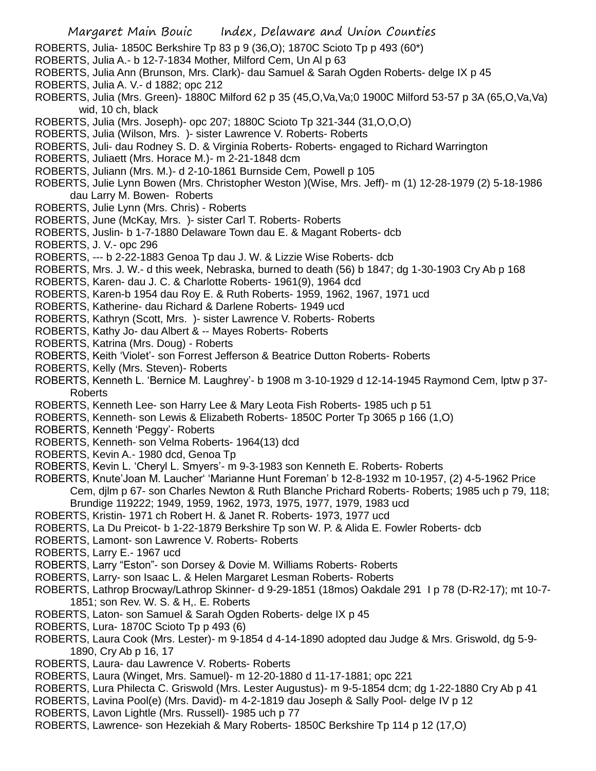- ROBERTS, Julia- 1850C Berkshire Tp 83 p 9 (36,O); 1870C Scioto Tp p 493 (60\*)
- ROBERTS, Julia A.- b 12-7-1834 Mother, Milford Cem, Un Al p 63
- ROBERTS, Julia Ann (Brunson, Mrs. Clark)- dau Samuel & Sarah Ogden Roberts- delge IX p 45
- ROBERTS, Julia A. V.- d 1882; opc 212
- ROBERTS, Julia (Mrs. Green)- 1880C Milford 62 p 35 (45,O,Va,Va;0 1900C Milford 53-57 p 3A (65,O,Va,Va) wid, 10 ch, black
- ROBERTS, Julia (Mrs. Joseph)- opc 207; 1880C Scioto Tp 321-344 (31,O,O,O)
- ROBERTS, Julia (Wilson, Mrs. )- sister Lawrence V. Roberts- Roberts
- ROBERTS, Juli- dau Rodney S. D. & Virginia Roberts- Roberts- engaged to Richard Warrington
- ROBERTS, Juliaett (Mrs. Horace M.)- m 2-21-1848 dcm
- ROBERTS, Juliann (Mrs. M.)- d 2-10-1861 Burnside Cem, Powell p 105
- ROBERTS, Julie Lynn Bowen (Mrs. Christopher Weston )(Wise, Mrs. Jeff)- m (1) 12-28-1979 (2) 5-18-1986 dau Larry M. Bowen- Roberts
- ROBERTS, Julie Lynn (Mrs. Chris) Roberts
- ROBERTS, June (McKay, Mrs. )- sister Carl T. Roberts- Roberts
- ROBERTS, Juslin- b 1-7-1880 Delaware Town dau E. & Magant Roberts- dcb
- ROBERTS, J. V.- opc 296
- ROBERTS, --- b 2-22-1883 Genoa Tp dau J. W. & Lizzie Wise Roberts- dcb
- ROBERTS, Mrs. J. W.- d this week, Nebraska, burned to death (56) b 1847; dg 1-30-1903 Cry Ab p 168
- ROBERTS, Karen- dau J. C. & Charlotte Roberts- 1961(9), 1964 dcd
- ROBERTS, Karen-b 1954 dau Roy E. & Ruth Roberts- 1959, 1962, 1967, 1971 ucd
- ROBERTS, Katherine- dau Richard & Darlene Roberts- 1949 ucd
- ROBERTS, Kathryn (Scott, Mrs. )- sister Lawrence V. Roberts- Roberts
- ROBERTS, Kathy Jo- dau Albert & -- Mayes Roberts- Roberts
- ROBERTS, Katrina (Mrs. Doug) Roberts
- ROBERTS, Keith 'Violet'- son Forrest Jefferson & Beatrice Dutton Roberts- Roberts
- ROBERTS, Kelly (Mrs. Steven)- Roberts
- ROBERTS, Kenneth L. 'Bernice M. Laughrey'- b 1908 m 3-10-1929 d 12-14-1945 Raymond Cem, lptw p 37- Roberts
- ROBERTS, Kenneth Lee- son Harry Lee & Mary Leota Fish Roberts- 1985 uch p 51
- ROBERTS, Kenneth- son Lewis & Elizabeth Roberts- 1850C Porter Tp 3065 p 166 (1,O)
- ROBERTS, Kenneth 'Peggy'- Roberts
- ROBERTS, Kenneth- son Velma Roberts- 1964(13) dcd
- ROBERTS, Kevin A.- 1980 dcd, Genoa Tp
- ROBERTS, Kevin L. 'Cheryl L. Smyers'- m 9-3-1983 son Kenneth E. Roberts- Roberts
- ROBERTS, Knute'Joan M. Laucher' 'Marianne Hunt Foreman' b 12-8-1932 m 10-1957, (2) 4-5-1962 Price Cem, djlm p 67- son Charles Newton & Ruth Blanche Prichard Roberts- Roberts; 1985 uch p 79, 118; Brundige 119222; 1949, 1959, 1962, 1973, 1975, 1977, 1979, 1983 ucd
- ROBERTS, Kristin- 1971 ch Robert H. & Janet R. Roberts- 1973, 1977 ucd
- ROBERTS, La Du Preicot- b 1-22-1879 Berkshire Tp son W. P. & Alida E. Fowler Roberts- dcb
- ROBERTS, Lamont- son Lawrence V. Roberts- Roberts
- ROBERTS, Larry E.- 1967 ucd
- ROBERTS, Larry "Eston"- son Dorsey & Dovie M. Williams Roberts- Roberts
- ROBERTS, Larry- son Isaac L. & Helen Margaret Lesman Roberts- Roberts
- ROBERTS, Lathrop Brocway/Lathrop Skinner- d 9-29-1851 (18mos) Oakdale 291 I p 78 (D-R2-17); mt 10-7- 1851; son Rev. W. S. & H,. E. Roberts
- ROBERTS, Laton- son Samuel & Sarah Ogden Roberts- delge IX p 45
- ROBERTS, Lura- 1870C Scioto Tp p 493 (6)
- ROBERTS, Laura Cook (Mrs. Lester)- m 9-1854 d 4-14-1890 adopted dau Judge & Mrs. Griswold, dg 5-9- 1890, Cry Ab p 16, 17
- ROBERTS, Laura- dau Lawrence V. Roberts- Roberts
- ROBERTS, Laura (Winget, Mrs. Samuel)- m 12-20-1880 d 11-17-1881; opc 221
- ROBERTS, Lura Philecta C. Griswold (Mrs. Lester Augustus)- m 9-5-1854 dcm; dg 1-22-1880 Cry Ab p 41
- ROBERTS, Lavina Pool(e) (Mrs. David)- m 4-2-1819 dau Joseph & Sally Pool- delge IV p 12
- ROBERTS, Lavon Lightle (Mrs. Russell)- 1985 uch p 77
- ROBERTS, Lawrence- son Hezekiah & Mary Roberts- 1850C Berkshire Tp 114 p 12 (17,O)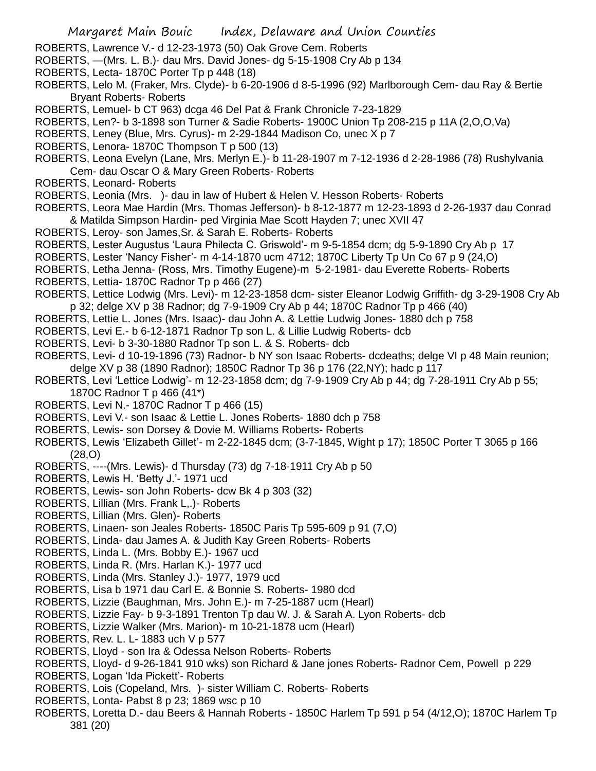- ROBERTS, Lawrence V.- d 12-23-1973 (50) Oak Grove Cem. Roberts
- ROBERTS, —(Mrs. L. B.)- dau Mrs. David Jones- dg 5-15-1908 Cry Ab p 134
- ROBERTS, Lecta- 1870C Porter Tp p 448 (18)
- ROBERTS, Lelo M. (Fraker, Mrs. Clyde)- b 6-20-1906 d 8-5-1996 (92) Marlborough Cem- dau Ray & Bertie Bryant Roberts- Roberts
- ROBERTS, Lemuel- b CT 963) dcga 46 Del Pat & Frank Chronicle 7-23-1829
- ROBERTS, Len?- b 3-1898 son Turner & Sadie Roberts- 1900C Union Tp 208-215 p 11A (2,O,O,Va)
- ROBERTS, Leney (Blue, Mrs. Cyrus)- m 2-29-1844 Madison Co, unec X p 7
- ROBERTS, Lenora- 1870C Thompson T p 500 (13)
- ROBERTS, Leona Evelyn (Lane, Mrs. Merlyn E.)- b 11-28-1907 m 7-12-1936 d 2-28-1986 (78) Rushylvania Cem- dau Oscar O & Mary Green Roberts- Roberts
- ROBERTS, Leonard- Roberts
- ROBERTS, Leonia (Mrs. )- dau in law of Hubert & Helen V. Hesson Roberts- Roberts
- ROBERTS, Leora Mae Hardin (Mrs. Thomas Jefferson)- b 8-12-1877 m 12-23-1893 d 2-26-1937 dau Conrad & Matilda Simpson Hardin- ped Virginia Mae Scott Hayden 7; unec XVII 47
- ROBERTS, Leroy- son James,Sr. & Sarah E. Roberts- Roberts
- ROBERTS, Lester Augustus 'Laura Philecta C. Griswold'- m 9-5-1854 dcm; dg 5-9-1890 Cry Ab p 17
- ROBERTS, Lester 'Nancy Fisher'- m 4-14-1870 ucm 4712; 1870C Liberty Tp Un Co 67 p 9 (24,O)
- ROBERTS, Letha Jenna- (Ross, Mrs. Timothy Eugene)-m 5-2-1981- dau Everette Roberts- Roberts
- ROBERTS, Lettia- 1870C Radnor Tp p 466 (27)
- ROBERTS, Lettice Lodwig (Mrs. Levi)- m 12-23-1858 dcm- sister Eleanor Lodwig Griffith- dg 3-29-1908 Cry Ab p 32; delge XV p 38 Radnor; dg 7-9-1909 Cry Ab p 44; 1870C Radnor Tp p 466 (40)
- ROBERTS, Lettie L. Jones (Mrs. Isaac)- dau John A. & Lettie Ludwig Jones- 1880 dch p 758
- ROBERTS, Levi E.- b 6-12-1871 Radnor Tp son L. & Lillie Ludwig Roberts- dcb
- ROBERTS, Levi- b 3-30-1880 Radnor Tp son L. & S. Roberts- dcb
- ROBERTS, Levi- d 10-19-1896 (73) Radnor- b NY son Isaac Roberts- dcdeaths; delge VI p 48 Main reunion; delge XV p 38 (1890 Radnor); 1850C Radnor Tp 36 p 176 (22,NY); hadc p 117
- ROBERTS, Levi 'Lettice Lodwig'- m 12-23-1858 dcm; dg 7-9-1909 Cry Ab p 44; dg 7-28-1911 Cry Ab p 55; 1870C Radnor T p 466 (41\*)
- ROBERTS, Levi N.- 1870C Radnor T p 466 (15)
- ROBERTS, Levi V.- son Isaac & Lettie L. Jones Roberts- 1880 dch p 758
- ROBERTS, Lewis- son Dorsey & Dovie M. Williams Roberts- Roberts
- ROBERTS, Lewis 'Elizabeth Gillet'- m 2-22-1845 dcm; (3-7-1845, Wight p 17); 1850C Porter T 3065 p 166 (28,O)
- ROBERTS, ----(Mrs. Lewis)- d Thursday (73) dg 7-18-1911 Cry Ab p 50
- ROBERTS, Lewis H. 'Betty J.'- 1971 ucd
- ROBERTS, Lewis- son John Roberts- dcw Bk 4 p 303 (32)
- ROBERTS, Lillian (Mrs. Frank L,.)- Roberts
- ROBERTS, Lillian (Mrs. Glen)- Roberts
- ROBERTS, Linaen- son Jeales Roberts- 1850C Paris Tp 595-609 p 91 (7,O)
- ROBERTS, Linda- dau James A. & Judith Kay Green Roberts- Roberts
- ROBERTS, Linda L. (Mrs. Bobby E.)- 1967 ucd
- ROBERTS, Linda R. (Mrs. Harlan K.)- 1977 ucd
- ROBERTS, Linda (Mrs. Stanley J.)- 1977, 1979 ucd
- ROBERTS, Lisa b 1971 dau Carl E. & Bonnie S. Roberts- 1980 dcd
- ROBERTS, Lizzie (Baughman, Mrs. John E.)- m 7-25-1887 ucm (Hearl)
- ROBERTS, Lizzie Fay- b 9-3-1891 Trenton Tp dau W. J. & Sarah A. Lyon Roberts- dcb
- ROBERTS, Lizzie Walker (Mrs. Marion)- m 10-21-1878 ucm (Hearl)
- ROBERTS, Rev. L. L- 1883 uch V p 577
- ROBERTS, Lloyd son Ira & Odessa Nelson Roberts- Roberts
- ROBERTS, Lloyd- d 9-26-1841 910 wks) son Richard & Jane jones Roberts- Radnor Cem, Powell p 229
- ROBERTS, Logan 'Ida Pickett'- Roberts
- ROBERTS, Lois (Copeland, Mrs. )- sister William C. Roberts- Roberts
- ROBERTS, Lonta- Pabst 8 p 23; 1869 wsc p 10
- ROBERTS, Loretta D.- dau Beers & Hannah Roberts 1850C Harlem Tp 591 p 54 (4/12,O); 1870C Harlem Tp 381 (20)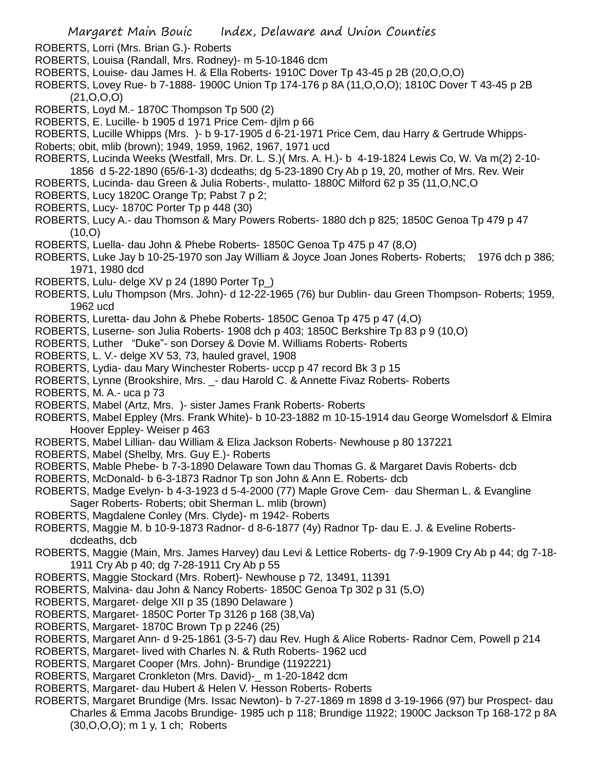- ROBERTS, Lorri (Mrs. Brian G.)- Roberts
- ROBERTS, Louisa (Randall, Mrs. Rodney)- m 5-10-1846 dcm
- ROBERTS, Louise- dau James H. & Ella Roberts- 1910C Dover Tp 43-45 p 2B (20,O,O,O)
- ROBERTS, Lovey Rue- b 7-1888- 1900C Union Tp 174-176 p 8A (11,O,O,O); 1810C Dover T 43-45 p 2B (21,O,O,O)
- ROBERTS, Loyd M.- 1870C Thompson Tp 500 (2)
- ROBERTS, E. Lucille- b 1905 d 1971 Price Cem- djlm p 66
- ROBERTS, Lucille Whipps (Mrs. )- b 9-17-1905 d 6-21-1971 Price Cem, dau Harry & Gertrude Whipps-
- Roberts; obit, mlib (brown); 1949, 1959, 1962, 1967, 1971 ucd
- ROBERTS, Lucinda Weeks (Westfall, Mrs. Dr. L. S.)( Mrs. A. H.)- b 4-19-1824 Lewis Co, W. Va m(2) 2-10-
- 1856 d 5-22-1890 (65/6-1-3) dcdeaths; dg 5-23-1890 Cry Ab p 19, 20, mother of Mrs. Rev. Weir
- ROBERTS, Lucinda- dau Green & Julia Roberts-, mulatto- 1880C Milford 62 p 35 (11,O,NC,O
- ROBERTS, Lucy 1820C Orange Tp; Pabst 7 p 2;
- ROBERTS, Lucy- 1870C Porter Tp p 448 (30)
- ROBERTS, Lucy A.- dau Thomson & Mary Powers Roberts- 1880 dch p 825; 1850C Genoa Tp 479 p 47 (10,O)
- ROBERTS, Luella- dau John & Phebe Roberts- 1850C Genoa Tp 475 p 47 (8,O)
- ROBERTS, Luke Jay b 10-25-1970 son Jay William & Joyce Joan Jones Roberts- Roberts; 1976 dch p 386; 1971, 1980 dcd
- ROBERTS, Lulu- delge XV p 24 (1890 Porter Tp\_)
- ROBERTS, Lulu Thompson (Mrs. John)- d 12-22-1965 (76) bur Dublin- dau Green Thompson- Roberts; 1959, 1962 ucd
- ROBERTS, Luretta- dau John & Phebe Roberts- 1850C Genoa Tp 475 p 47 (4,O)
- ROBERTS, Luserne- son Julia Roberts- 1908 dch p 403; 1850C Berkshire Tp 83 p 9 (10,O)
- ROBERTS, Luther "Duke"- son Dorsey & Dovie M. Williams Roberts- Roberts
- ROBERTS, L. V.- delge XV 53, 73, hauled gravel, 1908
- ROBERTS, Lydia- dau Mary Winchester Roberts- uccp p 47 record Bk 3 p 15
- ROBERTS, Lynne (Brookshire, Mrs. \_- dau Harold C. & Annette Fivaz Roberts- Roberts
- ROBERTS, M. A.- uca p 73
- ROBERTS, Mabel (Artz, Mrs. )- sister James Frank Roberts- Roberts
- ROBERTS, Mabel Eppley (Mrs. Frank White)- b 10-23-1882 m 10-15-1914 dau George Womelsdorf & Elmira Hoover Eppley- Weiser p 463
- ROBERTS, Mabel Lillian- dau William & Eliza Jackson Roberts- Newhouse p 80 137221
- ROBERTS, Mabel (Shelby, Mrs. Guy E.)- Roberts
- ROBERTS, Mable Phebe- b 7-3-1890 Delaware Town dau Thomas G. & Margaret Davis Roberts- dcb
- ROBERTS, McDonald- b 6-3-1873 Radnor Tp son John & Ann E. Roberts- dcb
- ROBERTS, Madge Evelyn- b 4-3-1923 d 5-4-2000 (77) Maple Grove Cem- dau Sherman L. & Evangline Sager Roberts- Roberts; obit Sherman L. mlib (brown)
- ROBERTS, Magdalene Conley (Mrs. Clyde)- m 1942- Roberts
- ROBERTS, Maggie M. b 10-9-1873 Radnor- d 8-6-1877 (4y) Radnor Tp- dau E. J. & Eveline Robertsdcdeaths, dcb
- ROBERTS, Maggie (Main, Mrs. James Harvey) dau Levi & Lettice Roberts- dg 7-9-1909 Cry Ab p 44; dg 7-18- 1911 Cry Ab p 40; dg 7-28-1911 Cry Ab p 55
- ROBERTS, Maggie Stockard (Mrs. Robert)- Newhouse p 72, 13491, 11391
- ROBERTS, Malvina- dau John & Nancy Roberts- 1850C Genoa Tp 302 p 31 (5,O)
- ROBERTS, Margaret- delge XII p 35 (1890 Delaware )
- ROBERTS, Margaret- 1850C Porter Tp 3126 p 168 (38,Va)
- ROBERTS, Margaret- 1870C Brown Tp p 2246 (25)
- ROBERTS, Margaret Ann- d 9-25-1861 (3-5-7) dau Rev. Hugh & Alice Roberts- Radnor Cem, Powell p 214
- ROBERTS, Margaret- lived with Charles N. & Ruth Roberts- 1962 ucd
- ROBERTS, Margaret Cooper (Mrs. John)- Brundige (1192221)
- ROBERTS, Margaret Cronkleton (Mrs. David)-\_ m 1-20-1842 dcm
- ROBERTS, Margaret- dau Hubert & Helen V. Hesson Roberts- Roberts
- ROBERTS, Margaret Brundige (Mrs. Issac Newton)- b 7-27-1869 m 1898 d 3-19-1966 (97) bur Prospect- dau Charles & Emma Jacobs Brundige- 1985 uch p 118; Brundige 11922; 1900C Jackson Tp 168-172 p 8A (30,O,O,O); m 1 y, 1 ch; Roberts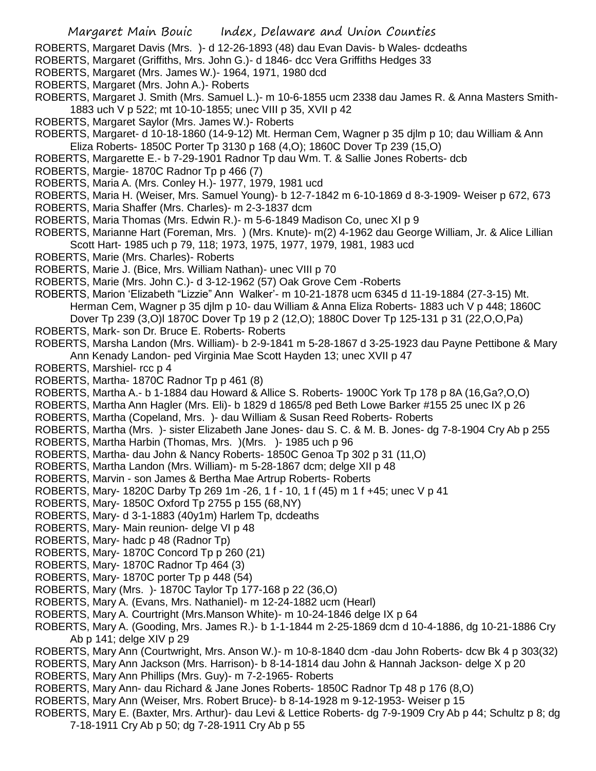ROBERTS, Margaret Davis (Mrs. )- d 12-26-1893 (48) dau Evan Davis- b Wales- dcdeaths

- ROBERTS, Margaret (Griffiths, Mrs. John G.)- d 1846- dcc Vera Griffiths Hedges 33
- ROBERTS, Margaret (Mrs. James W.)- 1964, 1971, 1980 dcd
- ROBERTS, Margaret (Mrs. John A.)- Roberts
- ROBERTS, Margaret J. Smith (Mrs. Samuel L.)- m 10-6-1855 ucm 2338 dau James R. & Anna Masters Smith-1883 uch V p 522; mt 10-10-1855; unec VIII p 35, XVII p 42
- ROBERTS, Margaret Saylor (Mrs. James W.)- Roberts
- ROBERTS, Margaret- d 10-18-1860 (14-9-12) Mt. Herman Cem, Wagner p 35 djlm p 10; dau William & Ann Eliza Roberts- 1850C Porter Tp 3130 p 168 (4,O); 1860C Dover Tp 239 (15,O)
- ROBERTS, Margarette E.- b 7-29-1901 Radnor Tp dau Wm. T. & Sallie Jones Roberts- dcb
- ROBERTS, Margie- 1870C Radnor Tp p 466 (7)
- ROBERTS, Maria A. (Mrs. Conley H.)- 1977, 1979, 1981 ucd
- ROBERTS, Maria H. (Weiser, Mrs. Samuel Young)- b 12-7-1842 m 6-10-1869 d 8-3-1909- Weiser p 672, 673
- ROBERTS, Maria Shaffer (Mrs. Charles)- m 2-3-1837 dcm
- ROBERTS, Maria Thomas (Mrs. Edwin R.)- m 5-6-1849 Madison Co, unec XI p 9
- ROBERTS, Marianne Hart (Foreman, Mrs. ) (Mrs. Knute)- m(2) 4-1962 dau George William, Jr. & Alice Lillian Scott Hart- 1985 uch p 79, 118; 1973, 1975, 1977, 1979, 1981, 1983 ucd
- ROBERTS, Marie (Mrs. Charles)- Roberts
- ROBERTS, Marie J. (Bice, Mrs. William Nathan)- unec VIII p 70
- ROBERTS, Marie (Mrs. John C.)- d 3-12-1962 (57) Oak Grove Cem -Roberts
- ROBERTS, Marion 'Elizabeth "Lizzie" Ann Walker'- m 10-21-1878 ucm 6345 d 11-19-1884 (27-3-15) Mt. Herman Cem, Wagner p 35 djlm p 10- dau William & Anna Eliza Roberts- 1883 uch V p 448; 1860C Dover Tp 239 (3,O)l 1870C Dover Tp 19 p 2 (12,O); 1880C Dover Tp 125-131 p 31 (22,O,O,Pa)
- ROBERTS, Mark- son Dr. Bruce E. Roberts- Roberts
- ROBERTS, Marsha Landon (Mrs. William)- b 2-9-1841 m 5-28-1867 d 3-25-1923 dau Payne Pettibone & Mary Ann Kenady Landon- ped Virginia Mae Scott Hayden 13; unec XVII p 47
- ROBERTS, Marshiel- rcc p 4
- ROBERTS, Martha- 1870C Radnor Tp p 461 (8)
- ROBERTS, Martha A.- b 1-1884 dau Howard & Allice S. Roberts- 1900C York Tp 178 p 8A (16,Ga?,O,O)
- ROBERTS, Martha Ann Hagler (Mrs. Eli)- b 1829 d 1865/8 ped Beth Lowe Barker #155 25 unec IX p 26
- ROBERTS, Martha (Copeland, Mrs. )- dau William & Susan Reed Roberts- Roberts
- ROBERTS, Martha (Mrs. )- sister Elizabeth Jane Jones- dau S. C. & M. B. Jones- dg 7-8-1904 Cry Ab p 255
- ROBERTS, Martha Harbin (Thomas, Mrs. )(Mrs. )- 1985 uch p 96
- ROBERTS, Martha- dau John & Nancy Roberts- 1850C Genoa Tp 302 p 31 (11,O)
- ROBERTS, Martha Landon (Mrs. William)- m 5-28-1867 dcm; delge XII p 48
- ROBERTS, Marvin son James & Bertha Mae Artrup Roberts- Roberts
- ROBERTS, Mary- 1820C Darby Tp 269 1m -26, 1 f 10, 1 f (45) m 1 f +45; unec V p 41
- ROBERTS, Mary- 1850C Oxford Tp 2755 p 155 (68,NY)
- ROBERTS, Mary- d 3-1-1883 (40y1m) Harlem Tp, dcdeaths
- ROBERTS, Mary- Main reunion- delge VI p 48
- ROBERTS, Mary- hadc p 48 (Radnor Tp)
- ROBERTS, Mary- 1870C Concord Tp p 260 (21)
- ROBERTS, Mary- 1870C Radnor Tp 464 (3)
- ROBERTS, Mary- 1870C porter Tp p 448 (54)
- ROBERTS, Mary (Mrs. )- 1870C Taylor Tp 177-168 p 22 (36,O)
- ROBERTS, Mary A. (Evans, Mrs. Nathaniel)- m 12-24-1882 ucm (Hearl)
- ROBERTS, Mary A. Courtright (Mrs.Manson White)- m 10-24-1846 delge IX p 64
- ROBERTS, Mary A. (Gooding, Mrs. James R.)- b 1-1-1844 m 2-25-1869 dcm d 10-4-1886, dg 10-21-1886 Cry Ab p 141; delge XIV p 29
- ROBERTS, Mary Ann (Courtwright, Mrs. Anson W.)- m 10-8-1840 dcm -dau John Roberts- dcw Bk 4 p 303(32)
- ROBERTS, Mary Ann Jackson (Mrs. Harrison)- b 8-14-1814 dau John & Hannah Jackson- delge X p 20
- ROBERTS, Mary Ann Phillips (Mrs. Guy)- m 7-2-1965- Roberts
- ROBERTS, Mary Ann- dau Richard & Jane Jones Roberts- 1850C Radnor Tp 48 p 176 (8,O)
- ROBERTS, Mary Ann (Weiser, Mrs. Robert Bruce)- b 8-14-1928 m 9-12-1953- Weiser p 15
- ROBERTS, Mary E. (Baxter, Mrs. Arthur)- dau Levi & Lettice Roberts- dg 7-9-1909 Cry Ab p 44; Schultz p 8; dg 7-18-1911 Cry Ab p 50; dg 7-28-1911 Cry Ab p 55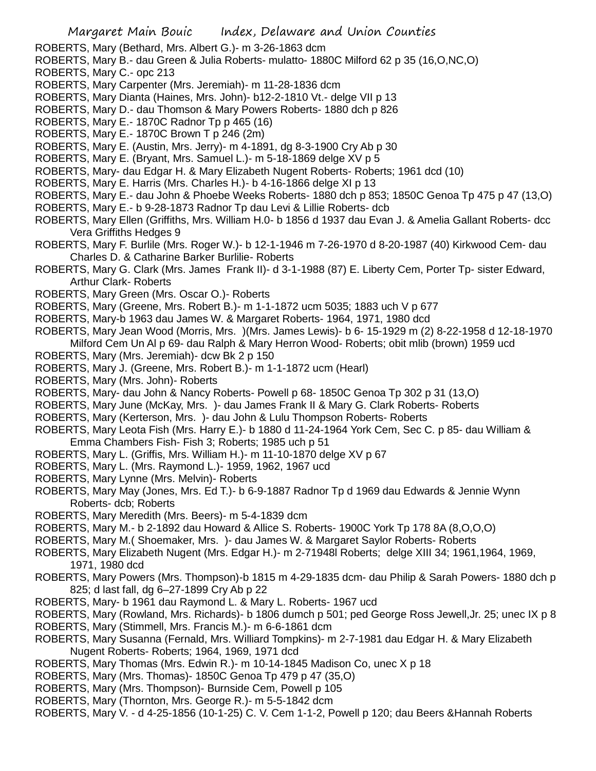ROBERTS, Mary (Bethard, Mrs. Albert G.)- m 3-26-1863 dcm

- ROBERTS, Mary B.- dau Green & Julia Roberts- mulatto- 1880C Milford 62 p 35 (16,O,NC,O)
- ROBERTS, Mary C.- opc 213
- ROBERTS, Mary Carpenter (Mrs. Jeremiah)- m 11-28-1836 dcm
- ROBERTS, Mary Dianta (Haines, Mrs. John)- b12-2-1810 Vt.- delge VII p 13
- ROBERTS, Mary D.- dau Thomson & Mary Powers Roberts- 1880 dch p 826
- ROBERTS, Mary E.- 1870C Radnor Tp p 465 (16)
- ROBERTS, Mary E.- 1870C Brown T p 246 (2m)
- ROBERTS, Mary E. (Austin, Mrs. Jerry)- m 4-1891, dg 8-3-1900 Cry Ab p 30
- ROBERTS, Mary E. (Bryant, Mrs. Samuel L.)- m 5-18-1869 delge XV p 5
- ROBERTS, Mary- dau Edgar H. & Mary Elizabeth Nugent Roberts- Roberts; 1961 dcd (10)
- ROBERTS, Mary E. Harris (Mrs. Charles H.)- b 4-16-1866 delge XI p 13
- ROBERTS, Mary E.- dau John & Phoebe Weeks Roberts- 1880 dch p 853; 1850C Genoa Tp 475 p 47 (13,O)
- ROBERTS, Mary E.- b 9-28-1873 Radnor Tp dau Levi & Lillie Roberts- dcb
- ROBERTS, Mary Ellen (Griffiths, Mrs. William H.0- b 1856 d 1937 dau Evan J. & Amelia Gallant Roberts- dcc Vera Griffiths Hedges 9
- ROBERTS, Mary F. Burlile (Mrs. Roger W.)- b 12-1-1946 m 7-26-1970 d 8-20-1987 (40) Kirkwood Cem- dau Charles D. & Catharine Barker Burlilie- Roberts
- ROBERTS, Mary G. Clark (Mrs. James Frank II)- d 3-1-1988 (87) E. Liberty Cem, Porter Tp- sister Edward, Arthur Clark- Roberts
- ROBERTS, Mary Green (Mrs. Oscar O.)- Roberts
- ROBERTS, Mary (Greene, Mrs. Robert B.)- m 1-1-1872 ucm 5035; 1883 uch V p 677
- ROBERTS, Mary-b 1963 dau James W. & Margaret Roberts- 1964, 1971, 1980 dcd
- ROBERTS, Mary Jean Wood (Morris, Mrs. )(Mrs. James Lewis)- b 6- 15-1929 m (2) 8-22-1958 d 12-18-1970 Milford Cem Un Al p 69- dau Ralph & Mary Herron Wood- Roberts; obit mlib (brown) 1959 ucd
- ROBERTS, Mary (Mrs. Jeremiah)- dcw Bk 2 p 150
- ROBERTS, Mary J. (Greene, Mrs. Robert B.)- m 1-1-1872 ucm (Hearl)
- ROBERTS, Mary (Mrs. John)- Roberts
- ROBERTS, Mary- dau John & Nancy Roberts- Powell p 68- 1850C Genoa Tp 302 p 31 (13,O)
- ROBERTS, Mary June (McKay, Mrs. )- dau James Frank II & Mary G. Clark Roberts- Roberts
- ROBERTS, Mary (Kerterson, Mrs. )- dau John & Lulu Thompson Roberts- Roberts
- ROBERTS, Mary Leota Fish (Mrs. Harry E.)- b 1880 d 11-24-1964 York Cem, Sec C. p 85- dau William & Emma Chambers Fish- Fish 3; Roberts; 1985 uch p 51
- ROBERTS, Mary L. (Griffis, Mrs. William H.)- m 11-10-1870 delge XV p 67
- ROBERTS, Mary L. (Mrs. Raymond L.)- 1959, 1962, 1967 ucd
- ROBERTS, Mary Lynne (Mrs. Melvin)- Roberts
- ROBERTS, Mary May (Jones, Mrs. Ed T.)- b 6-9-1887 Radnor Tp d 1969 dau Edwards & Jennie Wynn Roberts- dcb; Roberts
- ROBERTS, Mary Meredith (Mrs. Beers)- m 5-4-1839 dcm
- ROBERTS, Mary M.- b 2-1892 dau Howard & Allice S. Roberts- 1900C York Tp 178 8A (8,O,O,O)
- ROBERTS, Mary M.( Shoemaker, Mrs. )- dau James W. & Margaret Saylor Roberts- Roberts
- ROBERTS, Mary Elizabeth Nugent (Mrs. Edgar H.)- m 2-71948l Roberts; delge XIII 34; 1961,1964, 1969, 1971, 1980 dcd
- ROBERTS, Mary Powers (Mrs. Thompson)-b 1815 m 4-29-1835 dcm- dau Philip & Sarah Powers- 1880 dch p 825; d last fall, dg 6–27-1899 Cry Ab p 22
- ROBERTS, Mary- b 1961 dau Raymond L. & Mary L. Roberts- 1967 ucd
- ROBERTS, Mary (Rowland, Mrs. Richards)- b 1806 dumch p 501; ped George Ross Jewell,Jr. 25; unec IX p 8
- ROBERTS, Mary (Stimmell, Mrs. Francis M.)- m 6-6-1861 dcm
- ROBERTS, Mary Susanna (Fernald, Mrs. Williard Tompkins)- m 2-7-1981 dau Edgar H. & Mary Elizabeth Nugent Roberts- Roberts; 1964, 1969, 1971 dcd
- ROBERTS, Mary Thomas (Mrs. Edwin R.)- m 10-14-1845 Madison Co, unec X p 18
- ROBERTS, Mary (Mrs. Thomas)- 1850C Genoa Tp 479 p 47 (35,O)
- ROBERTS, Mary (Mrs. Thompson)- Burnside Cem, Powell p 105
- ROBERTS, Mary (Thornton, Mrs. George R.)- m 5-5-1842 dcm
- ROBERTS, Mary V. d 4-25-1856 (10-1-25) C. V. Cem 1-1-2, Powell p 120; dau Beers &Hannah Roberts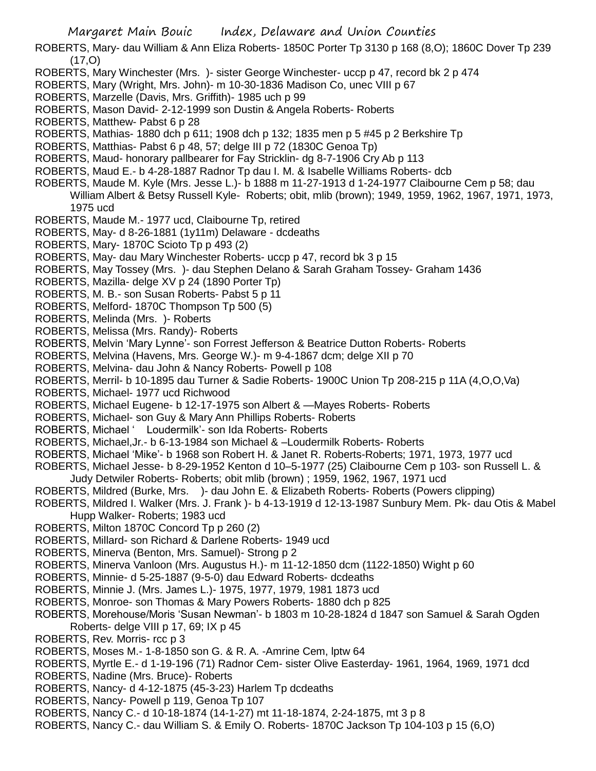ROBERTS, Mary- dau William & Ann Eliza Roberts- 1850C Porter Tp 3130 p 168 (8,O); 1860C Dover Tp 239  $(17,0)$ 

- ROBERTS, Mary Winchester (Mrs. )- sister George Winchester- uccp p 47, record bk 2 p 474
- ROBERTS, Mary (Wright, Mrs. John)- m 10-30-1836 Madison Co, unec VIII p 67
- ROBERTS, Marzelle (Davis, Mrs. Griffith)- 1985 uch p 99
- ROBERTS, Mason David- 2-12-1999 son Dustin & Angela Roberts- Roberts
- ROBERTS, Matthew- Pabst 6 p 28
- ROBERTS, Mathias- 1880 dch p 611; 1908 dch p 132; 1835 men p 5 #45 p 2 Berkshire Tp
- ROBERTS, Matthias- Pabst 6 p 48, 57; delge III p 72 (1830C Genoa Tp)
- ROBERTS, Maud- honorary pallbearer for Fay Stricklin- dg 8-7-1906 Cry Ab p 113
- ROBERTS, Maud E.- b 4-28-1887 Radnor Tp dau I. M. & Isabelle Williams Roberts- dcb
- ROBERTS, Maude M. Kyle (Mrs. Jesse L.)- b 1888 m 11-27-1913 d 1-24-1977 Claibourne Cem p 58; dau

William Albert & Betsy Russell Kyle- Roberts; obit, mlib (brown); 1949, 1959, 1962, 1967, 1971, 1973, 1975 ucd

- ROBERTS, Maude M.- 1977 ucd, Claibourne Tp, retired
- ROBERTS, May- d 8-26-1881 (1y11m) Delaware dcdeaths
- ROBERTS, Mary- 1870C Scioto Tp p 493 (2)
- ROBERTS, May- dau Mary Winchester Roberts- uccp p 47, record bk 3 p 15
- ROBERTS, May Tossey (Mrs. )- dau Stephen Delano & Sarah Graham Tossey- Graham 1436
- ROBERTS, Mazilla- delge XV p 24 (1890 Porter Tp)
- ROBERTS, M. B.- son Susan Roberts- Pabst 5 p 11
- ROBERTS, Melford- 1870C Thompson Tp 500 (5)
- ROBERTS, Melinda (Mrs. )- Roberts
- ROBERTS, Melissa (Mrs. Randy)- Roberts
- ROBERTS, Melvin 'Mary Lynne'- son Forrest Jefferson & Beatrice Dutton Roberts- Roberts
- ROBERTS, Melvina (Havens, Mrs. George W.)- m 9-4-1867 dcm; delge XII p 70
- ROBERTS, Melvina- dau John & Nancy Roberts- Powell p 108
- ROBERTS, Merril- b 10-1895 dau Turner & Sadie Roberts- 1900C Union Tp 208-215 p 11A (4,O,O,Va)
- ROBERTS, Michael- 1977 ucd Richwood
- ROBERTS, Michael Eugene- b 12-17-1975 son Albert & —Mayes Roberts- Roberts
- ROBERTS, Michael- son Guy & Mary Ann Phillips Roberts- Roberts
- ROBERTS, Michael ' Loudermilk'- son Ida Roberts- Roberts
- ROBERTS, Michael,Jr.- b 6-13-1984 son Michael & –Loudermilk Roberts- Roberts
- ROBERTS, Michael 'Mike'- b 1968 son Robert H. & Janet R. Roberts-Roberts; 1971, 1973, 1977 ucd
- ROBERTS, Michael Jesse- b 8-29-1952 Kenton d 10–5-1977 (25) Claibourne Cem p 103- son Russell L. & Judy Detwiler Roberts- Roberts; obit mlib (brown) ; 1959, 1962, 1967, 1971 ucd
- ROBERTS, Mildred (Burke, Mrs. )- dau John E. & Elizabeth Roberts- Roberts (Powers clipping)
- ROBERTS, Mildred I. Walker (Mrs. J. Frank )- b 4-13-1919 d 12-13-1987 Sunbury Mem. Pk- dau Otis & Mabel Hupp Walker- Roberts; 1983 ucd
- ROBERTS, Milton 1870C Concord Tp p 260 (2)
- ROBERTS, Millard- son Richard & Darlene Roberts- 1949 ucd
- ROBERTS, Minerva (Benton, Mrs. Samuel)- Strong p 2
- ROBERTS, Minerva Vanloon (Mrs. Augustus H.)- m 11-12-1850 dcm (1122-1850) Wight p 60
- ROBERTS, Minnie- d 5-25-1887 (9-5-0) dau Edward Roberts- dcdeaths
- ROBERTS, Minnie J. (Mrs. James L.)- 1975, 1977, 1979, 1981 1873 ucd
- ROBERTS, Monroe- son Thomas & Mary Powers Roberts- 1880 dch p 825
- ROBERTS, Morehouse/Moris 'Susan Newman'- b 1803 m 10-28-1824 d 1847 son Samuel & Sarah Ogden Roberts- delge VIII p 17, 69; IX p 45
- ROBERTS, Rev. Morris- rcc p 3
- ROBERTS, Moses M.- 1-8-1850 son G. & R. A. -Amrine Cem, lptw 64
- ROBERTS, Myrtle E.- d 1-19-196 (71) Radnor Cem- sister Olive Easterday- 1961, 1964, 1969, 1971 dcd
- ROBERTS, Nadine (Mrs. Bruce)- Roberts
- ROBERTS, Nancy- d 4-12-1875 (45-3-23) Harlem Tp dcdeaths
- ROBERTS, Nancy- Powell p 119, Genoa Tp 107
- ROBERTS, Nancy C.- d 10-18-1874 (14-1-27) mt 11-18-1874, 2-24-1875, mt 3 p 8
- ROBERTS, Nancy C.- dau William S. & Emily O. Roberts- 1870C Jackson Tp 104-103 p 15 (6,O)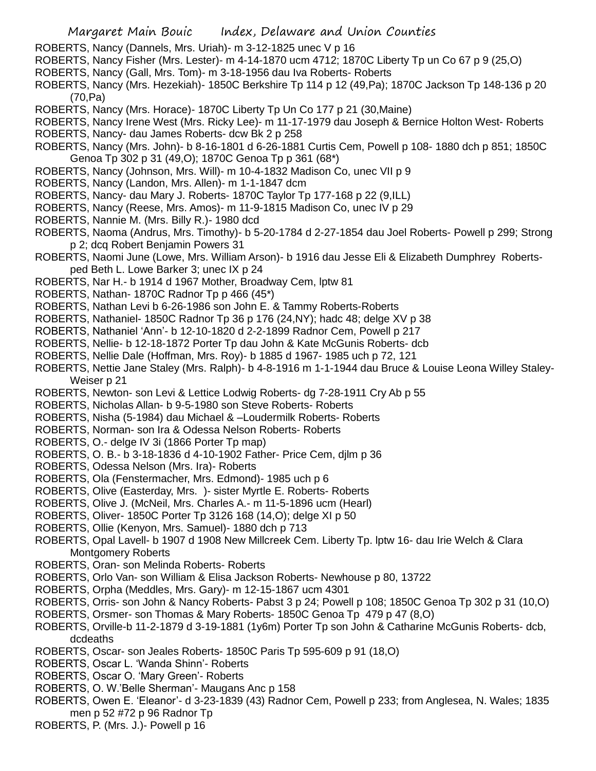- ROBERTS, Nancy (Dannels, Mrs. Uriah)- m 3-12-1825 unec V p 16
- ROBERTS, Nancy Fisher (Mrs. Lester)- m 4-14-1870 ucm 4712; 1870C Liberty Tp un Co 67 p 9 (25,O)
- ROBERTS, Nancy (Gall, Mrs. Tom)- m 3-18-1956 dau Iva Roberts- Roberts
- ROBERTS, Nancy (Mrs. Hezekiah)- 1850C Berkshire Tp 114 p 12 (49,Pa); 1870C Jackson Tp 148-136 p 20 (70,Pa)
- ROBERTS, Nancy (Mrs. Horace)- 1870C Liberty Tp Un Co 177 p 21 (30,Maine)
- ROBERTS, Nancy Irene West (Mrs. Ricky Lee)- m 11-17-1979 dau Joseph & Bernice Holton West- Roberts ROBERTS, Nancy- dau James Roberts- dcw Bk 2 p 258
- ROBERTS, Nancy (Mrs. John)- b 8-16-1801 d 6-26-1881 Curtis Cem, Powell p 108- 1880 dch p 851; 1850C Genoa Tp 302 p 31 (49,O); 1870C Genoa Tp p 361 (68\*)
- ROBERTS, Nancy (Johnson, Mrs. Will)- m 10-4-1832 Madison Co, unec VII p 9
- ROBERTS, Nancy (Landon, Mrs. Allen)- m 1-1-1847 dcm
- ROBERTS, Nancy- dau Mary J. Roberts- 1870C Taylor Tp 177-168 p 22 (9,ILL)
- ROBERTS, Nancy (Reese, Mrs. Amos)- m 11-9-1815 Madison Co, unec IV p 29
- ROBERTS, Nannie M. (Mrs. Billy R.)- 1980 dcd
- ROBERTS, Naoma (Andrus, Mrs. Timothy)- b 5-20-1784 d 2-27-1854 dau Joel Roberts- Powell p 299; Strong p 2; dcq Robert Benjamin Powers 31
- ROBERTS, Naomi June (Lowe, Mrs. William Arson)- b 1916 dau Jesse Eli & Elizabeth Dumphrey Robertsped Beth L. Lowe Barker 3; unec IX p 24
- ROBERTS, Nar H.- b 1914 d 1967 Mother, Broadway Cem, lptw 81
- ROBERTS, Nathan- 1870C Radnor Tp p 466 (45\*)
- ROBERTS, Nathan Levi b 6-26-1986 son John E. & Tammy Roberts-Roberts
- ROBERTS, Nathaniel- 1850C Radnor Tp 36 p 176 (24,NY); hadc 48; delge XV p 38
- ROBERTS, Nathaniel 'Ann'- b 12-10-1820 d 2-2-1899 Radnor Cem, Powell p 217
- ROBERTS, Nellie- b 12-18-1872 Porter Tp dau John & Kate McGunis Roberts- dcb
- ROBERTS, Nellie Dale (Hoffman, Mrs. Roy)- b 1885 d 1967- 1985 uch p 72, 121
- ROBERTS, Nettie Jane Staley (Mrs. Ralph)- b 4-8-1916 m 1-1-1944 dau Bruce & Louise Leona Willey Staley-Weiser p 21
- ROBERTS, Newton- son Levi & Lettice Lodwig Roberts- dg 7-28-1911 Cry Ab p 55
- ROBERTS, Nicholas Allan- b 9-5-1980 son Steve Roberts- Roberts
- ROBERTS, Nisha (5-1984) dau Michael & –Loudermilk Roberts- Roberts
- ROBERTS, Norman- son Ira & Odessa Nelson Roberts- Roberts
- ROBERTS, O.- delge IV 3i (1866 Porter Tp map)
- ROBERTS, O. B.- b 3-18-1836 d 4-10-1902 Father- Price Cem, djlm p 36
- ROBERTS, Odessa Nelson (Mrs. Ira)- Roberts
- ROBERTS, Ola (Fenstermacher, Mrs. Edmond)- 1985 uch p 6
- ROBERTS, Olive (Easterday, Mrs. )- sister Myrtle E. Roberts- Roberts
- ROBERTS, Olive J. (McNeil, Mrs. Charles A.- m 11-5-1896 ucm (Hearl)
- ROBERTS, Oliver- 1850C Porter Tp 3126 168 (14,O); delge XI p 50
- ROBERTS, Ollie (Kenyon, Mrs. Samuel)- 1880 dch p 713
- ROBERTS, Opal Lavell- b 1907 d 1908 New Millcreek Cem. Liberty Tp. lptw 16- dau Irie Welch & Clara Montgomery Roberts
- ROBERTS, Oran- son Melinda Roberts- Roberts
- ROBERTS, Orlo Van- son William & Elisa Jackson Roberts- Newhouse p 80, 13722
- ROBERTS, Orpha (Meddles, Mrs. Gary)- m 12-15-1867 ucm 4301
- ROBERTS, Orris- son John & Nancy Roberts- Pabst 3 p 24; Powell p 108; 1850C Genoa Tp 302 p 31 (10,O)
- ROBERTS, Orsmer- son Thomas & Mary Roberts- 1850C Genoa Tp 479 p 47 (8,O)
- ROBERTS, Orville-b 11-2-1879 d 3-19-1881 (1y6m) Porter Tp son John & Catharine McGunis Roberts- dcb, dcdeaths
- ROBERTS, Oscar- son Jeales Roberts- 1850C Paris Tp 595-609 p 91 (18,O)
- ROBERTS, Oscar L. 'Wanda Shinn'- Roberts
- ROBERTS, Oscar O. 'Mary Green'- Roberts
- ROBERTS, O. W.'Belle Sherman'- Maugans Anc p 158
- ROBERTS, Owen E. 'Eleanor'- d 3-23-1839 (43) Radnor Cem, Powell p 233; from Anglesea, N. Wales; 1835 men p 52 #72 p 96 Radnor Tp
- ROBERTS, P. (Mrs. J.)- Powell p 16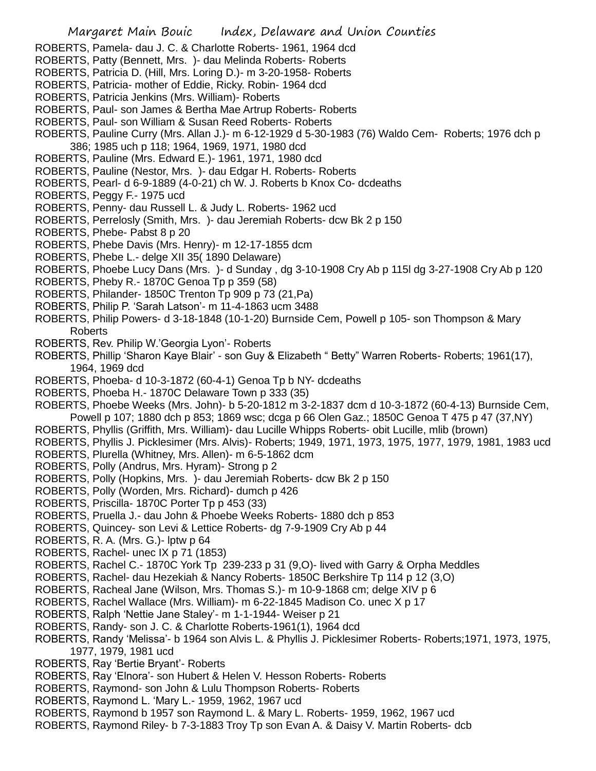- ROBERTS, Pamela- dau J. C. & Charlotte Roberts- 1961, 1964 dcd
- ROBERTS, Patty (Bennett, Mrs. )- dau Melinda Roberts- Roberts
- ROBERTS, Patricia D. (Hill, Mrs. Loring D.)- m 3-20-1958- Roberts
- ROBERTS, Patricia- mother of Eddie, Ricky. Robin- 1964 dcd
- ROBERTS, Patricia Jenkins (Mrs. William)- Roberts
- ROBERTS, Paul- son James & Bertha Mae Artrup Roberts- Roberts
- ROBERTS, Paul- son William & Susan Reed Roberts- Roberts
- ROBERTS, Pauline Curry (Mrs. Allan J.)- m 6-12-1929 d 5-30-1983 (76) Waldo Cem- Roberts; 1976 dch p 386; 1985 uch p 118; 1964, 1969, 1971, 1980 dcd
- ROBERTS, Pauline (Mrs. Edward E.)- 1961, 1971, 1980 dcd
- ROBERTS, Pauline (Nestor, Mrs. )- dau Edgar H. Roberts- Roberts
- ROBERTS, Pearl- d 6-9-1889 (4-0-21) ch W. J. Roberts b Knox Co- dcdeaths
- ROBERTS, Peggy F.- 1975 ucd
- ROBERTS, Penny- dau Russell L. & Judy L. Roberts- 1962 ucd
- ROBERTS, Perrelosly (Smith, Mrs. )- dau Jeremiah Roberts- dcw Bk 2 p 150
- ROBERTS, Phebe- Pabst 8 p 20
- ROBERTS, Phebe Davis (Mrs. Henry)- m 12-17-1855 dcm
- ROBERTS, Phebe L.- delge XII 35( 1890 Delaware)
- ROBERTS, Phoebe Lucy Dans (Mrs. )- d Sunday , dg 3-10-1908 Cry Ab p 115l dg 3-27-1908 Cry Ab p 120
- ROBERTS, Pheby R.- 1870C Genoa Tp p 359 (58)
- ROBERTS, Philander- 1850C Trenton Tp 909 p 73 (21,Pa)
- ROBERTS, Philip P. 'Sarah Latson'- m 11-4-1863 ucm 3488
- ROBERTS, Philip Powers- d 3-18-1848 (10-1-20) Burnside Cem, Powell p 105- son Thompson & Mary Roberts
- ROBERTS, Rev. Philip W.'Georgia Lyon'- Roberts
- ROBERTS, Phillip 'Sharon Kaye Blair' son Guy & Elizabeth " Betty" Warren Roberts- Roberts; 1961(17), 1964, 1969 dcd
- ROBERTS, Phoeba- d 10-3-1872 (60-4-1) Genoa Tp b NY- dcdeaths
- ROBERTS, Phoeba H.- 1870C Delaware Town p 333 (35)
- ROBERTS, Phoebe Weeks (Mrs. John)- b 5-20-1812 m 3-2-1837 dcm d 10-3-1872 (60-4-13) Burnside Cem, Powell p 107; 1880 dch p 853; 1869 wsc; dcga p 66 Olen Gaz.; 1850C Genoa T 475 p 47 (37,NY)
- ROBERTS, Phyllis (Griffith, Mrs. William)- dau Lucille Whipps Roberts- obit Lucille, mlib (brown)
- ROBERTS, Phyllis J. Picklesimer (Mrs. Alvis)- Roberts; 1949, 1971, 1973, 1975, 1977, 1979, 1981, 1983 ucd
- ROBERTS, Plurella (Whitney, Mrs. Allen)- m 6-5-1862 dcm
- ROBERTS, Polly (Andrus, Mrs. Hyram)- Strong p 2
- ROBERTS, Polly (Hopkins, Mrs. )- dau Jeremiah Roberts- dcw Bk 2 p 150
- ROBERTS, Polly (Worden, Mrs. Richard)- dumch p 426
- ROBERTS, Priscilla- 1870C Porter Tp p 453 (33)
- ROBERTS, Pruella J.- dau John & Phoebe Weeks Roberts- 1880 dch p 853
- ROBERTS, Quincey- son Levi & Lettice Roberts- dg 7-9-1909 Cry Ab p 44
- ROBERTS, R. A. (Mrs. G.)- lptw p 64
- ROBERTS, Rachel- unec IX p 71 (1853)
- ROBERTS, Rachel C.- 1870C York Tp 239-233 p 31 (9,O)- lived with Garry & Orpha Meddles
- ROBERTS, Rachel- dau Hezekiah & Nancy Roberts- 1850C Berkshire Tp 114 p 12 (3,O)
- ROBERTS, Racheal Jane (Wilson, Mrs. Thomas S.)- m 10-9-1868 cm; delge XIV p 6
- ROBERTS, Rachel Wallace (Mrs. William)- m 6-22-1845 Madison Co. unec X p 17
- ROBERTS, Ralph 'Nettie Jane Staley'- m 1-1-1944- Weiser p 21
- ROBERTS, Randy- son J. C. & Charlotte Roberts-1961(1), 1964 dcd
- ROBERTS, Randy 'Melissa'- b 1964 son Alvis L. & Phyllis J. Picklesimer Roberts- Roberts;1971, 1973, 1975, 1977, 1979, 1981 ucd
- ROBERTS, Ray 'Bertie Bryant'- Roberts
- ROBERTS, Ray 'Elnora'- son Hubert & Helen V. Hesson Roberts- Roberts
- ROBERTS, Raymond- son John & Lulu Thompson Roberts- Roberts
- ROBERTS, Raymond L. 'Mary L.- 1959, 1962, 1967 ucd
- ROBERTS, Raymond b 1957 son Raymond L. & Mary L. Roberts- 1959, 1962, 1967 ucd
- ROBERTS, Raymond Riley- b 7-3-1883 Troy Tp son Evan A. & Daisy V. Martin Roberts- dcb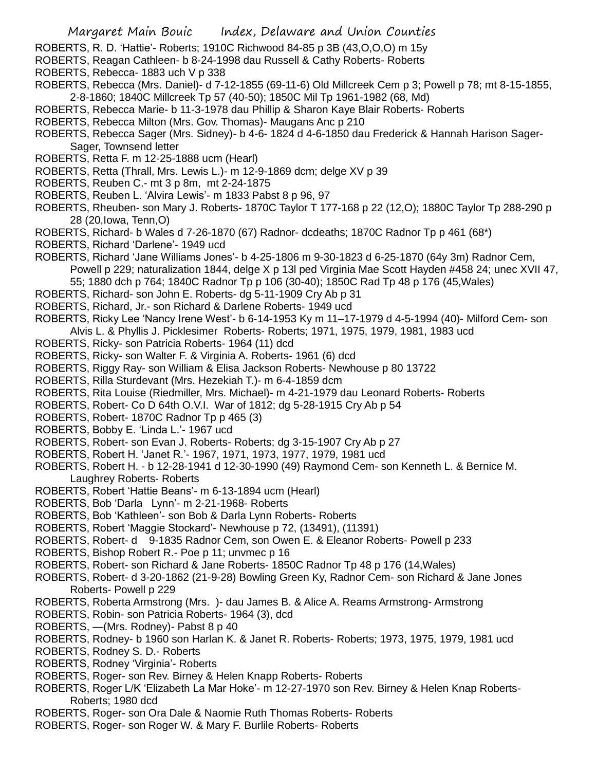- ROBERTS, R. D. 'Hattie'- Roberts; 1910C Richwood 84-85 p 3B (43,O,O,O) m 15y
- ROBERTS, Reagan Cathleen- b 8-24-1998 dau Russell & Cathy Roberts- Roberts
- ROBERTS, Rebecca- 1883 uch V p 338
- ROBERTS, Rebecca (Mrs. Daniel)- d 7-12-1855 (69-11-6) Old Millcreek Cem p 3; Powell p 78; mt 8-15-1855, 2-8-1860; 1840C Millcreek Tp 57 (40-50); 1850C Mil Tp 1961-1982 (68, Md)
- ROBERTS, Rebecca Marie- b 11-3-1978 dau Phillip & Sharon Kaye Blair Roberts- Roberts
- ROBERTS, Rebecca Milton (Mrs. Gov. Thomas)- Maugans Anc p 210
- ROBERTS, Rebecca Sager (Mrs. Sidney)- b 4-6- 1824 d 4-6-1850 dau Frederick & Hannah Harison Sager-Sager, Townsend letter
- ROBERTS, Retta F. m 12-25-1888 ucm (Hearl)
- ROBERTS, Retta (Thrall, Mrs. Lewis L.)- m 12-9-1869 dcm; delge XV p 39
- ROBERTS, Reuben C.- mt 3 p 8m, mt 2-24-1875
- ROBERTS, Reuben L. 'Alvira Lewis'- m 1833 Pabst 8 p 96, 97
- ROBERTS, Rheuben- son Mary J. Roberts- 1870C Taylor T 177-168 p 22 (12,O); 1880C Taylor Tp 288-290 p 28 (20,Iowa, Tenn,O)
- ROBERTS, Richard- b Wales d 7-26-1870 (67) Radnor- dcdeaths; 1870C Radnor Tp p 461 (68\*)
- ROBERTS, Richard 'Darlene'- 1949 ucd
- ROBERTS, Richard 'Jane Williams Jones'- b 4-25-1806 m 9-30-1823 d 6-25-1870 (64y 3m) Radnor Cem, Powell p 229; naturalization 1844, delge X p 13l ped Virginia Mae Scott Hayden #458 24; unec XVII 47, 55; 1880 dch p 764; 1840C Radnor Tp p 106 (30-40); 1850C Rad Tp 48 p 176 (45,Wales)
- ROBERTS, Richard- son John E. Roberts- dg 5-11-1909 Cry Ab p 31
- ROBERTS, Richard, Jr.- son Richard & Darlene Roberts- 1949 ucd
- ROBERTS, Ricky Lee 'Nancy Irene West'- b 6-14-1953 Ky m 11–17-1979 d 4-5-1994 (40)- Milford Cem- son
- Alvis L. & Phyllis J. Picklesimer Roberts- Roberts; 1971, 1975, 1979, 1981, 1983 ucd
- ROBERTS, Ricky- son Patricia Roberts- 1964 (11) dcd
- ROBERTS, Ricky- son Walter F. & Virginia A. Roberts- 1961 (6) dcd
- ROBERTS, Riggy Ray- son William & Elisa Jackson Roberts- Newhouse p 80 13722
- ROBERTS, Rilla Sturdevant (Mrs. Hezekiah T.)- m 6-4-1859 dcm
- ROBERTS, Rita Louise (Riedmiller, Mrs. Michael)- m 4-21-1979 dau Leonard Roberts- Roberts
- ROBERTS, Robert- Co D 64th O.V.I. War of 1812; dg 5-28-1915 Cry Ab p 54
- ROBERTS, Robert- 1870C Radnor Tp p 465 (3)
- ROBERTS, Bobby E. 'Linda L.'- 1967 ucd
- ROBERTS, Robert- son Evan J. Roberts- Roberts; dg 3-15-1907 Cry Ab p 27
- ROBERTS, Robert H. 'Janet R.'- 1967, 1971, 1973, 1977, 1979, 1981 ucd
- ROBERTS, Robert H. b 12-28-1941 d 12-30-1990 (49) Raymond Cem- son Kenneth L. & Bernice M. Laughrey Roberts- Roberts
- ROBERTS, Robert 'Hattie Beans'- m 6-13-1894 ucm (Hearl)
- ROBERTS, Bob 'Darla Lynn'- m 2-21-1968- Roberts
- ROBERTS, Bob 'Kathleen'- son Bob & Darla Lynn Roberts- Roberts
- ROBERTS, Robert 'Maggie Stockard'- Newhouse p 72, (13491), (11391)
- ROBERTS, Robert- d 9-1835 Radnor Cem, son Owen E. & Eleanor Roberts- Powell p 233
- ROBERTS, Bishop Robert R.- Poe p 11; unvmec p 16
- ROBERTS, Robert- son Richard & Jane Roberts- 1850C Radnor Tp 48 p 176 (14,Wales)
- ROBERTS, Robert- d 3-20-1862 (21-9-28) Bowling Green Ky, Radnor Cem- son Richard & Jane Jones Roberts- Powell p 229
- ROBERTS, Roberta Armstrong (Mrs. )- dau James B. & Alice A. Reams Armstrong- Armstrong
- ROBERTS, Robin- son Patricia Roberts- 1964 (3), dcd
- ROBERTS, —(Mrs. Rodney)- Pabst 8 p 40
- ROBERTS, Rodney- b 1960 son Harlan K. & Janet R. Roberts- Roberts; 1973, 1975, 1979, 1981 ucd
- ROBERTS, Rodney S. D.- Roberts
- ROBERTS, Rodney 'Virginia'- Roberts
- ROBERTS, Roger- son Rev. Birney & Helen Knapp Roberts- Roberts
- ROBERTS, Roger L/K 'Elizabeth La Mar Hoke'- m 12-27-1970 son Rev. Birney & Helen Knap Roberts-Roberts; 1980 dcd
- ROBERTS, Roger- son Ora Dale & Naomie Ruth Thomas Roberts- Roberts
- ROBERTS, Roger- son Roger W. & Mary F. Burlile Roberts- Roberts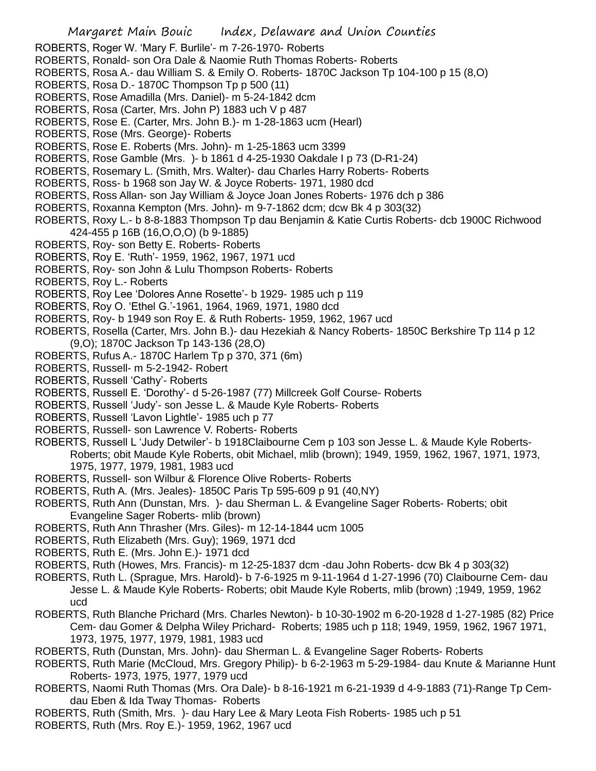- ROBERTS, Roger W. 'Mary F. Burlile'- m 7-26-1970- Roberts
- ROBERTS, Ronald- son Ora Dale & Naomie Ruth Thomas Roberts- Roberts
- ROBERTS, Rosa A.- dau William S. & Emily O. Roberts- 1870C Jackson Tp 104-100 p 15 (8,O)
- ROBERTS, Rosa D.- 1870C Thompson Tp p 500 (11)
- ROBERTS, Rose Amadilla (Mrs. Daniel)- m 5-24-1842 dcm
- ROBERTS, Rosa (Carter, Mrs. John P) 1883 uch V p 487
- ROBERTS, Rose E. (Carter, Mrs. John B.)- m 1-28-1863 ucm (Hearl)
- ROBERTS, Rose (Mrs. George)- Roberts
- ROBERTS, Rose E. Roberts (Mrs. John)- m 1-25-1863 ucm 3399
- ROBERTS, Rose Gamble (Mrs. )- b 1861 d 4-25-1930 Oakdale I p 73 (D-R1-24)
- ROBERTS, Rosemary L. (Smith, Mrs. Walter)- dau Charles Harry Roberts- Roberts
- ROBERTS, Ross- b 1968 son Jay W. & Joyce Roberts- 1971, 1980 dcd
- ROBERTS, Ross Allan- son Jay William & Joyce Joan Jones Roberts- 1976 dch p 386
- ROBERTS, Roxanna Kempton (Mrs. John)- m 9-7-1862 dcm; dcw Bk 4 p 303(32)
- ROBERTS, Roxy L.- b 8-8-1883 Thompson Tp dau Benjamin & Katie Curtis Roberts- dcb 1900C Richwood 424-455 p 16B (16,O,O,O) (b 9-1885)
- ROBERTS, Roy- son Betty E. Roberts- Roberts
- ROBERTS, Roy E. 'Ruth'- 1959, 1962, 1967, 1971 ucd
- ROBERTS, Roy- son John & Lulu Thompson Roberts- Roberts
- ROBERTS, Roy L.- Roberts
- ROBERTS, Roy Lee 'Dolores Anne Rosette'- b 1929- 1985 uch p 119
- ROBERTS, Roy O. 'Ethel G.'-1961, 1964, 1969, 1971, 1980 dcd
- ROBERTS, Roy- b 1949 son Roy E. & Ruth Roberts- 1959, 1962, 1967 ucd
- ROBERTS, Rosella (Carter, Mrs. John B.)- dau Hezekiah & Nancy Roberts- 1850C Berkshire Tp 114 p 12 (9,O); 1870C Jackson Tp 143-136 (28,O)
- ROBERTS, Rufus A.- 1870C Harlem Tp p 370, 371 (6m)
- ROBERTS, Russell- m 5-2-1942- Robert
- ROBERTS, Russell 'Cathy'- Roberts
- ROBERTS, Russell E. 'Dorothy'- d 5-26-1987 (77) Millcreek Golf Course- Roberts
- ROBERTS, Russell 'Judy'- son Jesse L. & Maude Kyle Roberts- Roberts
- ROBERTS, Russell 'Lavon Lightle'- 1985 uch p 77
- ROBERTS, Russell- son Lawrence V. Roberts- Roberts
- ROBERTS, Russell L 'Judy Detwiler'- b 1918Claibourne Cem p 103 son Jesse L. & Maude Kyle Roberts-Roberts; obit Maude Kyle Roberts, obit Michael, mlib (brown); 1949, 1959, 1962, 1967, 1971, 1973, 1975, 1977, 1979, 1981, 1983 ucd
- ROBERTS, Russell- son Wilbur & Florence Olive Roberts- Roberts
- ROBERTS, Ruth A. (Mrs. Jeales)- 1850C Paris Tp 595-609 p 91 (40,NY)
- ROBERTS, Ruth Ann (Dunstan, Mrs. )- dau Sherman L. & Evangeline Sager Roberts- Roberts; obit Evangeline Sager Roberts- mlib (brown)
- ROBERTS, Ruth Ann Thrasher (Mrs. Giles)- m 12-14-1844 ucm 1005
- ROBERTS, Ruth Elizabeth (Mrs. Guy); 1969, 1971 dcd
- ROBERTS, Ruth E. (Mrs. John E.)- 1971 dcd
- ROBERTS, Ruth (Howes, Mrs. Francis)- m 12-25-1837 dcm -dau John Roberts- dcw Bk 4 p 303(32)
- ROBERTS, Ruth L. (Sprague, Mrs. Harold)- b 7-6-1925 m 9-11-1964 d 1-27-1996 (70) Claibourne Cem- dau Jesse L. & Maude Kyle Roberts- Roberts; obit Maude Kyle Roberts, mlib (brown) ;1949, 1959, 1962 ucd
- ROBERTS, Ruth Blanche Prichard (Mrs. Charles Newton)- b 10-30-1902 m 6-20-1928 d 1-27-1985 (82) Price Cem- dau Gomer & Delpha Wiley Prichard- Roberts; 1985 uch p 118; 1949, 1959, 1962, 1967 1971, 1973, 1975, 1977, 1979, 1981, 1983 ucd
- ROBERTS, Ruth (Dunstan, Mrs. John)- dau Sherman L. & Evangeline Sager Roberts- Roberts
- ROBERTS, Ruth Marie (McCloud, Mrs. Gregory Philip)- b 6-2-1963 m 5-29-1984- dau Knute & Marianne Hunt Roberts- 1973, 1975, 1977, 1979 ucd
- ROBERTS, Naomi Ruth Thomas (Mrs. Ora Dale)- b 8-16-1921 m 6-21-1939 d 4-9-1883 (71)-Range Tp Cemdau Eben & Ida Tway Thomas- Roberts
- ROBERTS, Ruth (Smith, Mrs. )- dau Hary Lee & Mary Leota Fish Roberts- 1985 uch p 51
- ROBERTS, Ruth (Mrs. Roy E.)- 1959, 1962, 1967 ucd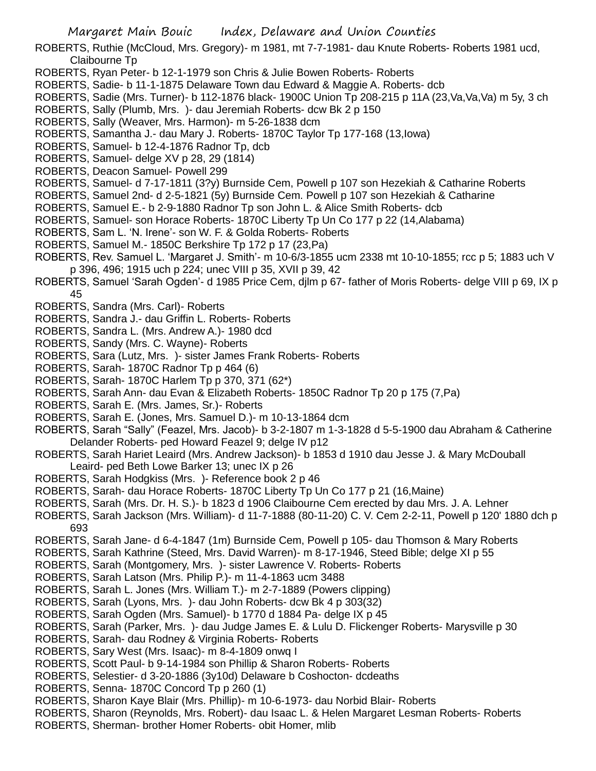- ROBERTS, Ruthie (McCloud, Mrs. Gregory)- m 1981, mt 7-7-1981- dau Knute Roberts- Roberts 1981 ucd, Claibourne Tp
- ROBERTS, Ryan Peter- b 12-1-1979 son Chris & Julie Bowen Roberts- Roberts
- ROBERTS, Sadie- b 11-1-1875 Delaware Town dau Edward & Maggie A. Roberts- dcb
- ROBERTS, Sadie (Mrs. Turner)- b 112-1876 black- 1900C Union Tp 208-215 p 11A (23,Va,Va,Va) m 5y, 3 ch
- ROBERTS, Sally (Plumb, Mrs. )- dau Jeremiah Roberts- dcw Bk 2 p 150
- ROBERTS, Sally (Weaver, Mrs. Harmon)- m 5-26-1838 dcm
- ROBERTS, Samantha J.- dau Mary J. Roberts- 1870C Taylor Tp 177-168 (13,Iowa)
- ROBERTS, Samuel- b 12-4-1876 Radnor Tp, dcb
- ROBERTS, Samuel- delge XV p 28, 29 (1814)
- ROBERTS, Deacon Samuel- Powell 299
- ROBERTS, Samuel- d 7-17-1811 (3?y) Burnside Cem, Powell p 107 son Hezekiah & Catharine Roberts
- ROBERTS, Samuel 2nd- d 2-5-1821 (5y) Burnside Cem. Powell p 107 son Hezekiah & Catharine
- ROBERTS, Samuel E.- b 2-9-1880 Radnor Tp son John L. & Alice Smith Roberts- dcb
- ROBERTS, Samuel- son Horace Roberts- 1870C Liberty Tp Un Co 177 p 22 (14,Alabama)
- ROBERTS, Sam L. 'N. Irene'- son W. F. & Golda Roberts- Roberts
- ROBERTS, Samuel M.- 1850C Berkshire Tp 172 p 17 (23,Pa)
- ROBERTS, Rev. Samuel L. 'Margaret J. Smith'- m 10-6/3-1855 ucm 2338 mt 10-10-1855; rcc p 5; 1883 uch V p 396, 496; 1915 uch p 224; unec VIII p 35, XVII p 39, 42
- ROBERTS, Samuel 'Sarah Ogden'- d 1985 Price Cem, djlm p 67- father of Moris Roberts- delge VIII p 69, IX p 45
- ROBERTS, Sandra (Mrs. Carl)- Roberts
- ROBERTS, Sandra J.- dau Griffin L. Roberts- Roberts
- ROBERTS, Sandra L. (Mrs. Andrew A.)- 1980 dcd
- ROBERTS, Sandy (Mrs. C. Wayne)- Roberts
- ROBERTS, Sara (Lutz, Mrs. )- sister James Frank Roberts- Roberts
- ROBERTS, Sarah- 1870C Radnor Tp p 464 (6)
- ROBERTS, Sarah- 1870C Harlem Tp p 370, 371 (62\*)
- ROBERTS, Sarah Ann- dau Evan & Elizabeth Roberts- 1850C Radnor Tp 20 p 175 (7,Pa)
- ROBERTS, Sarah E. (Mrs. James, Sr.)- Roberts
- ROBERTS, Sarah E. (Jones, Mrs. Samuel D.)- m 10-13-1864 dcm
- ROBERTS, Sarah "Sally" (Feazel, Mrs. Jacob)- b 3-2-1807 m 1-3-1828 d 5-5-1900 dau Abraham & Catherine Delander Roberts- ped Howard Feazel 9; delge IV p12
- ROBERTS, Sarah Hariet Leaird (Mrs. Andrew Jackson)- b 1853 d 1910 dau Jesse J. & Mary McDouball Leaird- ped Beth Lowe Barker 13; unec IX p 26
- ROBERTS, Sarah Hodgkiss (Mrs. )- Reference book 2 p 46
- ROBERTS, Sarah- dau Horace Roberts- 1870C Liberty Tp Un Co 177 p 21 (16,Maine)
- ROBERTS, Sarah (Mrs. Dr. H. S.)- b 1823 d 1906 Claibourne Cem erected by dau Mrs. J. A. Lehner
- ROBERTS, Sarah Jackson (Mrs. William)- d 11-7-1888 (80-11-20) C. V. Cem 2-2-11, Powell p 120' 1880 dch p 693
- ROBERTS, Sarah Jane- d 6-4-1847 (1m) Burnside Cem, Powell p 105- dau Thomson & Mary Roberts
- ROBERTS, Sarah Kathrine (Steed, Mrs. David Warren)- m 8-17-1946, Steed Bible; delge XI p 55
- ROBERTS, Sarah (Montgomery, Mrs. )- sister Lawrence V. Roberts- Roberts
- ROBERTS, Sarah Latson (Mrs. Philip P.)- m 11-4-1863 ucm 3488
- ROBERTS, Sarah L. Jones (Mrs. William T.)- m 2-7-1889 (Powers clipping)
- ROBERTS, Sarah (Lyons, Mrs. )- dau John Roberts- dcw Bk 4 p 303(32)
- ROBERTS, Sarah Ogden (Mrs. Samuel)- b 1770 d 1884 Pa- delge IX p 45
- ROBERTS, Sarah (Parker, Mrs. )- dau Judge James E. & Lulu D. Flickenger Roberts- Marysville p 30
- ROBERTS, Sarah- dau Rodney & Virginia Roberts- Roberts
- ROBERTS, Sary West (Mrs. Isaac)- m 8-4-1809 onwq I
- ROBERTS, Scott Paul- b 9-14-1984 son Phillip & Sharon Roberts- Roberts
- ROBERTS, Selestier- d 3-20-1886 (3y10d) Delaware b Coshocton- dcdeaths
- ROBERTS, Senna- 1870C Concord Tp p 260 (1)
- ROBERTS, Sharon Kaye Blair (Mrs. Phillip)- m 10-6-1973- dau Norbid Blair- Roberts
- ROBERTS, Sharon (Reynolds, Mrs. Robert)- dau Isaac L. & Helen Margaret Lesman Roberts- Roberts
- ROBERTS, Sherman- brother Homer Roberts- obit Homer, mlib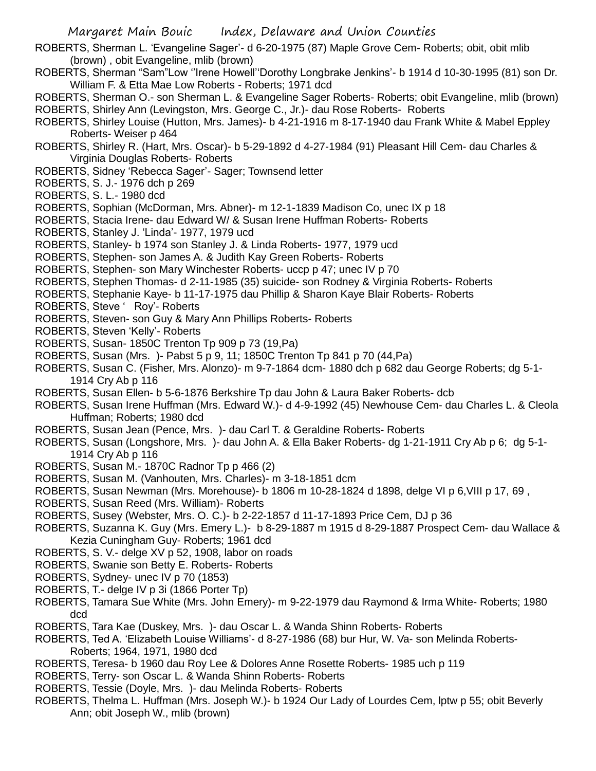- ROBERTS, Sherman L. 'Evangeline Sager'- d 6-20-1975 (87) Maple Grove Cem- Roberts; obit, obit mlib (brown) , obit Evangeline, mlib (brown)
- ROBERTS, Sherman "Sam"Low ''Irene Howell''Dorothy Longbrake Jenkins'- b 1914 d 10-30-1995 (81) son Dr. William F. & Etta Mae Low Roberts - Roberts; 1971 dcd
- ROBERTS, Sherman O.- son Sherman L. & Evangeline Sager Roberts- Roberts; obit Evangeline, mlib (brown) ROBERTS, Shirley Ann (Levingston, Mrs. George C., Jr.)- dau Rose Roberts- Roberts
- ROBERTS, Shirley Louise (Hutton, Mrs. James)- b 4-21-1916 m 8-17-1940 dau Frank White & Mabel Eppley Roberts- Weiser p 464
- ROBERTS, Shirley R. (Hart, Mrs. Oscar)- b 5-29-1892 d 4-27-1984 (91) Pleasant Hill Cem- dau Charles & Virginia Douglas Roberts- Roberts
- ROBERTS, Sidney 'Rebecca Sager'- Sager; Townsend letter
- ROBERTS, S. J.- 1976 dch p 269
- ROBERTS, S. L.- 1980 dcd
- ROBERTS, Sophian (McDorman, Mrs. Abner)- m 12-1-1839 Madison Co, unec IX p 18
- ROBERTS, Stacia Irene- dau Edward W/ & Susan Irene Huffman Roberts- Roberts
- ROBERTS, Stanley J. 'Linda'- 1977, 1979 ucd
- ROBERTS, Stanley- b 1974 son Stanley J. & Linda Roberts- 1977, 1979 ucd
- ROBERTS, Stephen- son James A. & Judith Kay Green Roberts- Roberts
- ROBERTS, Stephen- son Mary Winchester Roberts- uccp p 47; unec IV p 70
- ROBERTS, Stephen Thomas- d 2-11-1985 (35) suicide- son Rodney & Virginia Roberts- Roberts
- ROBERTS, Stephanie Kaye- b 11-17-1975 dau Phillip & Sharon Kaye Blair Roberts- Roberts
- ROBERTS, Steve ' Roy'- Roberts
- ROBERTS, Steven- son Guy & Mary Ann Phillips Roberts- Roberts
- ROBERTS, Steven 'Kelly'- Roberts
- ROBERTS, Susan- 1850C Trenton Tp 909 p 73 (19,Pa)
- ROBERTS, Susan (Mrs. )- Pabst 5 p 9, 11; 1850C Trenton Tp 841 p 70 (44,Pa)
- ROBERTS, Susan C. (Fisher, Mrs. Alonzo)- m 9-7-1864 dcm- 1880 dch p 682 dau George Roberts; dg 5-1- 1914 Cry Ab p 116
- ROBERTS, Susan Ellen- b 5-6-1876 Berkshire Tp dau John & Laura Baker Roberts- dcb
- ROBERTS, Susan Irene Huffman (Mrs. Edward W.)- d 4-9-1992 (45) Newhouse Cem- dau Charles L. & Cleola Huffman; Roberts; 1980 dcd
- ROBERTS, Susan Jean (Pence, Mrs. )- dau Carl T. & Geraldine Roberts- Roberts
- ROBERTS, Susan (Longshore, Mrs. )- dau John A. & Ella Baker Roberts- dg 1-21-1911 Cry Ab p 6; dg 5-1- 1914 Cry Ab p 116
- ROBERTS, Susan M.- 1870C Radnor Tp p 466 (2)
- ROBERTS, Susan M. (Vanhouten, Mrs. Charles)- m 3-18-1851 dcm
- ROBERTS, Susan Newman (Mrs. Morehouse)- b 1806 m 10-28-1824 d 1898, delge VI p 6,VIII p 17, 69 ,
- ROBERTS, Susan Reed (Mrs. William)- Roberts
- ROBERTS, Susey (Webster, Mrs. O. C.)- b 2-22-1857 d 11-17-1893 Price Cem, DJ p 36
- ROBERTS, Suzanna K. Guy (Mrs. Emery L.)- b 8-29-1887 m 1915 d 8-29-1887 Prospect Cem- dau Wallace & Kezia Cuningham Guy- Roberts; 1961 dcd
- ROBERTS, S. V.- delge XV p 52, 1908, labor on roads
- ROBERTS, Swanie son Betty E. Roberts- Roberts
- ROBERTS, Sydney- unec IV p 70 (1853)
- ROBERTS, T.- delge IV p 3i (1866 Porter Tp)
- ROBERTS, Tamara Sue White (Mrs. John Emery)- m 9-22-1979 dau Raymond & Irma White- Roberts; 1980 dcd
- ROBERTS, Tara Kae (Duskey, Mrs. )- dau Oscar L. & Wanda Shinn Roberts- Roberts
- ROBERTS, Ted A. 'Elizabeth Louise Williams'- d 8-27-1986 (68) bur Hur, W. Va- son Melinda Roberts-Roberts; 1964, 1971, 1980 dcd
- ROBERTS, Teresa- b 1960 dau Roy Lee & Dolores Anne Rosette Roberts- 1985 uch p 119
- ROBERTS, Terry- son Oscar L. & Wanda Shinn Roberts- Roberts
- ROBERTS, Tessie (Doyle, Mrs. )- dau Melinda Roberts- Roberts
- ROBERTS, Thelma L. Huffman (Mrs. Joseph W.)- b 1924 Our Lady of Lourdes Cem, lptw p 55; obit Beverly Ann; obit Joseph W., mlib (brown)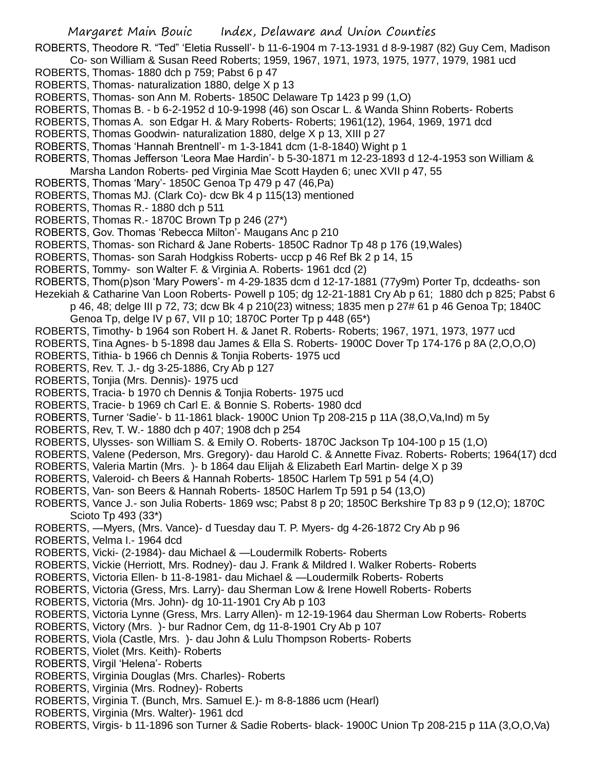ROBERTS, Theodore R. "Ted" 'Eletia Russell'- b 11-6-1904 m 7-13-1931 d 8-9-1987 (82) Guy Cem, Madison Co- son William & Susan Reed Roberts; 1959, 1967, 1971, 1973, 1975, 1977, 1979, 1981 ucd

- ROBERTS, Thomas- 1880 dch p 759; Pabst 6 p 47
- ROBERTS, Thomas- naturalization 1880, delge X p 13
- ROBERTS, Thomas- son Ann M. Roberts- 1850C Delaware Tp 1423 p 99 (1,O)
- ROBERTS, Thomas B. b 6-2-1952 d 10-9-1998 (46) son Oscar L. & Wanda Shinn Roberts- Roberts
- ROBERTS, Thomas A. son Edgar H. & Mary Roberts- Roberts; 1961(12), 1964, 1969, 1971 dcd
- ROBERTS, Thomas Goodwin- naturalization 1880, delge X p 13, XIII p 27
- ROBERTS, Thomas 'Hannah Brentnell'- m 1-3-1841 dcm (1-8-1840) Wight p 1
- ROBERTS, Thomas Jefferson 'Leora Mae Hardin'- b 5-30-1871 m 12-23-1893 d 12-4-1953 son William & Marsha Landon Roberts- ped Virginia Mae Scott Hayden 6; unec XVII p 47, 55
- ROBERTS, Thomas 'Mary'- 1850C Genoa Tp 479 p 47 (46,Pa)
- ROBERTS, Thomas MJ. (Clark Co)- dcw Bk 4 p 115(13) mentioned
- ROBERTS, Thomas R.- 1880 dch p 511
- ROBERTS, Thomas R.- 1870C Brown Tp p 246 (27\*)
- ROBERTS, Gov. Thomas 'Rebecca Milton'- Maugans Anc p 210
- ROBERTS, Thomas- son Richard & Jane Roberts- 1850C Radnor Tp 48 p 176 (19,Wales)
- ROBERTS, Thomas- son Sarah Hodgkiss Roberts- uccp p 46 Ref Bk 2 p 14, 15
- ROBERTS, Tommy- son Walter F. & Virginia A. Roberts- 1961 dcd (2)
- ROBERTS, Thom(p)son 'Mary Powers'- m 4-29-1835 dcm d 12-17-1881 (77y9m) Porter Tp, dcdeaths- son
- Hezekiah & Catharine Van Loon Roberts- Powell p 105; dg 12-21-1881 Cry Ab p 61; 1880 dch p 825; Pabst 6 p 46, 48; delge III p 72, 73; dcw Bk 4 p 210(23) witness; 1835 men p 27# 61 p 46 Genoa Tp; 1840C Genoa Tp, delge IV p 67, VII p 10; 1870C Porter Tp p 448 (65\*)
- ROBERTS, Timothy- b 1964 son Robert H. & Janet R. Roberts- Roberts; 1967, 1971, 1973, 1977 ucd
- ROBERTS, Tina Agnes- b 5-1898 dau James & Ella S. Roberts- 1900C Dover Tp 174-176 p 8A (2,O,O,O)
- ROBERTS, Tithia- b 1966 ch Dennis & Tonjia Roberts- 1975 ucd
- ROBERTS, Rev. T. J.- dg 3-25-1886, Cry Ab p 127
- ROBERTS, Tonjia (Mrs. Dennis)- 1975 ucd
- ROBERTS, Tracia- b 1970 ch Dennis & Tonjia Roberts- 1975 ucd
- ROBERTS, Tracie- b 1969 ch Carl E. & Bonnie S. Roberts- 1980 dcd
- ROBERTS, Turner 'Sadie'- b 11-1861 black- 1900C Union Tp 208-215 p 11A (38,O,Va,Ind) m 5y
- ROBERTS, Rev, T. W.- 1880 dch p 407; 1908 dch p 254
- ROBERTS, Ulysses- son William S. & Emily O. Roberts- 1870C Jackson Tp 104-100 p 15 (1,O)
- ROBERTS, Valene (Pederson, Mrs. Gregory)- dau Harold C. & Annette Fivaz. Roberts- Roberts; 1964(17) dcd
- ROBERTS, Valeria Martin (Mrs. )- b 1864 dau Elijah & Elizabeth Earl Martin- delge X p 39
- ROBERTS, Valeroid- ch Beers & Hannah Roberts- 1850C Harlem Tp 591 p 54 (4,O)
- ROBERTS, Van- son Beers & Hannah Roberts- 1850C Harlem Tp 591 p 54 (13,O)
- ROBERTS, Vance J.- son Julia Roberts- 1869 wsc; Pabst 8 p 20; 1850C Berkshire Tp 83 p 9 (12,O); 1870C Scioto Tp 493 (33\*)
- ROBERTS, —Myers, (Mrs. Vance)- d Tuesday dau T. P. Myers- dg 4-26-1872 Cry Ab p 96
- ROBERTS, Velma I.- 1964 dcd
- ROBERTS, Vicki- (2-1984)- dau Michael & —Loudermilk Roberts- Roberts
- ROBERTS, Vickie (Herriott, Mrs. Rodney)- dau J. Frank & Mildred I. Walker Roberts- Roberts
- ROBERTS, Victoria Ellen- b 11-8-1981- dau Michael & —Loudermilk Roberts- Roberts
- ROBERTS, Victoria (Gress, Mrs. Larry)- dau Sherman Low & Irene Howell Roberts- Roberts
- ROBERTS, Victoria (Mrs. John)- dg 10-11-1901 Cry Ab p 103
- ROBERTS, Victoria Lynne (Gress, Mrs. Larry Allen)- m 12-19-1964 dau Sherman Low Roberts- Roberts
- ROBERTS, Victory (Mrs. )- bur Radnor Cem, dg 11-8-1901 Cry Ab p 107
- ROBERTS, Viola (Castle, Mrs. )- dau John & Lulu Thompson Roberts- Roberts
- ROBERTS, Violet (Mrs. Keith)- Roberts
- ROBERTS, Virgil 'Helena'- Roberts
- ROBERTS, Virginia Douglas (Mrs. Charles)- Roberts
- ROBERTS, Virginia (Mrs. Rodney)- Roberts
- ROBERTS, Virginia T. (Bunch, Mrs. Samuel E.)- m 8-8-1886 ucm (Hearl)
- ROBERTS, Virginia (Mrs. Walter)- 1961 dcd
- ROBERTS, Virgis- b 11-1896 son Turner & Sadie Roberts- black- 1900C Union Tp 208-215 p 11A (3,O,O,Va)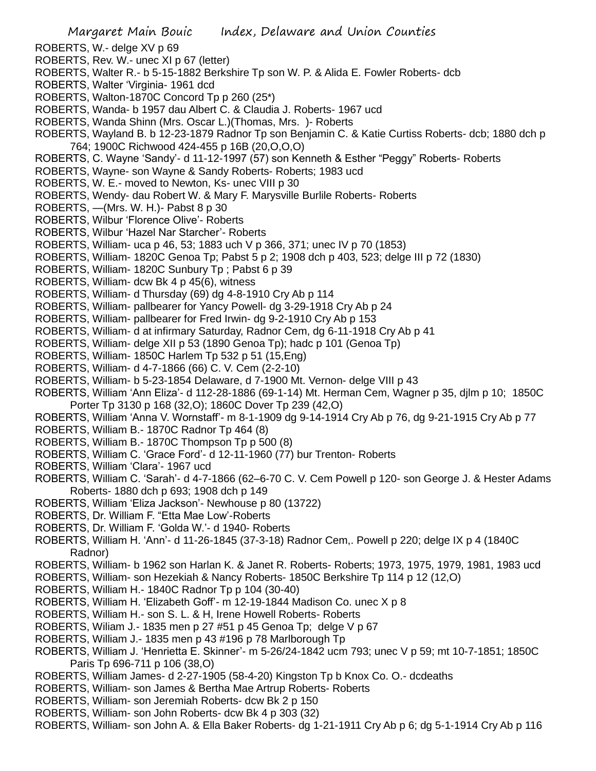- ROBERTS, W.- delge XV p 69
- ROBERTS, Rev. W.- unec XI p 67 (letter)
- ROBERTS, Walter R.- b 5-15-1882 Berkshire Tp son W. P. & Alida E. Fowler Roberts- dcb
- ROBERTS, Walter 'Virginia- 1961 dcd
- ROBERTS, Walton-1870C Concord Tp p 260 (25\*)
- ROBERTS, Wanda- b 1957 dau Albert C. & Claudia J. Roberts- 1967 ucd
- ROBERTS, Wanda Shinn (Mrs. Oscar L.)(Thomas, Mrs. )- Roberts
- ROBERTS, Wayland B. b 12-23-1879 Radnor Tp son Benjamin C. & Katie Curtiss Roberts- dcb; 1880 dch p 764; 1900C Richwood 424-455 p 16B (20,O,O,O)
- ROBERTS, C. Wayne 'Sandy'- d 11-12-1997 (57) son Kenneth & Esther "Peggy" Roberts- Roberts
- ROBERTS, Wayne- son Wayne & Sandy Roberts- Roberts; 1983 ucd
- ROBERTS, W. E.- moved to Newton, Ks- unec VIII p 30
- ROBERTS, Wendy- dau Robert W. & Mary F. Marysville Burlile Roberts- Roberts
- ROBERTS, —(Mrs. W. H.)- Pabst 8 p 30
- ROBERTS, Wilbur 'Florence Olive'- Roberts
- ROBERTS, Wilbur 'Hazel Nar Starcher'- Roberts
- ROBERTS, William- uca p 46, 53; 1883 uch V p 366, 371; unec IV p 70 (1853)
- ROBERTS, William- 1820C Genoa Tp; Pabst 5 p 2; 1908 dch p 403, 523; delge III p 72 (1830)
- ROBERTS, William- 1820C Sunbury Tp ; Pabst 6 p 39
- ROBERTS, William- dcw Bk 4 p 45(6), witness
- ROBERTS, William- d Thursday (69) dg 4-8-1910 Cry Ab p 114
- ROBERTS, William- pallbearer for Yancy Powell- dg 3-29-1918 Cry Ab p 24
- ROBERTS, William- pallbearer for Fred Irwin- dg 9-2-1910 Cry Ab p 153
- ROBERTS, William- d at infirmary Saturday, Radnor Cem, dg 6-11-1918 Cry Ab p 41
- ROBERTS, William- delge XII p 53 (1890 Genoa Tp); hadc p 101 (Genoa Tp)
- ROBERTS, William- 1850C Harlem Tp 532 p 51 (15,Eng)
- ROBERTS, William- d 4-7-1866 (66) C. V. Cem (2-2-10)
- ROBERTS, William- b 5-23-1854 Delaware, d 7-1900 Mt. Vernon- delge VIII p 43
- ROBERTS, William 'Ann Eliza'- d 112-28-1886 (69-1-14) Mt. Herman Cem, Wagner p 35, djlm p 10; 1850C Porter Tp 3130 p 168 (32,O); 1860C Dover Tp 239 (42,O)
- ROBERTS, William 'Anna V. Wornstaff'- m 8-1-1909 dg 9-14-1914 Cry Ab p 76, dg 9-21-1915 Cry Ab p 77
- ROBERTS, William B.- 1870C Radnor Tp 464 (8)
- ROBERTS, William B.- 1870C Thompson Tp p 500 (8)
- ROBERTS, William C. 'Grace Ford'- d 12-11-1960 (77) bur Trenton- Roberts
- ROBERTS, William 'Clara'- 1967 ucd
- ROBERTS, William C. 'Sarah'- d 4-7-1866 (62–6-70 C. V. Cem Powell p 120- son George J. & Hester Adams Roberts- 1880 dch p 693; 1908 dch p 149
- ROBERTS, William 'Eliza Jackson'- Newhouse p 80 (13722)
- ROBERTS, Dr. William F. "Etta Mae Low'-Roberts
- ROBERTS, Dr. William F. 'Golda W.'- d 1940- Roberts
- ROBERTS, William H. 'Ann'- d 11-26-1845 (37-3-18) Radnor Cem,. Powell p 220; delge IX p 4 (1840C Radnor)
- ROBERTS, William- b 1962 son Harlan K. & Janet R. Roberts- Roberts; 1973, 1975, 1979, 1981, 1983 ucd
- ROBERTS, William- son Hezekiah & Nancy Roberts- 1850C Berkshire Tp 114 p 12 (12,O)
- ROBERTS, William H.- 1840C Radnor Tp p 104 (30-40)
- ROBERTS, William H. 'Elizabeth Goff'- m 12-19-1844 Madison Co. unec X p 8
- ROBERTS, William H.- son S. L. & H, Irene Howell Roberts- Roberts
- ROBERTS, Wiliam J.- 1835 men p 27 #51 p 45 Genoa Tp; delge V p 67
- ROBERTS, William J.- 1835 men p 43 #196 p 78 Marlborough Tp
- ROBERTS, William J. 'Henrietta E. Skinner'- m 5-26/24-1842 ucm 793; unec V p 59; mt 10-7-1851; 1850C Paris Tp 696-711 p 106 (38,O)
- ROBERTS, William James- d 2-27-1905 (58-4-20) Kingston Tp b Knox Co. O.- dcdeaths
- ROBERTS, William- son James & Bertha Mae Artrup Roberts- Roberts
- ROBERTS, William- son Jeremiah Roberts- dcw Bk 2 p 150
- ROBERTS, William- son John Roberts- dcw Bk 4 p 303 (32)
- ROBERTS, William- son John A. & Ella Baker Roberts- dg 1-21-1911 Cry Ab p 6; dg 5-1-1914 Cry Ab p 116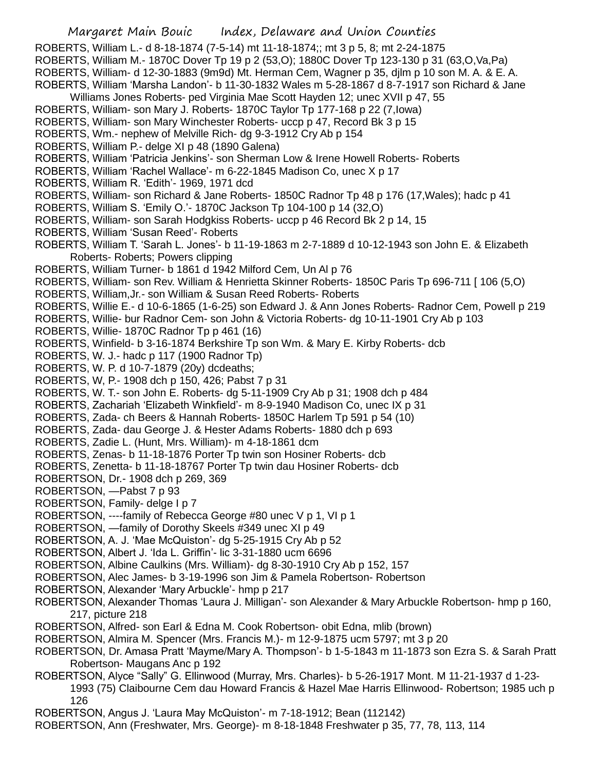Margaret Main Bouic Index, Delaware and Union Counties ROBERTS, William L.- d 8-18-1874 (7-5-14) mt 11-18-1874;; mt 3 p 5, 8; mt 2-24-1875 ROBERTS, William M.- 1870C Dover Tp 19 p 2 (53,O); 1880C Dover Tp 123-130 p 31 (63,O,Va,Pa) ROBERTS, William- d 12-30-1883 (9m9d) Mt. Herman Cem, Wagner p 35, djlm p 10 son M. A. & E. A. ROBERTS, William 'Marsha Landon'- b 11-30-1832 Wales m 5-28-1867 d 8-7-1917 son Richard & Jane Williams Jones Roberts- ped Virginia Mae Scott Hayden 12; unec XVII p 47, 55 ROBERTS, William- son Mary J. Roberts- 1870C Taylor Tp 177-168 p 22 (7,Iowa) ROBERTS, William- son Mary Winchester Roberts- uccp p 47, Record Bk 3 p 15 ROBERTS, Wm.- nephew of Melville Rich- dg 9-3-1912 Cry Ab p 154 ROBERTS, William P.- delge XI p 48 (1890 Galena) ROBERTS, William 'Patricia Jenkins'- son Sherman Low & Irene Howell Roberts- Roberts ROBERTS, William 'Rachel Wallace'- m 6-22-1845 Madison Co, unec X p 17 ROBERTS, William R. 'Edith'- 1969, 1971 dcd ROBERTS, William- son Richard & Jane Roberts- 1850C Radnor Tp 48 p 176 (17,Wales); hadc p 41 ROBERTS, William S. 'Emily O.'- 1870C Jackson Tp 104-100 p 14 (32,O) ROBERTS, William- son Sarah Hodgkiss Roberts- uccp p 46 Record Bk 2 p 14, 15 ROBERTS, William 'Susan Reed'- Roberts ROBERTS, William T. 'Sarah L. Jones'- b 11-19-1863 m 2-7-1889 d 10-12-1943 son John E. & Elizabeth Roberts- Roberts; Powers clipping ROBERTS, William Turner- b 1861 d 1942 Milford Cem, Un Al p 76 ROBERTS, William- son Rev. William & Henrietta Skinner Roberts- 1850C Paris Tp 696-711 [ 106 (5,O) ROBERTS, William,Jr.- son William & Susan Reed Roberts- Roberts ROBERTS, Willie E.- d 10-6-1865 (1-6-25) son Edward J. & Ann Jones Roberts- Radnor Cem, Powell p 219 ROBERTS, Willie- bur Radnor Cem- son John & Victoria Roberts- dg 10-11-1901 Cry Ab p 103 ROBERTS, Willie- 1870C Radnor Tp p 461 (16) ROBERTS, Winfield- b 3-16-1874 Berkshire Tp son Wm. & Mary E. Kirby Roberts- dcb ROBERTS, W. J.- hadc p 117 (1900 Radnor Tp) ROBERTS, W. P. d 10-7-1879 (20y) dcdeaths; ROBERTS, W, P.- 1908 dch p 150, 426; Pabst 7 p 31 ROBERTS, W. T.- son John E. Roberts- dg 5-11-1909 Cry Ab p 31; 1908 dch p 484 ROBERTS, Zachariah 'Elizabeth Winkfield'- m 8-9-1940 Madison Co, unec IX p 31 ROBERTS, Zada- ch Beers & Hannah Roberts- 1850C Harlem Tp 591 p 54 (10) ROBERTS, Zada- dau George J. & Hester Adams Roberts- 1880 dch p 693 ROBERTS, Zadie L. (Hunt, Mrs. William)- m 4-18-1861 dcm ROBERTS, Zenas- b 11-18-1876 Porter Tp twin son Hosiner Roberts- dcb ROBERTS, Zenetta- b 11-18-18767 Porter Tp twin dau Hosiner Roberts- dcb ROBERTSON, Dr.- 1908 dch p 269, 369 ROBERTSON, —Pabst 7 p 93 ROBERTSON, Family- delge I p 7 ROBERTSON, ----family of Rebecca George #80 unec V p 1, VI p 1 ROBERTSON, —family of Dorothy Skeels #349 unec XI p 49 ROBERTSON, A. J. 'Mae McQuiston'- dg 5-25-1915 Cry Ab p 52 ROBERTSON, Albert J. 'Ida L. Griffin'- lic 3-31-1880 ucm 6696 ROBERTSON, Albine Caulkins (Mrs. William)- dg 8-30-1910 Cry Ab p 152, 157 ROBERTSON, Alec James- b 3-19-1996 son Jim & Pamela Robertson- Robertson ROBERTSON, Alexander 'Mary Arbuckle'- hmp p 217 ROBERTSON, Alexander Thomas 'Laura J. Milligan'- son Alexander & Mary Arbuckle Robertson- hmp p 160, 217, picture 218 ROBERTSON, Alfred- son Earl & Edna M. Cook Robertson- obit Edna, mlib (brown) ROBERTSON, Almira M. Spencer (Mrs. Francis M.)- m 12-9-1875 ucm 5797; mt 3 p 20 ROBERTSON, Dr. Amasa Pratt 'Mayme/Mary A. Thompson'- b 1-5-1843 m 11-1873 son Ezra S. & Sarah Pratt Robertson- Maugans Anc p 192 ROBERTSON, Alyce "Sally" G. Ellinwood (Murray, Mrs. Charles)- b 5-26-1917 Mont. M 11-21-1937 d 1-23- 1993 (75) Claibourne Cem dau Howard Francis & Hazel Mae Harris Ellinwood- Robertson; 1985 uch p 126 ROBERTSON, Angus J. 'Laura May McQuiston'- m 7-18-1912; Bean (112142)

ROBERTSON, Ann (Freshwater, Mrs. George)- m 8-18-1848 Freshwater p 35, 77, 78, 113, 114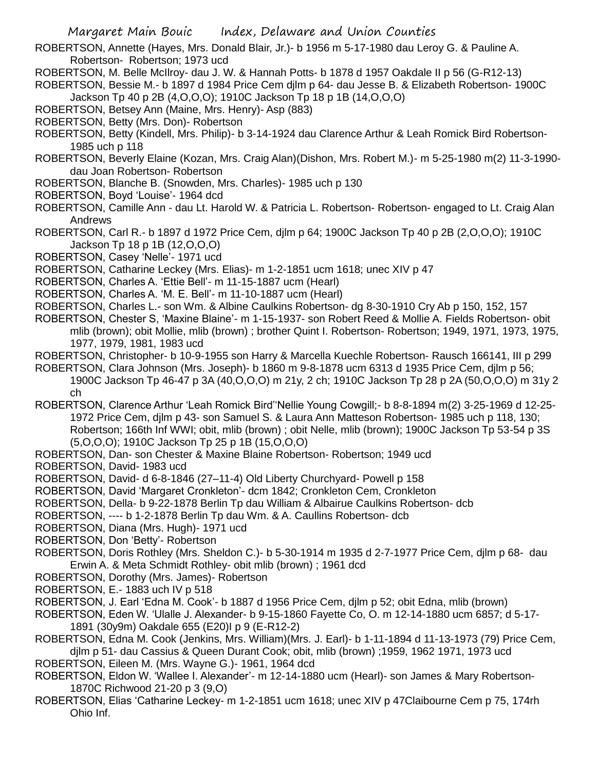- ROBERTSON, Annette (Hayes, Mrs. Donald Blair, Jr.)- b 1956 m 5-17-1980 dau Leroy G. & Pauline A. Robertson- Robertson; 1973 ucd
- ROBERTSON, M. Belle McIlroy- dau J. W. & Hannah Potts- b 1878 d 1957 Oakdale II p 56 (G-R12-13)
- ROBERTSON, Bessie M.- b 1897 d 1984 Price Cem djlm p 64- dau Jesse B. & Elizabeth Robertson- 1900C Jackson Tp 40 p 2B (4,O,O,O); 1910C Jackson Tp 18 p 1B (14,O,O,O)
- ROBERTSON, Betsey Ann (Maine, Mrs. Henry)- Asp (883)
- ROBERTSON, Betty (Mrs. Don)- Robertson
- ROBERTSON, Betty (Kindell, Mrs. Philip)- b 3-14-1924 dau Clarence Arthur & Leah Romick Bird Robertson-1985 uch p 118
- ROBERTSON, Beverly Elaine (Kozan, Mrs. Craig Alan)(Dishon, Mrs. Robert M.)- m 5-25-1980 m(2) 11-3-1990 dau Joan Robertson- Robertson
- ROBERTSON, Blanche B. (Snowden, Mrs. Charles)- 1985 uch p 130
- ROBERTSON, Boyd 'Louise'- 1964 dcd
- ROBERTSON, Camille Ann dau Lt. Harold W. & Patricia L. Robertson- Robertson- engaged to Lt. Craig Alan Andrews
- ROBERTSON, Carl R.- b 1897 d 1972 Price Cem, djlm p 64; 1900C Jackson Tp 40 p 2B (2,O,O,O); 1910C Jackson Tp 18 p 1B (12,O,O,O)
- ROBERTSON, Casey 'Nelle'- 1971 ucd
- ROBERTSON, Catharine Leckey (Mrs. Elias)- m 1-2-1851 ucm 1618; unec XIV p 47
- ROBERTSON, Charles A. 'Ettie Bell'- m 11-15-1887 ucm (Hearl)
- ROBERTSON, Charles A. 'M. E. Bell'- m 11-10-1887 ucm (Hearl)
- ROBERTSON, Charles L.- son Wm. & Albine Caulkins Robertson- dg 8-30-1910 Cry Ab p 150, 152, 157
- ROBERTSON, Chester S, 'Maxine Blaine'- m 1-15-1937- son Robert Reed & Mollie A. Fields Robertson- obit mlib (brown); obit Mollie, mlib (brown) ; brother Quint I. Robertson- Robertson; 1949, 1971, 1973, 1975, 1977, 1979, 1981, 1983 ucd
- ROBERTSON, Christopher- b 10-9-1955 son Harry & Marcella Kuechle Robertson- Rausch 166141, III p 299
- ROBERTSON, Clara Johnson (Mrs. Joseph)- b 1860 m 9-8-1878 ucm 6313 d 1935 Price Cem, djlm p 56;
	- 1900C Jackson Tp 46-47 p 3A (40,O,O,O) m 21y, 2 ch; 1910C Jackson Tp 28 p 2A (50,O,O,O) m 31y 2 ch
- ROBERTSON, Clarence Arthur 'Leah Romick Bird''Nellie Young Cowgill;- b 8-8-1894 m(2) 3-25-1969 d 12-25- 1972 Price Cem, djlm p 43- son Samuel S. & Laura Ann Matteson Robertson- 1985 uch p 118, 130; Robertson; 166th Inf WWI; obit, mlib (brown) ; obit Nelle, mlib (brown); 1900C Jackson Tp 53-54 p 3S (5,O,O,O); 1910C Jackson Tp 25 p 1B (15,O,O,O)
- ROBERTSON, Dan- son Chester & Maxine Blaine Robertson- Robertson; 1949 ucd
- ROBERTSON, David- 1983 ucd
- ROBERTSON, David- d 6-8-1846 (27–11-4) Old Liberty Churchyard- Powell p 158
- ROBERTSON, David 'Margaret Cronkleton'- dcm 1842; Cronkleton Cem, Cronkleton
- ROBERTSON, Della- b 9-22-1878 Berlin Tp dau William & Albairue Caulkins Robertson- dcb
- ROBERTSON, ---- b 1-2-1878 Berlin Tp dau Wm. & A. Caullins Robertson- dcb
- ROBERTSON, Diana (Mrs. Hugh)- 1971 ucd
- ROBERTSON, Don 'Betty'- Robertson
- ROBERTSON, Doris Rothley (Mrs. Sheldon C.)- b 5-30-1914 m 1935 d 2-7-1977 Price Cem, djlm p 68- dau Erwin A. & Meta Schmidt Rothley- obit mlib (brown) ; 1961 dcd
- ROBERTSON, Dorothy (Mrs. James)- Robertson
- ROBERTSON, E.- 1883 uch IV p 518
- ROBERTSON, J. Earl 'Edna M. Cook'- b 1887 d 1956 Price Cem, djlm p 52; obit Edna, mlib (brown)
- ROBERTSON, Eden W. 'Ulalle J. Alexander- b 9-15-1860 Fayette Co, O. m 12-14-1880 ucm 6857; d 5-17- 1891 (30y9m) Oakdale 655 (E20)I p 9 (E-R12-2)
- ROBERTSON, Edna M. Cook (Jenkins, Mrs. William)(Mrs. J. Earl)- b 1-11-1894 d 11-13-1973 (79) Price Cem,
- djlm p 51- dau Cassius & Queen Durant Cook; obit, mlib (brown) ;1959, 1962 1971, 1973 ucd ROBERTSON, Eileen M. (Mrs. Wayne G.)- 1961, 1964 dcd
- ROBERTSON, Eldon W. 'Wallee I. Alexander'- m 12-14-1880 ucm (Hearl)- son James & Mary Robertson-1870C Richwood 21-20 p 3 (9,O)
- ROBERTSON, Elias 'Catharine Leckey- m 1-2-1851 ucm 1618; unec XIV p 47Claibourne Cem p 75, 174rh Ohio Inf.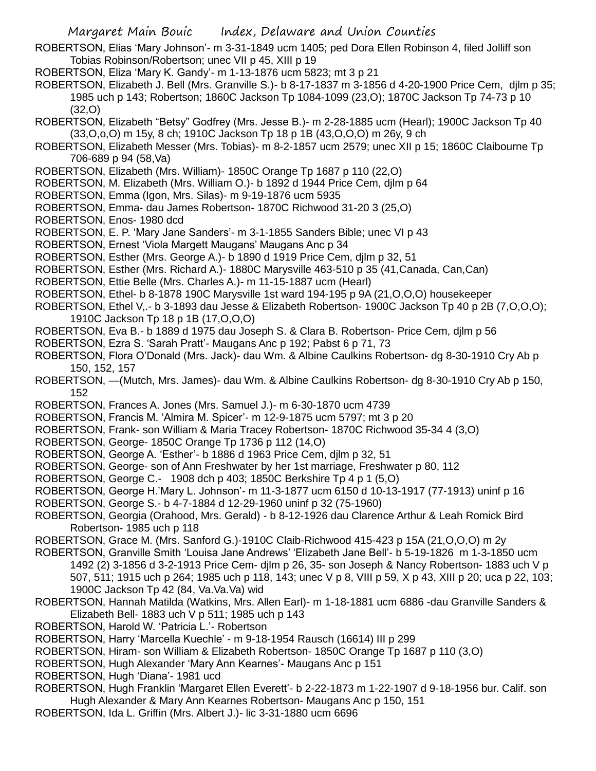- ROBERTSON, Elias 'Mary Johnson'- m 3-31-1849 ucm 1405; ped Dora Ellen Robinson 4, filed Jolliff son Tobias Robinson/Robertson; unec VII p 45, XIII p 19
- ROBERTSON, Eliza 'Mary K. Gandy'- m 1-13-1876 ucm 5823; mt 3 p 21

ROBERTSON, Elizabeth J. Bell (Mrs. Granville S.)- b 8-17-1837 m 3-1856 d 4-20-1900 Price Cem, djlm p 35; 1985 uch p 143; Robertson; 1860C Jackson Tp 1084-1099 (23,O); 1870C Jackson Tp 74-73 p 10 (32,O)

- ROBERTSON, Elizabeth "Betsy" Godfrey (Mrs. Jesse B.)- m 2-28-1885 ucm (Hearl); 1900C Jackson Tp 40 (33,O,o,O) m 15y, 8 ch; 1910C Jackson Tp 18 p 1B (43,O,O,O) m 26y, 9 ch
- ROBERTSON, Elizabeth Messer (Mrs. Tobias)- m 8-2-1857 ucm 2579; unec XII p 15; 1860C Claibourne Tp 706-689 p 94 (58,Va)
- ROBERTSON, Elizabeth (Mrs. William)- 1850C Orange Tp 1687 p 110 (22,O)
- ROBERTSON, M. Elizabeth (Mrs. William O.)- b 1892 d 1944 Price Cem, djlm p 64
- ROBERTSON, Emma (Igon, Mrs. Silas)- m 9-19-1876 ucm 5935
- ROBERTSON, Emma- dau James Robertson- 1870C Richwood 31-20 3 (25,O)
- ROBERTSON, Enos- 1980 dcd
- ROBERTSON, E. P. 'Mary Jane Sanders'- m 3-1-1855 Sanders Bible; unec VI p 43
- ROBERTSON, Ernest 'Viola Margett Maugans' Maugans Anc p 34
- ROBERTSON, Esther (Mrs. George A.)- b 1890 d 1919 Price Cem, djlm p 32, 51
- ROBERTSON, Esther (Mrs. Richard A.)- 1880C Marysville 463-510 p 35 (41,Canada, Can,Can)
- ROBERTSON, Ettie Belle (Mrs. Charles A.)- m 11-15-1887 ucm (Hearl)
- ROBERTSON, Ethel- b 8-1878 190C Marysville 1st ward 194-195 p 9A (21,O,O,O) housekeeper
- ROBERTSON, Ethel V,.- b 3-1893 dau Jesse & Elizabeth Robertson- 1900C Jackson Tp 40 p 2B (7,O,O,O); 1910C Jackson Tp 18 p 1B (17,O,O,O)
- ROBERTSON, Eva B.- b 1889 d 1975 dau Joseph S. & Clara B. Robertson- Price Cem, djlm p 56
- ROBERTSON, Ezra S. 'Sarah Pratt'- Maugans Anc p 192; Pabst 6 p 71, 73
- ROBERTSON, Flora O'Donald (Mrs. Jack)- dau Wm. & Albine Caulkins Robertson- dg 8-30-1910 Cry Ab p 150, 152, 157
- ROBERTSON, —(Mutch, Mrs. James)- dau Wm. & Albine Caulkins Robertson- dg 8-30-1910 Cry Ab p 150, 152
- ROBERTSON, Frances A. Jones (Mrs. Samuel J.)- m 6-30-1870 ucm 4739
- ROBERTSON, Francis M. 'Almira M. Spicer'- m 12-9-1875 ucm 5797; mt 3 p 20
- ROBERTSON, Frank- son William & Maria Tracey Robertson- 1870C Richwood 35-34 4 (3,O)
- ROBERTSON, George- 1850C Orange Tp 1736 p 112 (14,O)
- ROBERTSON, George A. 'Esther'- b 1886 d 1963 Price Cem, djlm p 32, 51
- ROBERTSON, George- son of Ann Freshwater by her 1st marriage, Freshwater p 80, 112
- ROBERTSON, George C.- 1908 dch p 403; 1850C Berkshire Tp 4 p 1 (5,O)
- ROBERTSON, George H.'Mary L. Johnson'- m 11-3-1877 ucm 6150 d 10-13-1917 (77-1913) uninf p 16
- ROBERTSON, George S.- b 4-7-1884 d 12-29-1960 uninf p 32 (75-1960)
- ROBERTSON, Georgia (Orahood, Mrs. Gerald) b 8-12-1926 dau Clarence Arthur & Leah Romick Bird Robertson- 1985 uch p 118
- ROBERTSON, Grace M. (Mrs. Sanford G.)-1910C Claib-Richwood 415-423 p 15A (21,O,O,O) m 2y
- ROBERTSON, Granville Smith 'Louisa Jane Andrews' 'Elizabeth Jane Bell'- b 5-19-1826 m 1-3-1850 ucm 1492 (2) 3-1856 d 3-2-1913 Price Cem- djlm p 26, 35- son Joseph & Nancy Robertson- 1883 uch V p 507, 511; 1915 uch p 264; 1985 uch p 118, 143; unec V p 8, VIII p 59, X p 43, XIII p 20; uca p 22, 103; 1900C Jackson Tp 42 (84, Va.Va.Va) wid
- ROBERTSON, Hannah Matilda (Watkins, Mrs. Allen Earl)- m 1-18-1881 ucm 6886 -dau Granville Sanders & Elizabeth Bell- 1883 uch V p 511; 1985 uch p 143
- ROBERTSON, Harold W. 'Patricia L.'- Robertson
- ROBERTSON, Harry 'Marcella Kuechle' m 9-18-1954 Rausch (16614) III p 299
- ROBERTSON, Hiram- son William & Elizabeth Robertson- 1850C Orange Tp 1687 p 110 (3,O)
- ROBERTSON, Hugh Alexander 'Mary Ann Kearnes'- Maugans Anc p 151
- ROBERTSON, Hugh 'Diana'- 1981 ucd
- ROBERTSON, Hugh Franklin 'Margaret Ellen Everett'- b 2-22-1873 m 1-22-1907 d 9-18-1956 bur. Calif. son Hugh Alexander & Mary Ann Kearnes Robertson- Maugans Anc p 150, 151
- ROBERTSON, Ida L. Griffin (Mrs. Albert J.)- lic 3-31-1880 ucm 6696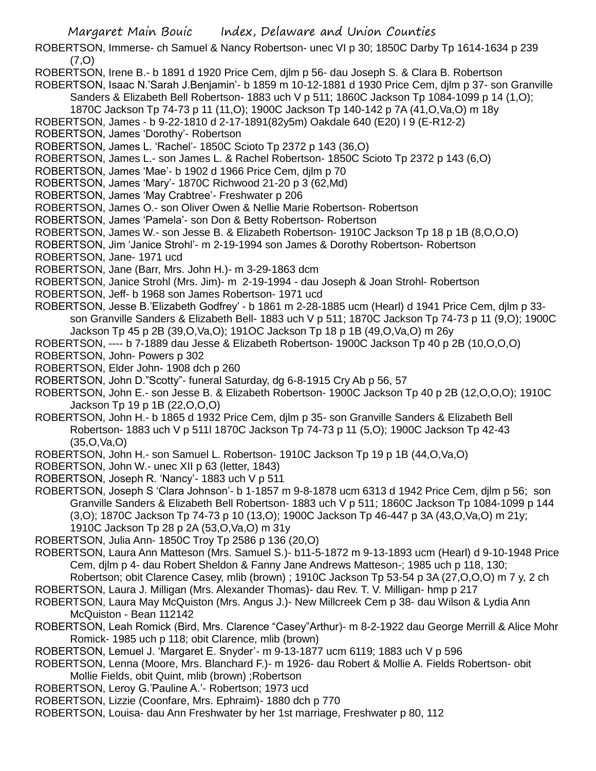ROBERTSON, Immerse- ch Samuel & Nancy Robertson- unec VI p 30; 1850C Darby Tp 1614-1634 p 239 (7,O)

ROBERTSON, Irene B.- b 1891 d 1920 Price Cem, djlm p 56- dau Joseph S. & Clara B. Robertson

- ROBERTSON, Isaac N.'Sarah J.Benjamin'- b 1859 m 10-12-1881 d 1930 Price Cem, djlm p 37- son Granville Sanders & Elizabeth Bell Robertson- 1883 uch V p 511; 1860C Jackson Tp 1084-1099 p 14 (1,O); 1870C Jackson Tp 74-73 p 11 (11,O); 1900C Jackson Tp 140-142 p 7A (41,O,Va,O) m 18y
- ROBERTSON, James b 9-22-1810 d 2-17-1891(82y5m) Oakdale 640 (E20) I 9 (E-R12-2)
- ROBERTSON, James 'Dorothy'- Robertson
- ROBERTSON, James L. 'Rachel'- 1850C Scioto Tp 2372 p 143 (36,O)
- ROBERTSON, James L.- son James L. & Rachel Robertson- 1850C Scioto Tp 2372 p 143 (6,O)
- ROBERTSON, James 'Mae'- b 1902 d 1966 Price Cem, djlm p 70
- ROBERTSON, James 'Mary'- 1870C Richwood 21-20 p 3 (62,Md)
- ROBERTSON, James 'May Crabtree'- Freshwater p 206
- ROBERTSON, James O.- son Oliver Owen & Nellie Marie Robertson- Robertson
- ROBERTSON, James 'Pamela'- son Don & Betty Robertson- Robertson
- ROBERTSON, James W.- son Jesse B. & Elizabeth Robertson- 1910C Jackson Tp 18 p 1B (8,O,O,O)
- ROBERTSON, Jim 'Janice Strohl'- m 2-19-1994 son James & Dorothy Robertson- Robertson
- ROBERTSON, Jane- 1971 ucd
- ROBERTSON, Jane (Barr, Mrs. John H.)- m 3-29-1863 dcm
- ROBERTSON, Janice Strohl (Mrs. Jim)- m 2-19-1994 dau Joseph & Joan Strohl- Robertson
- ROBERTSON, Jeff- b 1968 son James Robertson- 1971 ucd
- ROBERTSON, Jesse B.'Elizabeth Godfrey' b 1861 m 2-28-1885 ucm (Hearl) d 1941 Price Cem, djlm p 33 son Granville Sanders & Elizabeth Bell- 1883 uch V p 511; 1870C Jackson Tp 74-73 p 11 (9,O); 1900C Jackson Tp 45 p 2B (39,O,Va,O); 191OC Jackson Tp 18 p 1B (49,O,Va,O) m 26y
- ROBERTSON, ---- b 7-1889 dau Jesse & Elizabeth Robertson- 1900C Jackson Tp 40 p 2B (10,O,O,O)
- ROBERTSON, John- Powers p 302
- ROBERTSON, Elder John- 1908 dch p 260
- ROBERTSON, John D."Scotty"- funeral Saturday, dg 6-8-1915 Cry Ab p 56, 57
- ROBERTSON, John E.- son Jesse B. & Elizabeth Robertson- 1900C Jackson Tp 40 p 2B (12,O,O,O); 1910C Jackson Tp 19 p 1B (22,O,O,O)
- ROBERTSON, John H.- b 1865 d 1932 Price Cem, djlm p 35- son Granville Sanders & Elizabeth Bell Robertson- 1883 uch V p 511l 1870C Jackson Tp 74-73 p 11 (5,O); 1900C Jackson Tp 42-43 (35,O,Va,O)
- ROBERTSON, John H.- son Samuel L. Robertson- 1910C Jackson Tp 19 p 1B (44,O,Va,O)
- ROBERTSON, John W.- unec XII p 63 (letter, 1843)
- ROBERTSON, Joseph R. 'Nancy'- 1883 uch V p 511
- ROBERTSON, Joseph S 'Clara Johnson'- b 1-1857 m 9-8-1878 ucm 6313 d 1942 Price Cem, djlm p 56; son Granville Sanders & Elizabeth Bell Robertson- 1883 uch V p 511; 1860C Jackson Tp 1084-1099 p 144 (3,O); 1870C Jackson Tp 74-73 p 10 (13,O); 1900C Jackson Tp 46-447 p 3A (43,O,Va,O) m 21y; 1910C Jackson Tp 28 p 2A (53,O,Va,O) m 31y
- ROBERTSON, Julia Ann- 1850C Troy Tp 2586 p 136 (20,O)
- ROBERTSON, Laura Ann Matteson (Mrs. Samuel S.)- b11-5-1872 m 9-13-1893 ucm (Hearl) d 9-10-1948 Price Cem, djlm p 4- dau Robert Sheldon & Fanny Jane Andrews Matteson-; 1985 uch p 118, 130;
- Robertson; obit Clarence Casey, mlib (brown) ; 1910C Jackson Tp 53-54 p 3A (27,O,O,O) m 7 y, 2 ch
- ROBERTSON, Laura J. Milligan (Mrs. Alexander Thomas)- dau Rev. T. V. Milligan- hmp p 217
- ROBERTSON, Laura May McQuiston (Mrs. Angus J.)- New Millcreek Cem p 38- dau Wilson & Lydia Ann McQuiston - Bean 112142
- ROBERTSON, Leah Romick (Bird, Mrs. Clarence "Casey"Arthur)- m 8-2-1922 dau George Merrill & Alice Mohr Romick- 1985 uch p 118; obit Clarence, mlib (brown)
- ROBERTSON, Lemuel J. 'Margaret E. Snyder'- m 9-13-1877 ucm 6119; 1883 uch V p 596
- ROBERTSON, Lenna (Moore, Mrs. Blanchard F.)- m 1926- dau Robert & Mollie A. Fields Robertson- obit Mollie Fields, obit Quint, mlib (brown) ;Robertson
- ROBERTSON, Leroy G.'Pauline A.'- Robertson; 1973 ucd
- ROBERTSON, Lizzie (Coonfare, Mrs. Ephraim)- 1880 dch p 770
- ROBERTSON, Louisa- dau Ann Freshwater by her 1st marriage, Freshwater p 80, 112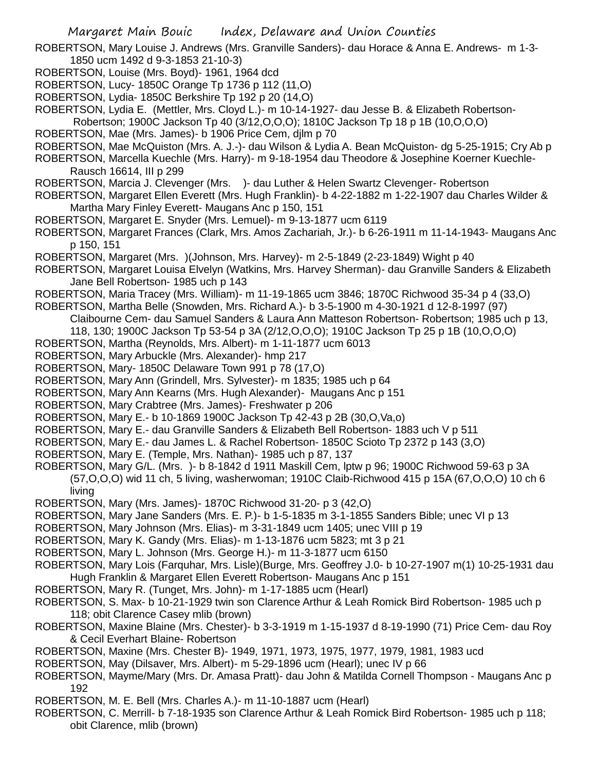ROBERTSON, Mary Louise J. Andrews (Mrs. Granville Sanders)- dau Horace & Anna E. Andrews- m 1-3- 1850 ucm 1492 d 9-3-1853 21-10-3)

- ROBERTSON, Louise (Mrs. Boyd)- 1961, 1964 dcd
- ROBERTSON, Lucy- 1850C Orange Tp 1736 p 112 (11,O)
- ROBERTSON, Lydia- 1850C Berkshire Tp 192 p 20 (14,O)
- ROBERTSON, Lydia E. (Mettler, Mrs. Cloyd L.)- m 10-14-1927- dau Jesse B. & Elizabeth Robertson-

Robertson; 1900C Jackson Tp 40 (3/12,O,O,O); 1810C Jackson Tp 18 p 1B (10,O,O,O)

- ROBERTSON, Mae (Mrs. James)- b 1906 Price Cem, djlm p 70
- ROBERTSON, Mae McQuiston (Mrs. A. J.-)- dau Wilson & Lydia A. Bean McQuiston- dg 5-25-1915; Cry Ab p

ROBERTSON, Marcella Kuechle (Mrs. Harry)- m 9-18-1954 dau Theodore & Josephine Koerner Kuechle-Rausch 16614, III p 299

ROBERTSON, Marcia J. Clevenger (Mrs. )- dau Luther & Helen Swartz Clevenger- Robertson

- ROBERTSON, Margaret Ellen Everett (Mrs. Hugh Franklin)- b 4-22-1882 m 1-22-1907 dau Charles Wilder & Martha Mary Finley Everett- Maugans Anc p 150, 151
- ROBERTSON, Margaret E. Snyder (Mrs. Lemuel)- m 9-13-1877 ucm 6119

ROBERTSON, Margaret Frances (Clark, Mrs. Amos Zachariah, Jr.)- b 6-26-1911 m 11-14-1943- Maugans Anc p 150, 151

ROBERTSON, Margaret (Mrs. )(Johnson, Mrs. Harvey)- m 2-5-1849 (2-23-1849) Wight p 40

ROBERTSON, Margaret Louisa Elvelyn (Watkins, Mrs. Harvey Sherman)- dau Granville Sanders & Elizabeth Jane Bell Robertson- 1985 uch p 143

- ROBERTSON, Maria Tracey (Mrs. William)- m 11-19-1865 ucm 3846; 1870C Richwood 35-34 p 4 (33,O)
- ROBERTSON, Martha Belle (Snowden, Mrs. Richard A.)- b 3-5-1900 m 4-30-1921 d 12-8-1997 (97)
	- Claibourne Cem- dau Samuel Sanders & Laura Ann Matteson Robertson- Robertson; 1985 uch p 13,
	- 118, 130; 1900C Jackson Tp 53-54 p 3A (2/12,O,O,O); 1910C Jackson Tp 25 p 1B (10,O,O,O)
- ROBERTSON, Martha (Reynolds, Mrs. Albert)- m 1-11-1877 ucm 6013
- ROBERTSON, Mary Arbuckle (Mrs. Alexander)- hmp 217
- ROBERTSON, Mary- 1850C Delaware Town 991 p 78 (17,O)
- ROBERTSON, Mary Ann (Grindell, Mrs. Sylvester)- m 1835; 1985 uch p 64
- ROBERTSON, Mary Ann Kearns (Mrs. Hugh Alexander)- Maugans Anc p 151
- ROBERTSON, Mary Crabtree (Mrs. James)- Freshwater p 206
- ROBERTSON, Mary E.- b 10-1869 1900C Jackson Tp 42-43 p 2B (30,O,Va,o)
- ROBERTSON, Mary E.- dau Granville Sanders & Elizabeth Bell Robertson- 1883 uch V p 511
- ROBERTSON, Mary E.- dau James L. & Rachel Robertson- 1850C Scioto Tp 2372 p 143 (3,O)
- ROBERTSON, Mary E. (Temple, Mrs. Nathan)- 1985 uch p 87, 137
- ROBERTSON, Mary G/L. (Mrs. )- b 8-1842 d 1911 Maskill Cem, lptw p 96; 1900C Richwood 59-63 p 3A (57,O,O,O) wid 11 ch, 5 living, washerwoman; 1910C Claib-Richwood 415 p 15A (67,O,O,O) 10 ch 6 living
- ROBERTSON, Mary (Mrs. James)- 1870C Richwood 31-20- p 3 (42,O)
- ROBERTSON, Mary Jane Sanders (Mrs. E. P.)- b 1-5-1835 m 3-1-1855 Sanders Bible; unec VI p 13
- ROBERTSON, Mary Johnson (Mrs. Elias)- m 3-31-1849 ucm 1405; unec VIII p 19
- ROBERTSON, Mary K. Gandy (Mrs. Elias)- m 1-13-1876 ucm 5823; mt 3 p 21
- ROBERTSON, Mary L. Johnson (Mrs. George H.)- m 11-3-1877 ucm 6150
- ROBERTSON, Mary Lois (Farquhar, Mrs. Lisle)(Burge, Mrs. Geoffrey J.0- b 10-27-1907 m(1) 10-25-1931 dau Hugh Franklin & Margaret Ellen Everett Robertson- Maugans Anc p 151
- ROBERTSON, Mary R. (Tunget, Mrs. John)- m 1-17-1885 ucm (Hearl)
- ROBERTSON, S. Max- b 10-21-1929 twin son Clarence Arthur & Leah Romick Bird Robertson- 1985 uch p 118; obit Clarence Casey mlib (brown)
- ROBERTSON, Maxine Blaine (Mrs. Chester)- b 3-3-1919 m 1-15-1937 d 8-19-1990 (71) Price Cem- dau Roy & Cecil Everhart Blaine- Robertson
- ROBERTSON, Maxine (Mrs. Chester B)- 1949, 1971, 1973, 1975, 1977, 1979, 1981, 1983 ucd
- ROBERTSON, May (Dilsaver, Mrs. Albert)- m 5-29-1896 ucm (Hearl); unec IV p 66
- ROBERTSON, Mayme/Mary (Mrs. Dr. Amasa Pratt)- dau John & Matilda Cornell Thompson Maugans Anc p 192
- ROBERTSON, M. E. Bell (Mrs. Charles A.)- m 11-10-1887 ucm (Hearl)
- ROBERTSON, C. Merrill- b 7-18-1935 son Clarence Arthur & Leah Romick Bird Robertson- 1985 uch p 118; obit Clarence, mlib (brown)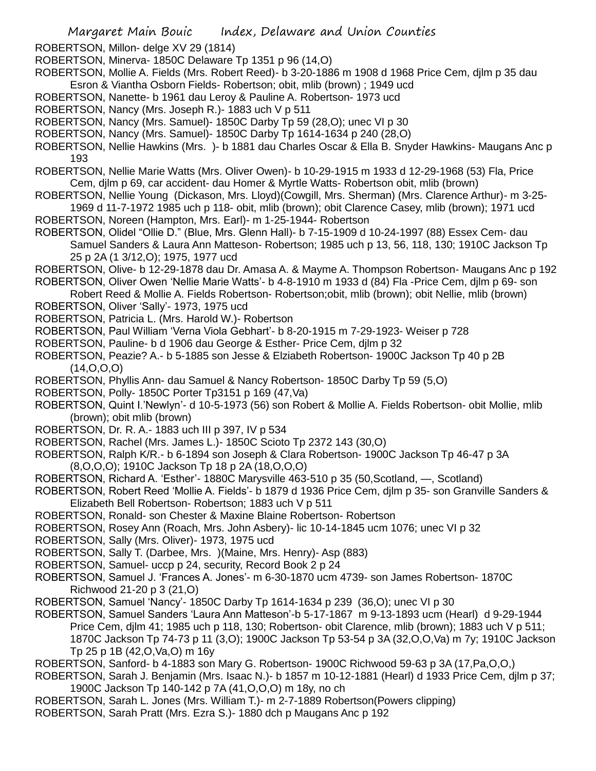ROBERTSON, Millon- delge XV 29 (1814)

- ROBERTSON, Minerva- 1850C Delaware Tp 1351 p 96 (14,O)
- ROBERTSON, Mollie A. Fields (Mrs. Robert Reed)- b 3-20-1886 m 1908 d 1968 Price Cem, djlm p 35 dau Esron & Viantha Osborn Fields- Robertson; obit, mlib (brown) ; 1949 ucd
- ROBERTSON, Nanette- b 1961 dau Leroy & Pauline A. Robertson- 1973 ucd
- ROBERTSON, Nancy (Mrs. Joseph R.)- 1883 uch V p 511
- ROBERTSON, Nancy (Mrs. Samuel)- 1850C Darby Tp 59 (28,O); unec VI p 30
- ROBERTSON, Nancy (Mrs. Samuel)- 1850C Darby Tp 1614-1634 p 240 (28,O)
- ROBERTSON, Nellie Hawkins (Mrs. )- b 1881 dau Charles Oscar & Ella B. Snyder Hawkins- Maugans Anc p 193
- ROBERTSON, Nellie Marie Watts (Mrs. Oliver Owen)- b 10-29-1915 m 1933 d 12-29-1968 (53) Fla, Price Cem, djlm p 69, car accident- dau Homer & Myrtle Watts- Robertson obit, mlib (brown)
- ROBERTSON, Nellie Young (Dickason, Mrs. Lloyd)(Cowgill, Mrs. Sherman) (Mrs. Clarence Arthur)- m 3-25- 1969 d 11-7-1972 1985 uch p 118- obit, mlib (brown); obit Clarence Casey, mlib (brown); 1971 ucd
- ROBERTSON, Noreen (Hampton, Mrs. Earl)- m 1-25-1944- Robertson
- ROBERTSON, Olidel "Ollie D." (Blue, Mrs. Glenn Hall)- b 7-15-1909 d 10-24-1997 (88) Essex Cem- dau Samuel Sanders & Laura Ann Matteson- Robertson; 1985 uch p 13, 56, 118, 130; 1910C Jackson Tp 25 p 2A (1 3/12,O); 1975, 1977 ucd
- ROBERTSON, Olive- b 12-29-1878 dau Dr. Amasa A. & Mayme A. Thompson Robertson- Maugans Anc p 192
- ROBERTSON, Oliver Owen 'Nellie Marie Watts'- b 4-8-1910 m 1933 d (84) Fla -Price Cem, djlm p 69- son Robert Reed & Mollie A. Fields Robertson- Robertson;obit, mlib (brown); obit Nellie, mlib (brown)
- ROBERTSON, Oliver 'Sally'- 1973, 1975 ucd
- ROBERTSON, Patricia L. (Mrs. Harold W.)- Robertson
- ROBERTSON, Paul William 'Verna Viola Gebhart'- b 8-20-1915 m 7-29-1923- Weiser p 728
- ROBERTSON, Pauline- b d 1906 dau George & Esther- Price Cem, djlm p 32
- ROBERTSON, Peazie? A.- b 5-1885 son Jesse & Elziabeth Robertson- 1900C Jackson Tp 40 p 2B  $(14, 0, 0, 0)$
- ROBERTSON, Phyllis Ann- dau Samuel & Nancy Robertson- 1850C Darby Tp 59 (5,O)
- ROBERTSON, Polly- 1850C Porter Tp3151 p 169 (47,Va)
- ROBERTSON, Quint I.'Newlyn'- d 10-5-1973 (56) son Robert & Mollie A. Fields Robertson- obit Mollie, mlib (brown); obit mlib (brown)
- ROBERTSON, Dr. R. A.- 1883 uch III p 397, IV p 534
- ROBERTSON, Rachel (Mrs. James L.)- 1850C Scioto Tp 2372 143 (30,O)
- ROBERTSON, Ralph K/R.- b 6-1894 son Joseph & Clara Robertson- 1900C Jackson Tp 46-47 p 3A (8,O,O,O); 1910C Jackson Tp 18 p 2A (18,O,O,O)
- ROBERTSON, Richard A. 'Esther'- 1880C Marysville 463-510 p 35 (50,Scotland, —, Scotland)
- ROBERTSON, Robert Reed 'Mollie A. Fields'- b 1879 d 1936 Price Cem, djlm p 35- son Granville Sanders & Elizabeth Bell Robertson- Robertson; 1883 uch V p 511
- ROBERTSON, Ronald- son Chester & Maxine Blaine Robertson- Robertson
- ROBERTSON, Rosey Ann (Roach, Mrs. John Asbery)- lic 10-14-1845 ucm 1076; unec VI p 32
- ROBERTSON, Sally (Mrs. Oliver)- 1973, 1975 ucd
- ROBERTSON, Sally T. (Darbee, Mrs. )(Maine, Mrs. Henry)- Asp (883)
- ROBERTSON, Samuel- uccp p 24, security, Record Book 2 p 24
- ROBERTSON, Samuel J. 'Frances A. Jones'- m 6-30-1870 ucm 4739- son James Robertson- 1870C Richwood 21-20 p 3 (21,O)
- ROBERTSON, Samuel 'Nancy'- 1850C Darby Tp 1614-1634 p 239 (36,O); unec VI p 30
- ROBERTSON, Samuel Sanders 'Laura Ann Matteson'-b 5-17-1867 m 9-13-1893 ucm (Hearl) d 9-29-1944 Price Cem, djlm 41; 1985 uch p 118, 130; Robertson- obit Clarence, mlib (brown); 1883 uch V p 511; 1870C Jackson Tp 74-73 p 11 (3,O); 1900C Jackson Tp 53-54 p 3A (32,O,O,Va) m 7y; 1910C Jackson Tp 25 p 1B (42,O,Va,O) m 16y
- ROBERTSON, Sanford- b 4-1883 son Mary G. Robertson- 1900C Richwood 59-63 p 3A (17,Pa,O,O,)
- ROBERTSON, Sarah J. Benjamin (Mrs. Isaac N.)- b 1857 m 10-12-1881 (Hearl) d 1933 Price Cem, djlm p 37; 1900C Jackson Tp 140-142 p 7A (41,O,O,O) m 18y, no ch
- ROBERTSON, Sarah L. Jones (Mrs. William T.)- m 2-7-1889 Robertson(Powers clipping)
- ROBERTSON, Sarah Pratt (Mrs. Ezra S.)- 1880 dch p Maugans Anc p 192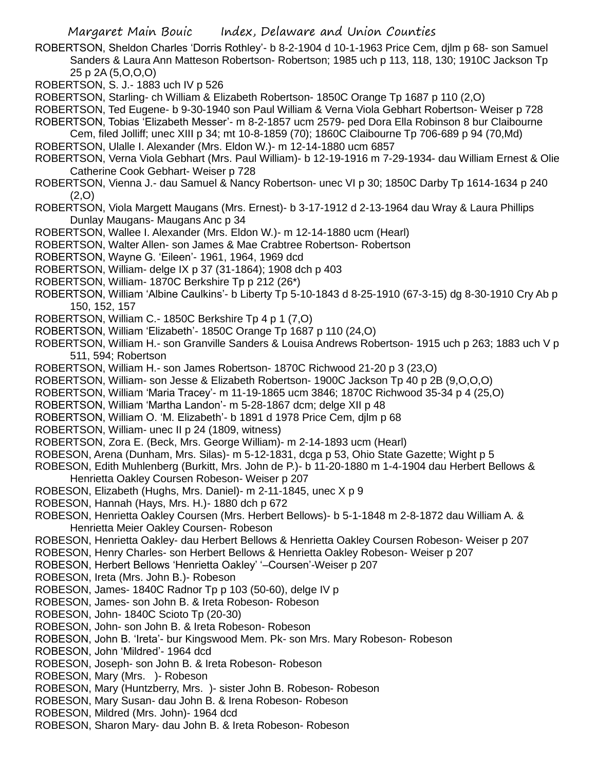ROBERTSON, Sheldon Charles 'Dorris Rothley'- b 8-2-1904 d 10-1-1963 Price Cem, djlm p 68- son Samuel Sanders & Laura Ann Matteson Robertson- Robertson; 1985 uch p 113, 118, 130; 1910C Jackson Tp 25 p 2A (5,O,O,O)

ROBERTSON, S. J.- 1883 uch IV p 526

ROBERTSON, Starling- ch William & Elizabeth Robertson- 1850C Orange Tp 1687 p 110 (2,O)

ROBERTSON, Ted Eugene- b 9-30-1940 son Paul William & Verna Viola Gebhart Robertson- Weiser p 728

ROBERTSON, Tobias 'Elizabeth Messer'- m 8-2-1857 ucm 2579- ped Dora Ella Robinson 8 bur Claibourne

Cem, filed Jolliff; unec XIII p 34; mt 10-8-1859 (70); 1860C Claibourne Tp 706-689 p 94 (70,Md) ROBERTSON, Ulalle I. Alexander (Mrs. Eldon W.)- m 12-14-1880 ucm 6857

ROBERTSON, Verna Viola Gebhart (Mrs. Paul William)- b 12-19-1916 m 7-29-1934- dau William Ernest & Olie Catherine Cook Gebhart- Weiser p 728

- ROBERTSON, Vienna J.- dau Samuel & Nancy Robertson- unec VI p 30; 1850C Darby Tp 1614-1634 p 240 (2,O)
- ROBERTSON, Viola Margett Maugans (Mrs. Ernest)- b 3-17-1912 d 2-13-1964 dau Wray & Laura Phillips Dunlay Maugans- Maugans Anc p 34

ROBERTSON, Wallee I. Alexander (Mrs. Eldon W.)- m 12-14-1880 ucm (Hearl)

- ROBERTSON, Walter Allen- son James & Mae Crabtree Robertson- Robertson
- ROBERTSON, Wayne G. 'Eileen'- 1961, 1964, 1969 dcd

ROBERTSON, William- delge IX p 37 (31-1864); 1908 dch p 403

- ROBERTSON, William- 1870C Berkshire Tp p 212 (26\*)
- ROBERTSON, William 'Albine Caulkins'- b Liberty Tp 5-10-1843 d 8-25-1910 (67-3-15) dg 8-30-1910 Cry Ab p 150, 152, 157
- ROBERTSON, William C.- 1850C Berkshire Tp 4 p 1 (7,O)
- ROBERTSON, William 'Elizabeth'- 1850C Orange Tp 1687 p 110 (24,O)
- ROBERTSON, William H.- son Granville Sanders & Louisa Andrews Robertson- 1915 uch p 263; 1883 uch V p 511, 594; Robertson
- ROBERTSON, William H.- son James Robertson- 1870C Richwood 21-20 p 3 (23,O)
- ROBERTSON, William- son Jesse & Elizabeth Robertson- 1900C Jackson Tp 40 p 2B (9,O,O,O)
- ROBERTSON, William 'Maria Tracey'- m 11-19-1865 ucm 3846; 1870C Richwood 35-34 p 4 (25,O)

ROBERTSON, William 'Martha Landon'- m 5-28-1867 dcm; delge XII p 48

- ROBERTSON, William O. 'M. Elizabeth'- b 1891 d 1978 Price Cem, djlm p 68
- ROBERTSON, William- unec II p 24 (1809, witness)
- ROBERTSON, Zora E. (Beck, Mrs. George William)- m 2-14-1893 ucm (Hearl)
- ROBESON, Arena (Dunham, Mrs. Silas)- m 5-12-1831, dcga p 53, Ohio State Gazette; Wight p 5

ROBESON, Edith Muhlenberg (Burkitt, Mrs. John de P.)- b 11-20-1880 m 1-4-1904 dau Herbert Bellows & Henrietta Oakley Coursen Robeson- Weiser p 207

- ROBESON, Elizabeth (Hughs, Mrs. Daniel)- m 2-11-1845, unec X p 9
- ROBESON, Hannah (Hays, Mrs. H.)- 1880 dch p 672
- ROBESON, Henrietta Oakley Coursen (Mrs. Herbert Bellows)- b 5-1-1848 m 2-8-1872 dau William A. & Henrietta Meier Oakley Coursen- Robeson
- ROBESON, Henrietta Oakley- dau Herbert Bellows & Henrietta Oakley Coursen Robeson- Weiser p 207
- ROBESON, Henry Charles- son Herbert Bellows & Henrietta Oakley Robeson- Weiser p 207
- ROBESON, Herbert Bellows 'Henrietta Oakley' '–Coursen'-Weiser p 207
- ROBESON, Ireta (Mrs. John B.)- Robeson
- ROBESON, James- 1840C Radnor Tp p 103 (50-60), delge IV p
- ROBESON, James- son John B. & Ireta Robeson- Robeson
- ROBESON, John- 1840C Scioto Tp (20-30)
- ROBESON, John- son John B. & Ireta Robeson- Robeson
- ROBESON, John B. 'Ireta'- bur Kingswood Mem. Pk- son Mrs. Mary Robeson- Robeson
- ROBESON, John 'Mildred'- 1964 dcd
- ROBESON, Joseph- son John B. & Ireta Robeson- Robeson
- ROBESON, Mary (Mrs. )- Robeson
- ROBESON, Mary (Huntzberry, Mrs. )- sister John B. Robeson- Robeson
- ROBESON, Mary Susan- dau John B. & Irena Robeson- Robeson
- ROBESON, Mildred (Mrs. John)- 1964 dcd
- ROBESON, Sharon Mary- dau John B. & Ireta Robeson- Robeson